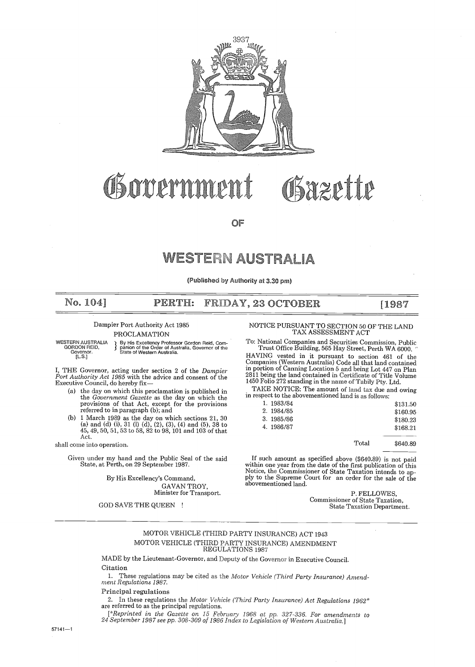

# OS orrernme Bazette

 $\cap F$ 

# **WESTERN AUSTRALIA**

iished by Authority at 3.30 pm)

#### No, 104] PERTH: FRIDAY, 23 OCTOBER

#### Dampier Port Authority Act 1985

GORDON REID, Governor . [L .S .]

PROCLAMATION<br>
} By His Excellency Prof<br>
} panion of the Order of WESTERN AUSTRALIA **I** By His Excellency Professor Gordon Reid, Com-<br>GORDON REID, **State of Australia State In Australia**<br>Governor State of Western Australia. Governor of the

I, THE Governor, acting under section 2 of the Dampier Port Authority Act 1985 with the advice and consent of the Executive Council, do hereby fix-

- (a) the day on which this proclamation is published in the *Government Gazette* as the day on which the provisions of that Act, except for the provisions referred to in paragraph (b); and
- $(h)$ 1 March 1989 as the day on which sections 21, 30 (a) and (d) (i), 31 (l) (d), (2), (3), (4) and (5), 38 to 45, 49, 50, 51, 53 to 58, 82 to 98, 101 and 103 of that Act.

shall come into operation.

Given under my hand and the Public Seal of the said State, at Perth, on 29 September 1987 .

By His Excellency's Command, GAVAN TROY, Minister for Transport.

# NOTICE PURSUANT TO SECTION 50 OF THE LAND TAX ASSESSMENT ACT

[1987

To: National Companies and Securities Commission, Public Trust Office Building, 565 Hay Street, Perth WA 6000 .

HAVING vested in it pursuant to section 461 of the Companies (Western Australia) Code all that land contained in portion of Canning Location 5 and being Lot 447 on Plan 2811 being the land contained in Certificate of Title Volume 1450 Folio 272 standing in the name of Tabily Pty . Ltd .

TAKE NOTICE: The amount of land tax due and owing in respect to the abovementioned land is as follows :

| 1.1983/84  |       | \$131.50 |
|------------|-------|----------|
| 2. 1984/85 |       | \$160.95 |
| 3. 1985/86 |       | \$180.23 |
| 4.1986/87  |       | \$168.21 |
|            | Total | \$640.89 |
|            |       |          |

If such amount as specified above (\$640.89) is not paid within one year from the date of the first publication of this Notice, the Commissioner of State Taxation intends to apply to the Supreme Court for an order for the sale of the abovementioned land.

P. FELLOWES, Commissioner of State Taxation, GOD SAVE THE QUEEN ! State Taxation Department.

#### MOTOR VEHICLE (THIRD PARTY INSURANCE) ACT 1943 MOTOR VEHICLE (THIRD PARTY INSURANCE) AMENDMENT REGULATIONS 1987

MADE by the Lieutenant-Governor, and Deputy of the Governor in Executive Council . Citation<br>1. The

These regulations may be cited as the Motor Vehicle (Third Party Insurance) Amendment Regulations 1987.

#### Principal regulations

2. In these regulations the Motor Vehicle (Third Party Insurance) Act Regulations  $1962^*$ are referred to as the principal regulations.

[\*Reprinted in the Gazette on 15 February 1968 at pp . 327-336. For amendments to 24 September 1987 see pp. 308-309 of 1986 Index to Legislation of Western Australia .]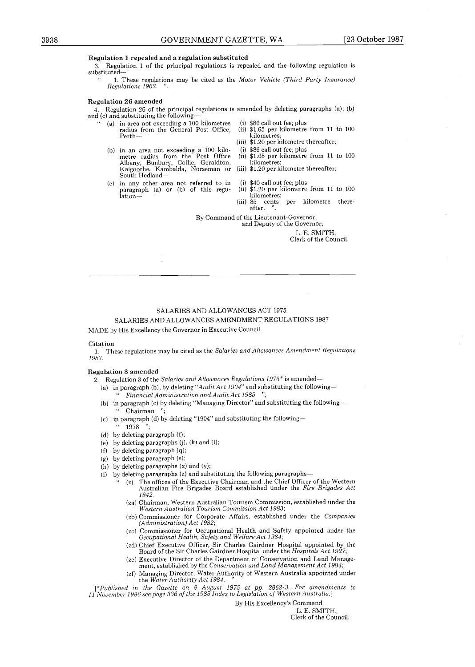#### Regulation I repealed and a regulation substituted

3 . Regulation 1 of the principal regulations is repealed and the following regulation is substituted-

1. These regulations may be cited as the Motor Vehicle (Third Party Insurance) Regulations 1962.

#### Regulation 26 amended

4 . Regulation 26 of the principal regulations is amended by deleting paragraphs (a), (b) and (c) and substituting the following-

- (a) in area not exceeding a 100 kilometres  $(i)$  radius from the General Post Office.  $(ii)$ radius from the General Post Office, Perth-
- (b) in an area not exceeding a 100 kilo-metre radius from the Post Office Albany, Bunbury, Collie, Geraldton, Kalgoorlie, Kambalda, Norseman or South Hedland- COVERNMENT GAZETTE, WA<br>
1. Hegalation 1 repended and are probabilited and are findered and the findered<br>
3. Begalation 1 of the priceless regulations is a speaker of the findered and the findered<br>
managing Director (Finde
	- (c) in any other area not referred to in<br>paragraph (a) or (b) of this regulation-
- (i) \$86 call out fee; plus
- \$1 .65 per kilometre from 11 to 100 kilometres ;
- (iii) \$1 .20 per kilometre thereafter ;
- (i) \$86 call out fee ; plus
- (ii) \$1 .65 per kilometre from 11 to 100 kilometres ;
- (iii) \$1 .20 per kilometre thereafter ;
- (i) \$40 call out fee; plus
- (ii) \$1 .20 per kilometre from 11 to 100
- kilometres;<br> $85$  cents (iii) 85 cents per kilometre thereafter.

By Command of the Lieutenant-Governor,

and Deputy of the Governor,

L. E. SMITH, Clerk of the Council .

#### SALARIES AND ALLOWANCES ACT 1975

#### SALARIES AND ALLOWANCES AMENDMENT REGULATIONS 1987

MADE by His Excellency the Governor in Executive Council .

Citation <sup>1</sup> . These regulations maybe cited as the Salaries and Allowances Amendment Regulations 1987.

#### Regulation 3 amended

2. Regulation 3 of the Salaries and Allowances Regulations  $1975*$  is amended-

- (a) in paragraph (b), by deleting "Audit Act 1904" and substituting the following--Financial Administration and Audit Act 1985 '
- $(b)$  in • Chairman
- (c)  $\,$  in paragraph (d) by deleting "1904" and substituting the following— 1978 ";
- (d) by deleting paragraph  $(f)$ ;
- (e) by deleting paragraphs  $(j)$ ,  $(k)$  and  $(l)$ ;
- (f) by deleting paragraph  $(q)$ ;
- (g) by deleting paragraph  $(s)$ ;
- (h) by deleting paragraphs  $(x)$  and  $(y)$ ;
- (i) by deleting paragraphs  $(z)$  and substituting the following paragraphs-
	- (z) The offices of the Executive Chairman and the Chief Officer of the Western Australian Fire Brigades Board established under the Fire Brigades Act 1942.
	- (za) Chairman, Western Australian Tourism Commission, established under the Western Australian Tourism Commission Act 1983;
	- (zb) Commissioner for Corporate Affairs, established under the Companies (Administration) Act 1982;
	- (zc) Commissioner for Occupational Health and Safety appointed under the Occupational Health, Safety and Welfare Act 1984;
	- (zd) Chief Executive Officer, Sir Charles Gairdner Hospital appointed by the Board of the Sir Charles Gairdner Hospital under the Hospitals Act 1927;
	- (ze) Executive Director of the Department of Conservation and Land Management, established by the Conservation and Land Management Act 1984;
	- (zf) Managing Director, Water Authority of Western Australia appointed under the Water Authority Act 1984.

 $*Puthlished$  in the Gazette on 8 August 1975 at pp. 2862-3. For amendments to <sup>11</sup> November 1986 seepage 336 of the 1985 Index to Legislation of Western Australia.]

By His Excellency's Command,

L. E. SMITH, Clerk of the Council.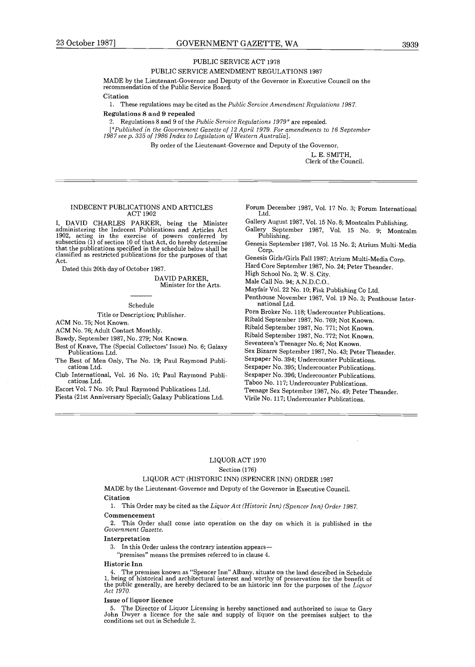#### PUBLIC SERVICE ACT 1978

#### PUBLIC SERVICE AMENDMENT REGULATIONS 1987

MADE by the Lieutenant-Governor and Deputy of the Governor in Executive Council on the recommendation of the Public Service Board.

Citation

1. These regulations may be cited as the Public Service Amendment Regulations 1987.

#### Regulations 8 and 9 repealed

2. Regulations 8 and 9 of the Public Service Regulations  $1979^*$  are repealed.

[Published in the Government Gazette of 12 April 1979 . For amendments to 16 September 1987 seep . 335 of 1986 Index to Legislation of Western Australia] .

By order of the Lieutenant-Governor and Deputy of the Governor,

L. E. SMITH, Clerk of the Council.

#### INDECENT PUBLICATIONS AND ARTICLES ACT 1902

I, DAVID CHARLES PARKER, being the Minister administering the Indecent Publications and Articles Act 1902, acting in the exercise of powers conferred by subsection (1) of section 10 of that Act, do hereby determine that the publications specified in the schedule below shall be classified as restricted publications for the purposes of that Act.

Dated this 20th day of October 1987 .

DAVID PARKER, Minister for the Arts.

#### Schedule

#### Title or Description; Publisher.

ACM No. 75; Not Known.

ACM No. 76; Adult Contact Monthly.

Bawdy, September 1987, No. 279; Not Known.

Best of Knave, The (Special Collectors' Issue) No. 6; Galaxy Publications Ltd.

The Best of Men Only, The No. 19; Paul Raymond Publications Ltd.

Club International, Vol. 16 No. 10; Paul Raymond Publications Ltd.

Escort Vol. 7 No. 10; Paul Raymond Publications Ltd.

Fiesta (21st Anniversary Special); Galaxy Publications Ltd.

Forum December 1987, Vol. 17 No. 3; Forum International Ltd.

Gallery August 1987, Vol. 15 No. 8; Montcalm Publishing. Gallery September 1987, Vol. 15 No. 9; Montcalm Publishing.

Genesis September 1987, Vol. 15 No. 2; Atrium Multi-Media Corp.

Genesis Girls/Girls Fall 1987 ; Atrium Multi-Media Corp .

Hard Core September 1987, No. 24; Peter Theander.

High School No. 2; W. S. City.

Male Call No. 94; A.N.D.C.O..

Mayfair Vol. 22 No. 10; Fisk Publishing Co Ltd.

Penthouse November 1987, Vol. 19 No. 3; Penthouse International Ltd.

Porn Broker No. 118; Undercounter Publications.

Ribald September 1987, No. 769; Not Known.

Ribald September 1987, No. 771; Not Known.

Ribald September 1987, No. 772; Not Known.

Seventeen's Teenager No. 6; Not Known.

Sex Bizarre September 1987, No . 43; Peter Theander .

Sexpaper No. 394; Undercounter Publications.

Sexpaper No. 395; Undercounter Publications.

Sexpaper No. 396; Undercounter Publications.

Taboo No. 117; Undercounter Publications.

Teenage Sex September 1987, No. 49; Peter Theander.

Virile No. 117; Undercounter Publications.

#### LIQUOR ACT 1970 Section (176)

#### LIQUOR ACT (HISTORIC INN) (SPENCER INN) ORDER 1987

MADE by the Lieutenant-Governor and Deputy of the Governor in Executive Council . Citation

1. This Order may be cited as the Liquor Act (Historic Inn) (Spencer Inn) Order 1987. Commencement

2 . This Order shall come into operation on the day on which it is published in the Government Gazette.

#### Interpretation

3. In this Order unless the contrary intention appears-

"premises" means the premises referred to in clause 4 .

Historic Inn<br>4. The premises known as "Spencer Inn" Albany, situate on the land described in Schedule 4. I he premises known as Spencer Inn Albany, situate on the land described in Schedule<br>1, being of historical and architectural interest and worthy of preservation for the benefit of<br>the public generally, are hereby decla Act 1970.

#### Issue of liquor licence

5 . The Director of Liquor Licensing is hereby sanctioned and authorized to issue to Gary John Dwyer a licence for the sale and supply of liquor on the premises subject to the conditions set out in Schedule 2 .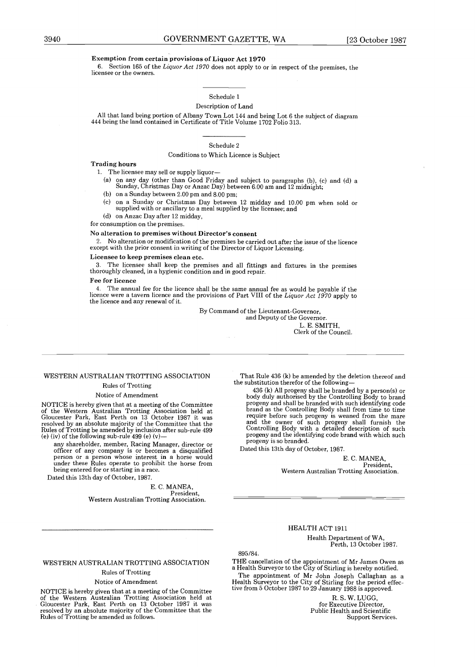#### Exemption from certain provisions of Liquor Act 1970

<sup>6</sup> . Section 165 of the Liquor Act 1970 does not apply to or in respect of the premises, the licensee or the owners .

#### Schedule 1

#### Description of Land

All that land being portion of Albany Town Lot 144 and being Lot 6 the subject of diagram 444 being the land contained in Certificate of Title Volume 1702 Folio 313 .

#### Schedule 2

#### Conditions to Which Licence is Subject

#### Trading hours

1. The licensee may sell or supply liquor-

- (a) on any day (other than Good Friday and subject to paragraphs (b), (c) and (d) a Sunday, Christmas Day or Anzac Day) between 6.00 am and 12 midnight;
- (b) on a Sunday between  $2.00$  pm and  $8.00$  pm;
- (c) on a Sunday or Christmas Day between 12 midday and 10.00 pm when sold or supplied with or ancillary to a meal supplied by the licensee; and
- (d) on Anzac Day after 12 midday,

for consumption on the premises .

#### No alteration to premises without Director's consent

2 . No alteration or modification of the premises be carried out after the issue of the licence except with the prior consent in writing of the Director of Liquor Licensing.

#### Licensee to keep premises clean etc.

3 . The licensee shall keep the premises and all fittings and fixtures in the premises thoroughly cleaned, in a hygienic condition and in good repair .

#### Fee for licence

4 . The annual fee for the licence shall be the same annual fee as would be payable if the licence were a tavern licence and the provisions of Part VIII of the Liquor Act 1970 apply to the licence and any renewal of it.

By Command of the Lieutenant-Governor,

and Deputy of the Governor. L. E. SMITH,

Clerk of the Council.

#### WESTERN AUSTRALIAN TROTTING ASSOCIATION

#### Rules of Trotting

#### Notice of Amendment

Not TCE is hereby given that at the digital of the Committee<br>Gloucester Park, East Perth on 13 October 1987 it was<br>resolved by an absolute majority of the Committee that the<br>Rules of Trotting be amended by inclusion after

(e) (iv) of the following sub-rule  $499$  (e) (v)-<br>any shareholder, member, Racing Manager, director or any shareholder, member, Racing Manager, director or officer of any company is or becomes a disqualified person or a person whose interest in a horse would under these Rules operate to prohibit the horse from being entered for or starting in a race . Dated this 13th day of October, 1987 .

E. C. MANEA,<br>President President, Western Australian Trotting Association.

That Rule 436 (k) be amended by the deletion thereof and the substitution therefor of the following-

436 (k) All progeny shall be branded by a person(s) or body duly authorised by the Controlling Body to brand progeny and shall be branded with such identifying code brand as the Controlling Body shall from time to time require before such progeny is weaned from the mare and the owner of such progeny shall furnish the Controlling Body with a detailed description of such progeny and the identifying code brand with which such progeny is so branded.

Dated this 13th day of October, 1987 .

E.C. MANEA, President, Western Australian Trotting Association.

#### HEALTH ACT 1911

Health Department of WA, Perth, 13 October 1987.

895/84.

THE cancellation of the appointment of Mr James Owen as a Health Surveyor to the City of Stirling is hereby notified. The appointment of Mr John Joseph Callaghan as a Health Surveyor to the City of Stirling for the period effec-tive from 5 October 1987 to 29 January 1988 is approved .

> R. S. W. LUGG. for Executive Director Public Health and Scientific Support Services .

#### WESTERN AUSTRALIAN TROTTING ASSOCIATION

#### Rules of Trotting

#### Notice of Amendment

NOTICE is hereby given that at a meeting of the Committee of the Western Australian Trotting Association held at Gloucester Park, East Perth on 13 October 1987 it was resolved by an absolute majority of the Committee that the Rules of Trotting be amended as follows .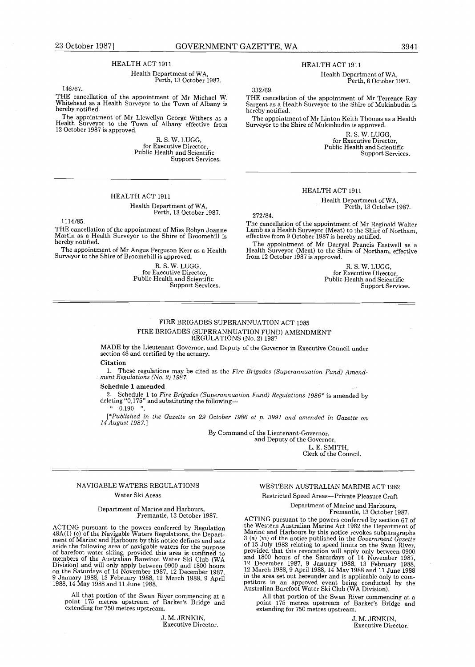#### HEALTH ACT 1911

#### Health Department of WA, Perth, 13 October 1987 .

146/67.

THE cancellation of the appointment of Mr Michael W.<br>Whitehead as a Health Surveyor to the Town of Albany is<br>hereby notified.

The appointment of Mr Llewellyn George Withers as a Health Surveyor to the Town of Albany effective from 12 October 1987 is approved .

R. S. W. LUGG, for Executive Director Public Health and Scientific Support Services.

#### HEALTH ACT 1911

# Health Department of WA, Perth, 13 October 1987 .

1114/85 .

THE cancellation of the appointment of Miss Robyn Joanne Martin as a Health Surveyor to the Shire of Broomehill is hereby notified.

The appointment of Mr Angus Ferguson Kerr as a Health Surveyor to the Shire of Broomehill is approved .

R. S . W . LUGG, for Executive Director, Public Health and Scientific Support Services. HEALTH ACT 1911

Health Department of WA, Perth, 6 October 1987 .

332/69.

THE cancellation of the appointment of Mr Terrence Ray Sargent as a Health Surveyor to the Shire of Mukinbudin is hereby notified.

The appointment of Mr Linton Keith Thomas as a Health Surveyor to the Shire of Mukinbudin is approved .

> R. S. W. LUGG. for Executive Director, Public Health and Scientific Support Services.

#### HEALTH ACT 1911

Health Department of WA, Perth, 13 October 1987.

272/84.

The cancellation of the appointment of Mr Reginald Walter Lamb as a Health Surveyor (Meat) to the Shire of Northam, effective from 9 October 1987 is hereby notified .

The appointment of Mr Darryal Francis Eastwell as a Health Surveyor (Meat) to the Shire of Northam, effective from 12 October 1987 is approved .

> R. S. W. LUGG, for Executive Director, Public Health and Scientific Support Services.

#### FIRE BRIGADES SUPERANNUATION ACT 1985 FIRE BRIGADES (SUPERANNUATION FUND) AMENDMENT REGULATIONS (No. 2) 1987

MADE by the Lieutenant-Governor, and Deputy of the Governor in Executive Council under section  $48$  and certified by the actuary.

#### Citation

<sup>1</sup> . These regulations may be cited as the Fire Brigades (Superannuation Fund) Amend-ment Regulations (No. 2) 1987.

#### Schedule 1 amended

2. Schedule 1 to Fire Brigades (Superannuation Fund) Regulations 1986\* is amended by deleting "0,175" and substituting the following-  $^{4}$  0.190 ".

[\*Published in the Gazette on 29 October 1986 at p. 3991 and amended in Gazette on 14 August 1987.]

> By Command of the Lieutenant-Governor, and Deputy of the Governor,

L. E. SMITH, Clerk of the Council.

#### NAVIGABLE WATERS REGULATIONS Water Ski Areas

#### Department of Marine and Harbours, Fremantle, 13 October 1987 .

ACTING pursuant to the powers conferred by Regulation 48A(1) (c) of the Navigable Waters Regulations, the Department of Marine and Harbours by this notice defines and sets aside the following area of navigable waters for the purpose of barefoot water skiing, provided this area is confined to members of the Australian Barefoot Water Ski Club (WA Division) and will only apply between 0900 and 1800 hours on the Saturdays of 14 November 1987, 12 December 1987, 9 January 1988, 13 February 1988, 12 March 1988, 9 April 1988, 14 May 1988 and 11 June 1988 .

All that portion of the Swan River commencing at a point 175 metres upstream of Barker's Bridge and extending for 750 metres upstream .

> J. M. JENKIN, Executive Director.

WESTERN AUSTRALIAN MARINE ACT 1982 Restricted Speed Areas-Private Pleasure Craft

Department of Marine and Harbours, Fremantle, 13 October 1987.

ACTING pursuant to the powers conferred by section 67 of the Western Australian Marine Act 1982 the Department of Marine and Harbours by this notice revokes subparagraphs S (a) (vi) of the notice published in the Government Gazette<br>of 15 July 1983 relating to speed limits on the Swan River,<br>provided that this revocation will apply only between 0900<br>and 1800 hours of the Saturdays of 14 Nove in the area set out hereunder and is applicable only to competitors in an approved event being conducted by the Australian Barefoot Water Ski Club (WA Division) .

All that portion of the Swan River commencing at a point 175 metres upstream of Barker's Bridge and extending for 750 metres upstream .

> J. M. JENKIN, Executive Director.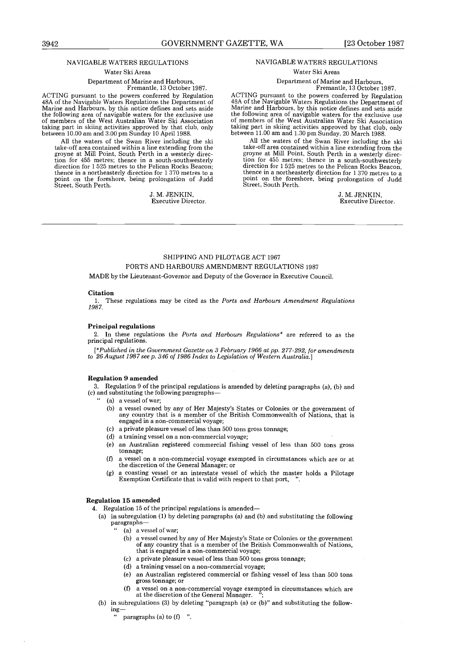#### NAVIGABLE WATERS REGULATIONS

Water Ski Areas

Department of Marine and Harbours, Fremantle, 13 October 1987 .

ACTING pursuant to the powers conferred by Regulation<br>48A of the Navigable Waters Regulations the Department of Marine and Harbours, by this notice defines and sets aside the following area of navigable waters for the exclusive use of members of the West Australian Water Ski Association taking part in skiing activities approved by that club, only between 10.00 am and 3.00 pm Sunday 10 April 1988.

All the waters of the Swan River including the ski<br>take-off area contained within a line extending from the<br>groyne at Mill Point, South Perth in a westerly direc-<br>tion for 455 metres; thence in a south-southwesterly direction for 1 525 metres to the Pelican Rocks Beacon; thence in a northeasterly direction for 1 370 metres to a point on the foreshore, being prolongation of Judd Street, South Perth .

> J. M. JENKIN. Executive Director.

#### NAVIGABLE WATERS REGULATIONS

Water Ski Areas

#### Department of Marine and Harbours, Fremantle, 13 October 1987 .

ACTING pursuant to the powers conferred by Regulation 48A of the Navigable Waters Regulations the Department of iviarine and Harbours, by this notice defines and sets aside<br>the following area of navigable waters for the exclusive use<br>of members of the West Australian Water Ski Association<br>taking part in skiing activities approved by between 11.00 am and 1.30 pm Sunday, 20 March 1988.

All the waters of the Swan River including the ski take-off area contained within a line extending from the groyne at Mill Point, South Perth in a westerly direction for 455 metres; thence in a south-southwesterly direction for 1 525 metres to the Pelican Rocks Beacon, thence in a northeasterly direction for 1 370 metres to a point on the foreshore, being prolongation of Judd Street, South Perth.

> J. M. JENKIN, Executive Director .

#### SHIPPING AND PILOTAGE ACT 1967 PORTS AND HARBOURS AMENDMENT REGULATIONS 1987

MADE by the Lieutenant-Governor and Deputy of the Governor in Executive Council .

#### **Citation**

:

1. These regulations may be cited as the Ports and Harbours Amendment Regulations 1987.

#### Principal regulations

2. In these regulations the Ports and Harbours Regulations\* are referred to as the principal regulations.

[\*Published in the Government Gazette on 3 February 1966 at pp. 277-292, for amendments to 26 August 1987 see p. 346 of 1986 Index to Legislation of Western Australia.

#### Regulation 9 amended

3. Regulation 9 of the principal regulations is amended by deleting paragraphs (a), (b) and (c) and substituting the following paragraphs-

- (a) a vessel of war;
- (b) a vessel owned by any of Her Majesty's States or Colonies or the government of any country that is a member of the British Commonwealth of Nations, that is engaged in a non-commercial voyage;
- (c) a private pleasure vessel of less than 500 tons gross tonnage;
- (d) a training vessel on a non-commercial voyage;
- (e) an Australian registered commercial fishing vessel of less than 500 tons gross tonnage;
- (f) a vessel on a non-commercial voyage exempted in circumstances which are or at the discretion of the General Manager ; or
- a coasting vessel or an interstate vessel of which the master holds a Pilotage Exemption Certificate that is valid with respect to that port, ' . (g)

#### Regulation 15 amended

- 4. Regulation 15 of the principal regulations is amended—
	- (a) in subregulation (1) by deleting paragraphs (a) and (b) and substituting the following paragraphs-
		- (a) a vessel of war; .,
			- (b) a vessel owned by any of Her Majesty's State or Colonies or the government of any country that is a member of the British Commonwealth of Nations, that is engaged in a non-commercial voyage;
			- (c) a private pleasure vessel of less than 500 tons gross tonnage;
			- (d) a training vessel on a non-commercial voyage;
			- (e) an Australian registered commercial or fishing vessel of less than 500 tons gross tonnage; or
			- $(f)$ a vessel on a non-commercial voyage exempted in circumstances which are at the discretion of the General Manager. ";  $\sim$
	- (b) in subregulations (3) by deleting "paragraph (a) or (b)" and substituting the following-

paragraphs (a) to  $(f)$  ".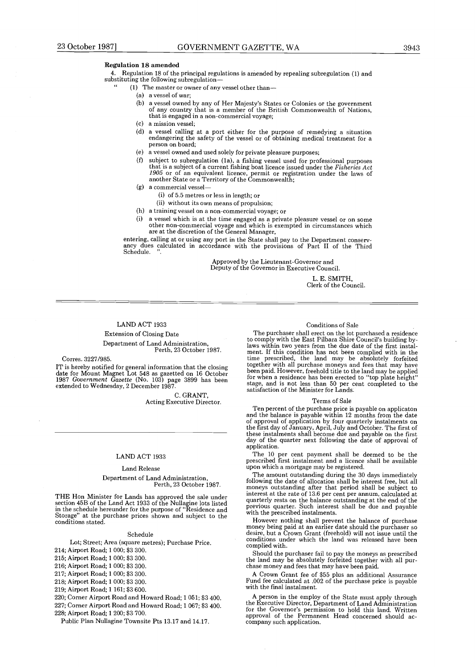"

4 . Regulation 18 of the principal regulations is amended by repealing subregulation (1) and substituting the following subregulation-

- (1) The master or owner of any vessel other than-
	- (a) a vessel of war;
	- (b) a vessel owned by any of Her Majesty's States or Colonies or the government of any country that is a member of the British Commonwealth of Nations, that is engaged in a non-commercial voyage;
	- (c) a mission vessel ;
	- (d) a vessel calling at a port either for the purpose of remedying a situation endangering the safety of the vessel or of obtaining medical treatment for a person on board;
	- (e) a vessel owned and used solely for private pleasure purposes;
	- subject to subregulation (1a), a fishing vessel used for professional purposes that is a subject of a current fishing boat licence issued under the Fisheries Act 1905 or of an equivalent licence, permit or registration under the laws of another State or a Territory of the Commonwealth ;
	- a commercial vessel- (g)
		- (i) of 5.5 metres or less in length; or
		- (ii) without its own means of propulsion;
	- (h) a training vessel on a non-commercial voyage; or
	- (i) a vessel which is at the time engaged as a private pleasure vessel or on some other non-commercial voyage and which is exempted in circumstances which are at the discretion of the General Manager,

entering, calling at or using any port in the State shall pay to the Department conservancy dues calculated in accordance with the provisions of Part II of the Third Schedule.

> Approved by the Lieutenant-Governor and Deputy of the Governor in Executive Council.

> > L. E. SMITH, Clerk of the Council.

#### LAND ACT 1933

Extension of Closing Date

Department of Land Administration, Perth, 23 October 1987.

#### Corres. 3227/985.

IT is hereby notified for general information that the closing date for Mount Magnet Lot 548 as gazetted on 16 October 1987 Government Gazette (No . 103) page 3899 has been extended to Wednesday, 2 December 1987 .

> C. GRANT, Acting Executive Director.

#### LAND ACT 1933

#### Land Release

#### Department of Land Administration, Perth, 23 October 1987 .

THE Hon Minister for Lands has approved the sale under section 45B of the Land Act 1933 of the Nullagine lots listed in the schedule hereunder for the purpose of "Residence and Storage" at the purchase prices shown and subject to the conditions stated .

#### Schedule

Lot; Street; Area (square metres); Purchase Price.

214; Airport Road; 1000; \$3 300.

215; Airport Road; 1 000; \$3 300.

216; Airport Road; 1 000; \$3 300.

217; Airport Road; 1 000; \$3 300.

218; Airport Road; 1 000; \$3 300.

219; Airport Road; 1 161; \$3 600.

220; Corner Airport Road and Howard Road; 1051; \$3 400. 227; Corner Airport Road and Howard Road; 1067; \$3400. 228; Airport Road; 1 200; \$3 700.

Public Plan Nullagine Townsite Pts 13 .17 and 14 .17 .

#### Conditions of Sale

The purchaser shall erect on the lot purchased a residence to comply with the East Pilbara Shire Council's building bylaws within two years from the due date of the first instalment. If this condition has not been complied with in the time prescribed, the land may be absolutely forfeited together with all purchase moneys and fees that may have been paid. However, freehold title to the land may be applied<br>for when a residence has been erected to "top plate height" stage, and is not less than 50 per cent completed to the satisfaction of the Minister for Lands .

#### Terms of Sale

Ten percent of the purchase price is payable on applicaton and the balance is payable within 12 months from the date of approval of application by four quarterly instalments on the first day of January, April, July and October . The first of these instalments shall become due and payable on the first day of the quarter next following the date of approval of application .

The 10 per cent payment shall be deemed to be the prescribed first instalment and a licence shall be available upon which a mortgage may be registered .

The amount outstanding during the 30 days immediately following the date of allocation shall be interest free, but all moneys outstanding after that period shall be subject to interest at the rate of 13 .6 per cent per annum, calculated at quarterly rests on the balance outstanding at the end of the previous quarter. Such interest shall be due and payable with the prescribed instalments.

However nothing shall prevent the balance of purchase money being paid at an earlier date should the purchaser so desire, but a Crown Grant (freehold) will not issue until the conditions under which the land was released have been complied with.

Should the purchaser fail to pay the moneys as prescribed the land may be absolutely forfeited together with all purchase money and fees that may have been paid.

A Crown Grant fee of \$55 plus an additional Assurance Fund fee calculated at .002 of the purchase price is payable with the final instalment.

A person in the employ of the State must apply through the Executive Director, Department of Land Administration for the Governor's permission to hold this land. Written approval of the Permanent Head concerned should accompany such application.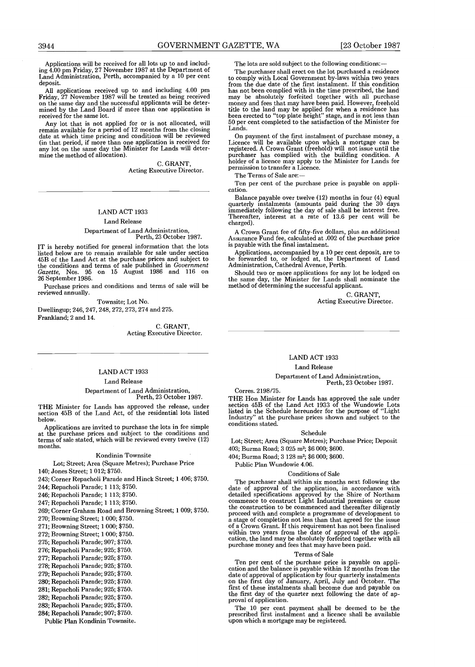Applications will be received for all lots up to and includ-<br>ing 4.00 pm Friday, 27 November 1987 at the Department of Land Administration, Perth, accompanied by a 10 per cent deposit.

All applications received up to and including 4.00 pm<br>Friday, 27 November 1987 will be treated as being received<br>on the same day and the successful applicants will be deter-<br>mined by the Land Board if more than one applica received for the same lot.

Any lot that is not applied for or is not allocated, will remain available for a period of 12 months from the closing date at which time pricing and conditions will be reviewed (in that period, if more than one application is received for any lot on the same day the Minister for Lands will determine the method of allocation).

> C. GRANT, Acting Executive Director.

#### LAND ACT 1933

#### Land Release

#### Department of Land Administration, Perth, 23 October 1987.

IT is hereby notified for general information that the lots listed below are to remain available for sale under section 45B of the Land Act at the purchase prices and subject to the conditions and terms of sale published in Government Gazette, Nos. 95 on 15 August 1986 and 116 on 26 September 1986.

Purchase prices and conditions and terms of sale will be reviewed annually .

Townsite; Lot No. Dwellingup; 246, 247, 248, 272, 273, 274 and 275 . Frankland; 2 and 14 .

> C. GRANT, Acting Executive Director.

#### LAND ACT 1933

#### Land Release

Department of Land Administration, Perth, 23 October 1987.

THE Minister for Lands has approved the release, under section 45B of the Land Act, of the residential lots listed below.

Applications are invited to purchase the lots in fee simple at the purchase prices and subject to the conditions and terms of sale stated, which will be reviewed every twelve (12) months.

#### Kondinin Townsite

#### Lot; Street; Area (Square Metres); Purchase Price

140; Jones Street; 1 012; \$750.

243: Corner Repacholi Parade and Hinck Street; 1 406; \$750.

244; Repacholi Parade; 1 113; \$750.

246; Repacholi Parade; 1 113; \$750.

247; Repacholi Parade; 1 113; \$750.

269; Corner Graham Road and Browning Street; 1 009; \$750.

270; Browning Street; 1 000; \$750.

271; Browning Street; 1 000; \$750.

272; Browning Street; 1 000; \$750.

275; Repacholi Parade; 907 ; \$750.

276; Repacholi Parade; 925 ; \$750.

277; Repacholi Parade; 925; \$750.

278; Repacholi Parade; 925; \$750.

279; Repacholi Parade; 925 ; \$750.

280; Repacholi Parade; 925 ; \$750.

281; Repacholi Parade; 925; \$750.

282; Repacholi Parade; 925; \$750.

283; Repacholi Parade; 925 ; \$750.

284; Repacholi Parade; 907; \$750.

Public Plan Kondinin Townsite .

The lots are sold subject to the following conditions:-

The purchaser shall erect on the lot purchased a residence to comply with Local Government by-laws within two years<br>from the due date of the first instalment. If this condition from the due date of the first instalment . If this condition has not been complied with in the time prescribed, the land may be absolutely forfeited together with all purchase money and fees that may have been paid . However, freehold title to the land may be applied for when a residence has been erected to "top plate height" stage, and is not less than 50 per cent completed to the satisfaction of the Minister for Lands.

On payment of the first instalment of purchase money, a Licence will be available upon which a mortgage can be registered . A Crown Grant (freehold) will not issue until the purchaser has complied with the building condition . A holder of a licence may apply to the Minister for Lands for permission to transfer a Licence .

The Terms of Sale are:-

Ten per cent of the purchase price is payable on application .

Balance payable over twelve (12) months in four (4) equal quarterly instalments (amounts paid during the 30 days immediately following the day of sale shall be interest free . Thereafter, interest at a rate of 13 .6 per cent will be charged).

A Crown Grant fee of fifty-five dollars, plus an additional Assurance Fund fee, calculated at .002 of the purchase price is payable with the final instalment.

Applications, accompanied by a 10 per cent deposit, are to be forwarded to, or lodged at, the Department of Land Administration, Cathedral Avenue, Perth .

Should two or more applications for any lot be lodged on the same day, the Minister for Lands shall nominate the method of determining the successful applicant.

C. GRANT, Acting Executive Director.

#### LAND ACT 1933

#### Land Release

#### Department of Land Administration, Perth, 23 October 1987.

Corres. 2198/75.

THE HON MINISTER TOT LANGS has approved the sale under<br>section 45B of the Land Act 1933 of the Wundowie Lots<br>listed in the Schedule hereunder for the purpose of "Light<br>Industry" at the purchase prices shown and subject to conditions stated .

#### Schedule

Lot: Street: Area (Square Metres); Purchase Price; Deposit 403; Burma Road; 3 025 m<sup>2</sup>; \$6 000; \$600.

404; Burma Road; 3 128 m<sup>2</sup>; \$6 000; \$600.

Public Plan Wundowie 4.06.

#### Conditions of Sale

The purchaser shall within six months next following the date of approval of the application, in accordance with detailed specifications approved by the Shire of Northam commence to construct Light Industrial premises or cause the construction to be commenced and thereafter diligently proceed with and complete a programme of development to a stage of completion not less than that agreed for the issue of a Crown Grant . If this requirement has not been finalised within two years from the date of approval of the appli-<br>cation, the land may be absolutely forfeited together with all purchase money and fees that may have been paid.

#### Terms of Sale

Ten per cent of the purchase price is payable on appli-cation and the balance is payable within 12 months from the date of approval of application by four quarterly instalments on the first day of January, April, July and October . The first of these instalments shall become due and payable on the first day of the quarter next following the date of approval of application.

The 10 per cent payment shall be deemed to be the prescribed first instalment and a licence shall be available upon which a mortgage may be registered.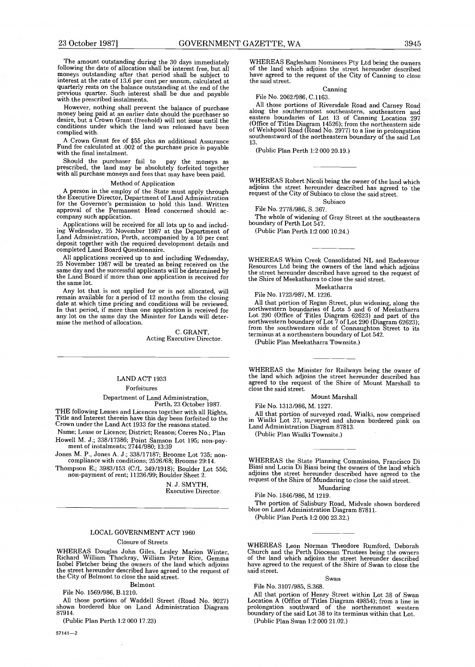The amount outstanding during the 30 days immediately<br>following the date of allocation shall be interest free, but all<br>moneys outstanding after that period shall be subject to<br>interest at the rate of 13.6 per cent per annu quarterly rests on the balance outstanding at the end of the previous quarter. Such interest shall be due and payable with the prescribed instalments .

However, nothing shall prevent the balance of purchase money being paid at an earlier date should the purchaser so desire, but a Crown Grant (freehold) will not issue until the conditions under which the land was released have been complied with.

A Crown Grant fee of \$55 plus an additional Assurance Fund fee calculated at .002 of the purchase price is payable with the final instalment.

Should the purchaser fail to pay the moneys as prescribed, the land may be absolutely forfeited together with all purchase moneys and fees that may have been paid .

#### Method of Application

A person in the employ of the State must apply through the Executive Director, Department of Land Administration for the Governor's permission to hold this land . Written approval of the Permanent Head concerned should ac-company such application .

Applications will be received for all lots up to and includ-ing Wednesday, 25 November 1987 at the Department of Land Administration, Perth, accompanied by a 10 per cent deposit together with the required development details and completed Land Board Questionnaire.

All applications received up to and including Wednesday, 25 November 1987 will be treated as being received on the same day and the successful applicants will be determined by the Land Board if more than one application is received for the same lot.

Any lot that is not applied for or is not allocated, will remain available for a period of 12 months from the closing date at which time pricing and conditions will be reviewed . In that period, if more than one application is received for any lot on the same day the Minister for Lands will determine the method of allocation.

> C. GRANT, Acting Executive Director .

#### LAND ACT 1933

Forfeitures

Department of Land Administration,

Perth, 23 October 1987. THE following Leases and Licences together with all Rights, Title and Interest therein have this day been forfeited to the

Crown under the Land Act 1933 for the reasons stated . Name; Lease or Licence; District; Reason; Corres No.; Plan Howell M. J.; 338/17386; Point Samson Lot 195; non-payment of instalments; 2744/980; 13:39

Jones M. P., Jones A. J.; 338/17187; Broome Lot 735; non-compliance with conditions; 2526/68; Broome 29:14. compliance with conditions ; 2526/68; Broome 29 :14 .

Thompson E.; 3983/153 (C/L 349/1918); Boulder Lot 556;<br>non-payment of rent; 11236/99; Boulder Sheet 2.

N. J. SMYTH, Executive Director.

#### LOCAL GOVERNMENT ACT 1960

#### Closure of Streets

WHEREAS Douglas John Giles, Lesley Marion Winter,<br>Richard William Thackray, William Peter Rice, Gemma<br>Isobel Fletcher being the owners of the land which adjoins<br>the street hereunder described have agreed to the request of<br>

Belmont

File No. 1569/986, B.1210.

All those portions of Waddell Street (Road No . 9027) shown bordered blue on Land Administration Diagram 87914 .

(Public Plan Perth 1:2 000 17.23)

57141-2

WHEREAS Eaglesham Nominees Pty Ltd being the owners of the land which adjoins the street hereunder described have agreed to the request of the City of Canning to close the said street.

#### Canning

File No. 2062/986, C.1163.

All those portions of Riversdale Road and Carney Road along the southernmost southeastern, southeastern and eastern boundaries of Lot 13 of Canning Location 297 (Office of Titles Diagram 14526) ; from the northeastern side of Welshpool Road (Road No. 2977) to a line in prolongation southeastward of the northeastern boundary of the said Lot 13.

(Public Plan Perth 1:2 000 20.19.)

WHEREAS Robert Nicoli being the owner of the land which adjoins the street hereunder described has agreed to the request of the City of Subiaco to close the said street .

Subiaco File No . 2778/986, S. 367 .

The whole of widening of Gray Street at the southeastern boundary of Perth Lot 547.

(Public Plan Perth 1:2 000 10.24.)

WHEREAS Whim Creek Consolidated NL and Endeavour Resources Ltd being the owners of the land which adjoins the street hereunder described have agreed to the request of the Shire of Meekatharra to close the said street.

#### Meekatharra

File No. 1723/987, M. 1226.<br>All that portion of Regan Street, plus widening, along the All that portion of regan Street, plus widening, along the<br>northwestern boundaries of Lots 5 and 6 of Meekatharra<br>Lot 290 (Office of Titles Diagram 62623) and part of the<br>northwestern boundary of Lot 7 of Lot 290 (Diagram

(Public Plan Meekatharra Townsite .)

WHEREAS the Minister for Railways being the owner of the land which adjoins the street hereunder described has agreed to the request of the Shire of Mount Marshall to close the said street.

Mount Marshall

File No. 1313/986, M. 1227.

All that portion of surveyed road, Wialki, now comprised in Wialki Lot 37, surveyed and shown bordered pink on Land Administration Diagram 87813 .

(Public Plan Wialki Townsite.)

WHEREAS the State Planning Commission, Francisco Di Biasi and Lucia Di Biasi being the owners of the land which adjoins the street hereunder described have agreed to the request of the Shire of Mundaring to close the said street.

#### Mundaring File No. 1846/986, M 1219.

The portion of Salisbury Road, Midvale shown bordered blue on Land Administration Diagram 87811.

(Public Plan Perth 1:2 000 23.32.)

WHEREAS Leon Norman Theodore Rumford, Deborah Church and the Perth Diocesan Trustees being the owners of the land which adjoins the street hereunder described have agreed to the request of the Shire of Swan to close the said street.

#### Swan

File No. 3107/985, S.368.

All that portion of Henry Street within Lot 38 of Swan Location A (Office of Titles Diagram 49854) ; from a line in prolongation southward of the northernmost western boundary of the said Lot 38 to its terminus within that Lot.

(Public Plan Swan 1:2 000 21.02.)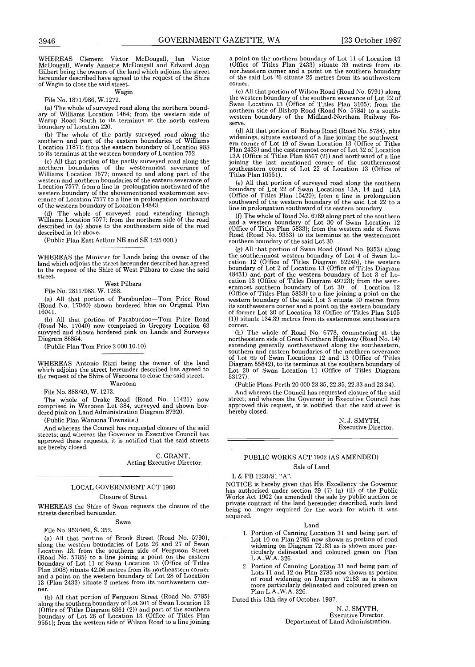WHEREAS Clement Victor McDougall, Ian Victor McDougall, Wendy Annette McDougall and Edward John Gilbert being the owners of the land which adjoins the street hereunder described have agreed to the request of the Shire of Wagin to close the said street .  $\frac{3946}{\text{WHEREAS}}$ 

#### Wagin

File No. 1871/986, W.1272.

(a) The whole of surveyed road along the northern bound-ary of Williams Location 1464 ; from the western side of Warup Road South to its terminus at the north eastern boundary of Location 220 .

(b) The whole of the partly surveyed road along the southern and part of the eastern boundaries of Williams Location 11871 ; from the eastern boundary of Location 988 to its terminus at the western boundary of Location 752 .

(c) All that portion of the partly surveyed road along the northern boundaries of the westernmost severance of Williams Location 7577; onward to and along part of the western and northern boundaries of the eastern severance of Location 7577; from a line in prolongation northward of the western boundary of the abovementioned westernmost severance of Location 7577 to a line in prolongation northward of the western boundary of Location 14843 .

(d) The whole of surveyed road extending through Williams Location 7577 ; from the northern side of the road described in (a) above to the southeastern side of the road described in (c) above.

(Public Plan East Arthur NE and SE 1:25 000.)

WHEREAS the Minister for Lands being the owner of the land which adjoins the street hereunder described has agreed to the request of the Shire of West Pilbara to close the said street.

#### West Pilbara File No. 2811/983, W. 1268.

(a) All that portion of Paraburdoo-Tom Price Road (Road No. 17040) shown bordered blue on Original Plan 16041.

(b) All that portion of Paraburdoo-Tom Price Road (Road No. 17040) now comprised in Gregory Location 63 survyed and shown bordered pink on Lands and Surveyes Diagram 86854.

(Public Plan Tom Price 2 000 10 .10)

WHEREAS Antonio Rizzi being the owner of the land which adjoins the street hereunder described has agreed to the request of the Shire of Waroona to close the said street.

#### Waroona

File No. 888/49, W. 1273.

The whole of Drake Road (Road No . 11421) now comprised in Waroona Lot 384, surveyed and shown bor-dered pink on Land Administration Diagram 87920 .

(Public Plan Waroona Townsite.)

And whereas the Council has requested closure of the said streets: and whereas the Governor in Executive Council has streets; and whereas the Governor in Executive Council has<br>approved these requests, it is notified that the said streets are hereby closed.

> C. GRANT, Acting Executive Director.

#### LOCAL GOVERNMENT ACT 1960

#### Closure of Street

WHEREAS the Shire of Swan requests the closure of the streets described hereunder .

#### Swan

#### File No. 953/986, S. 352.

(a) All that portion of Brook Street (Road No. 5790), along the western boundaries of Lots 26 and 27 of Swan Location 13; from the southern side of Ferguson Street (Road No . 5785) to a line joining a point on the eastern boundary of Lot 11 of Swan Location 13 (Office of Titles Plan 2008) situate 42 .06 metres from its northeastern corner and a point on the western boundary of Lot 28 of Location 13 (Plan 2433) situate 2 metres from its northwestern cor-<br>ner. ner.

(b) All that portion of Ferguson Street (Road No . 5785) along the southern boundary of Lot 301 of Swan Location 13 (Office of Titles Diagram 6361 (2)) and part of the southern boundary of Lot 26 of Location 13 (Office of Titles Plan 9551) ; from the western side of Wilson Road to a line joining

a point on the northern boundary of Lot 11 of Location 13 (Office of Titles Plan 2433) situate 39 metres from its northeastern corner and a point on the southern boundary of the said Lot 26 situate 25 metres from its southwestern corner.

(c) All that portion of Wilson Road (Road No. 5791) along the western boundary of the southern severance of Lot 22 of Swan Location 13 (Office of Titles Plan 3105) ; from the northern side of Bishop Road (Road No . 5784) to a southwestern boundary of the Midland-Northam Railway Reserve .

(d) All that portion of Bishop Road (Road No . 5784), plus widenings, situate eastward of a line joining the southwestern corner of Lot 19 of Swan Location 13 (Office of Titles Plan 2433) and the easternmost corner of Lot 32 of Location 13A (Office of Titles Plan 8567 (2)) and northward of a line joining the last mentioned corner of the southernmost southeastern corner of Lot 22 of Location 13 (Office of Titles Plan 10551) .

(e) All that portion of surveyed road along the southern boundary of Lot 22 of Swan Locations 13A, 14 and 14A (Office of Titles Plan 15420) ; from a line in prolongation southward of the western boundary of the said Lot 22 to a line in prolongation southward of its eastern boundary .

(f) The whole of Road No . 6789 along part of the southern and a western boundary of Lot 30 of Swan Location 12 (Office of Titles Plan 5833) ; from the western side of Swan Road (Road No. 9353) to its terminus at the westernmost southern boundary of the said Lot 30.<br>(g) All that portion of Swan Road (Road No. 9353) along

(g) All that portion of Swan Road (Road No. 9353) along<br>the southernmost western boundary of Lot 4 of Swan Lo-<br>cation 12 (Office of Titles Diagram 52245), the western<br>boundary of Lot 2 of Location 13 (Office of Titles Dia cation 13 (Office of Titles Diagram 49723) ; from the westernmost southern boundary of Lot 30 of Location 12 (Office of Titles Plan 5833) to a line joining a point on the western boundary of the said Lot 3 situate 10 metres from its southwestern corner and a point on the eastern boundary of former Lot 30 of Location 13 (Office of Titles Plan 3105 (1)) situate 134 .39 metres from its easternmost southeastern corner.

(h) The whole of Road No . 6778, commencing at the northeastern side of Great Northern Highway (Road No . 14) extending generally northeastward along the southeastern, southern and eastern boundaries of the northern severance of Lot 69 of Swan Locations 12 and 13 (Office of Titles Diagram 55842), to its terminus at the southern boundary of Lot 20 of Swan Location 11 (Office of Titles Diagram 53127) .

(Public Plans Perth 20 000 23 .35, 22 .35, 22 .33 and 23 .34) .

And whereas the Council has requested closure of the said street; and whereas the Governor in Executive Council has approved this request, it is notified that the said street is hereby closed.

> Executive Director. N. J. SMYTH,

#### PUBLIC WORKS ACT 1902 (AS AMENDED) Sale of Land

#### L & PB 1230/81 "A".

NOTICE is hereby given that His Excellency the Governor has authorised under section 29 (7) (a) (ii) of the Public Works Act 1902 (as amended) the sale by public auction or private contract of the land hereunder described, such land being no longer required for the work for which it was acquired.

#### Land

- 1 . Portion of Canning Location 31 and being part of Lot 10 on Plan 2785 now shown as portion of road widening on Diagram 72183 as is shown more particularly delineated and coloured green on Plan L.A., W.A. 326.
- 2 . Portion of Canning Location 31 and being part of Lots 11 and 12 on Plan 2785 now shown as portion of road widening on Diagram 72183 as is shown more particularly delineated and coloured green on Plan L.A., W.A. 326.

Dated this 13th day of October. 1987.

N. J. SMYTH, Executive Director, Department of Land Administration .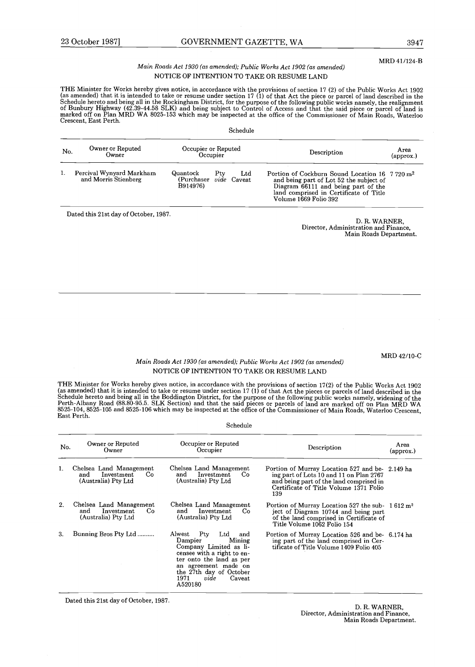#### MRD 41/124-B

#### Main Roads Act 1930 (as amended); Public Works Act 1902 (as amended) NOTICE OF INTENTION TO TAKE OR RESUME LAND

The Minister for works hereby gives notice, in accordance with the provisions of section 17 (2) of the Public Works Act 1902<br>(as amended) that it is intended to take or resume under section 17 (1) of that Act the piece or Schedule hereto and being all in the Rockingham District, for the purpose of the following public works namely, the realignment<br>of Bunbury Highway (42.39-44.58 SLK) and being subject to Control of Access and that the said marked off on Plan MRD WA 8025-153 which may be inspected at the office of the Commissioner of Main Roads, Waterloo<br>Crescent, East Perth.

Schedule

| No. | Owner or Reputed<br>Owner                        | Occupier or Reputed<br>Occupier                              |  |              | Description                                                                                                                                                                                                     | Area<br>(approx.) |
|-----|--------------------------------------------------|--------------------------------------------------------------|--|--------------|-----------------------------------------------------------------------------------------------------------------------------------------------------------------------------------------------------------------|-------------------|
| 1.  | Percival Wynyard Markham<br>and Morris Stienberg | Quantock<br>Ptv<br>(Purchaser <i>vide</i> Caveat<br>B914976) |  | $_{\rm Ltd}$ | Portion of Cockburn Sound Location 16 7 720 m <sup>2</sup><br>and being part of Lot 52 the subject of<br>Diagram 66111 and being part of the<br>land comprised in Certificate of Title<br>Volume 1669 Folio 392 |                   |

D. R. WARNER, Director, Administration and Finance, Main Roads Department.

MRD 42/10-C

#### Main Roads Act 1930 (as amended); Public Works Act 1902 (as amended) NOTICE OF INTENTION TO TAKE OR RESUME LAND

THE WINDSTED TO TWO THE MANUSCRIPT OF SURFACE AND THE PROVISIONS OF SECTION IT (2) OF the Public Works Act 1902<br>(as amended) that it is intended to take or resume under section 17 (1) of that Act the pieces or parcels of l East Perth.

Schedule

| No. | Owner or Reputed<br>Owner                                                  | Occupier or Reputed<br>Occupier                                                                                                                                                                                                    | Description                                                                                                                                                                           | Area<br>(approx.) |
|-----|----------------------------------------------------------------------------|------------------------------------------------------------------------------------------------------------------------------------------------------------------------------------------------------------------------------------|---------------------------------------------------------------------------------------------------------------------------------------------------------------------------------------|-------------------|
|     | Chelsea Land Management<br>Investment<br>Co.<br>and<br>(Australia) Pty Ltd | Chelsea Land Management<br>Investment<br>Co.<br>and<br>(Australia) Pty Ltd                                                                                                                                                         | Portion of Murray Location 527 and be-2.149 ha<br>ing part of Lots 10 and 11 on Plan 2767<br>and being part of the land comprised in<br>Certificate of Title Volume 1371 Folio<br>139 |                   |
| 2.  | Chelsea Land Management<br>Investment<br>Co.<br>and<br>(Australia) Pty Ltd | Chelsea Land Management<br>Investment<br>and<br>Co.<br>(Australia) Pty Ltd                                                                                                                                                         | Portion of Murray Location 527 the sub- $1612 \text{ m}^2$<br>ject of Diagram 10744 and being part<br>of the land comprised in Certificate of<br>Title Volume 1062 Folio 154          |                   |
| 3.  | Bunning Bros Pty Ltd                                                       | Alwest Pty<br>$_{\rm Ltd}$<br>and<br>Dampier<br>Mining<br>Company Limited as li-<br>censee with a right to en-<br>ter onto the land as per<br>an agreement made on<br>the 27th day of October<br>1971<br>vide<br>Caveat<br>A520180 | Portion of Murray Location 526 and be- 6.174 ha<br>ing part of the land comprised in Cer-<br>tificate of Title Volume 1409 Folio 405                                                  |                   |

Dated this 21st day of October, 1987 .

D. R. WARNER, Director, Administration and Finance, Main Roads Department.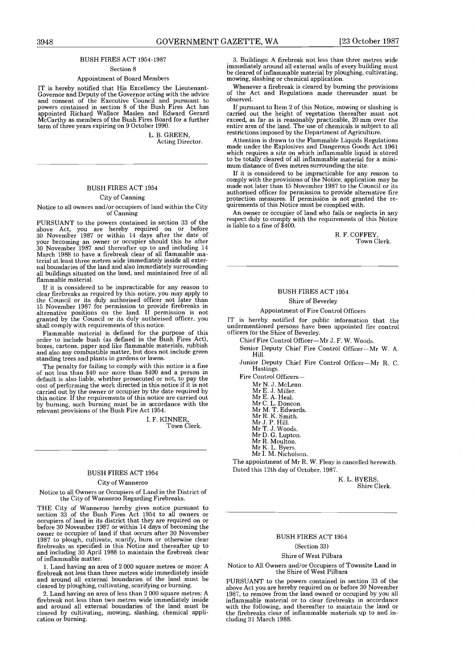#### BUSH FIRES ACT 1954-1987

Section 8

#### Appointment of Board Members

IT is hereby notified that His Excellency the Lieutenant-Governor and Deputy of the Governor acting with the advice and consent of the Executive Council and pursuant to powers contained in section 8 of the Bush Fires Act has appointed Richard Wallace Maslen and Edward Gerard McCarthy as members of the Bush Fires Board for a further term of three years expiring on 9 October 1990.

> L. B. GREEN, Acting Director.

#### BUSH FIRES ACT 1954

#### City of Canning

#### Notice to all owners and/or occupiers of land within the City of Canning

PURSUANT to the powers contained in section 33 of the above Act, you are hereby required on or before 30 November 1987 or within 14 days after the date of your becoming an owner or occupier should this be after 30 November 1987 and thereafter up to and including 14 March 1988 to have a firebreak clear of all flammable material at least three metres wide immediately inside all external boundaries of the land and also immediately surrounding all buildings situated on the land, and maintained free of all flammable material.

If it is considered to be impracticable for any reason to clear firebreaks as required by this notice, you may apply to the Council or its duly authorised officer not later than 15 November 1987 for permission to provide firebreaks in alternative positions on the land . If permission is not granted by the Council or its duly authorised officer, you shall comply with requirements of this notice.<br>Flammable material is defined for the purpose of this

Flammable material is defined for the purpose of this order to include bush (as defined in the Bush Fires Act), boxes, cartons, paper and like flammable materials, rubbish and also any combustible matter, but does not include green standing trees and plants in gardens or lawns .

The penalty for failing to comply with this notice is a fine of not less than \$40 nor more than \$400 and a person in default is also liable, whether prosecuted or not, to pay the cost of performing the work directed in this notice if it is not carried out by the owner or occupier by the date required by this notice . If the requirements of this notice are carried out by burning, such burning must be in accordance with the relevant provisions of the Bush Fire Act 1954 .

> I. F. KINNER, Town Clerk.

#### BUSH FIRES ACT 1954

#### City of Wanneroo

Notice to all Owners or Occupiers of Land in the District of the City of Wanneroo Regarding Firebreaks .

THE City of Wanneroo hereby gives notice pursuant to section 33 of the Bush Fires Act 1954 to all owners or occupiers of land in its district that they are required on or before 30 November 1987 or within 14 days of becoming the owner or occupier of land if that occurs after 30 November 1987 to plough, cultivate, scarify, burn or otherwise clear firebreaks as specified in this induce and thereafter up to and including 30 April 1988 to maintain the firebreak clear of inflammable matter.

1. Land having an area of 2000 square metres or more: A firebreak not less than three metres wide immediately inside and around all external boundaries of the land must be cleared by ploughing, cultivating, scarifying or burning .

2 . Land having an area of less than 2 000 square metres: A firebreak not less than two metres wide immediately inside and around all external boundaries of the land must be cleared by cultivating, mowing, slashing, chemical application or burning.

3 . Buildings: A firebreak not less than three metres wide immediately around all external walls of every building must be cleared of inflammable material by ploughing, cultivating, mowing, slashing or chemical application.

Whenever a firebreak is cleared by burning the provisions of the Act and Regulations made thereunder must be observed .

If pursuant to Item 2 of this Notice, mowing or slashing is carried out the height of vegetation thereafter must not exceed, as far as is reasonably practicable, 20 mm over the entire area of the land. The use of chemicals is subject to all restrictions imposed by the Department of Agriculture .

Attention is drawn to the Flammable Liquids Regulations made under the Explosives and Dangerous Goods Act 1961 which requires a site on which inflammable liquid is stored to be totally cleared of all inflammable material for a minimum distance of fives metres surrounding the site.

If it is considered to be impracticable for any reason to comply with the provisions of the Notice, application may be made not later than 15 November 1987 to the Council or its authorised officer for permission to provide alternative fire protection measures. If permission is not granted the requirements of this Notice must be complied with .

An owner or occupier of land who fails or neglects in any respect duly to comply with the requirements of this Notice is liable to a fine of \$400 .

> R. F. COFFEY, Town Clerk.

#### BUSH FIRES ACT 1954 Shire of Beverley

#### Appointment of Fire Control Officers

IT is hereby notified for public information that the undermentioned persons have been appointed fire control officers for the Shire of Beverley .

Chief Fire Control Officer-Mr J. F. W. Woods.

Senior Deputy Chief Fire Control Officer-Mr W. A. Hill .

Junior Deputy Chief Fire Control Officer-Mr R. C. Hastings .

Fire Control Officers-

Mr N. J. McLean.<br>Mr E. J. Miller.

- Mr E. J. Miller.
- Mr E. A. Heal.
- Mr C. L. Doncon.<br>Mr M. T. Edwards.<br>Mr R. K. Smith.
- 
- 
- Mr J. P. Hill.<br>Mr T. J. Woods.<br>Mr D. G. Lupton.
- Mr R. Moulton.
- Mr K. L. Byers.
- Mr I. M. Nicholson.

The appointment of Mr R. W. Fleay is cancelled herewith. Dated this 12th day of October, 1987 .

> K. L. BYERS, Shire Clerk .

#### BUSH FIRES ACT 1954

#### (Section 33)

#### Shire of West Pilbara

Notice to All Owners and/or Occupiers of Townsite Land in the Shire of West Pilbara

PURSUANT to the powers contained in section 33 of the above Act you are hereby required on or before 30 November 1987, to remove from the land owned or occupied by you all inflammable material or to clear firebreaks in accordance with the following, and thereafter to maintain the land of the firebreaks clear of inflammable materials up to and including 31 March 1988 .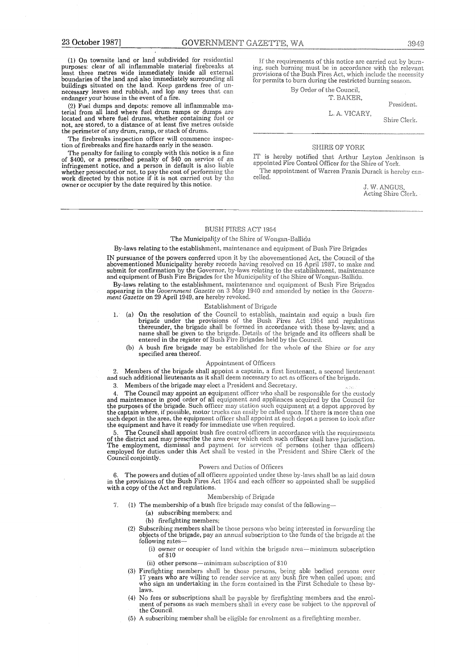23 October 1987]<br>
(1) On townsite land or land subdivided for reside<br>
purposes: clear of all inflammable material firebreal<br>
least three metres wide immediately inside all ext<br>
boundaries of the land and also immediately s (1) On townsite land or land subdivided for residential purposes: clear of all inflammable material firebreaks at least three metres wide immediately inside all external boundaries of the land and also immediately surrounding all buildings situated on the land . Keep gardens free of un-necessary leaves and rubbish, and lop any trees that can endanger your house in the event of a fire.

(2) Fuel dumps and depots : remove all inflammable ma-terial from all land where fuel drum ramps or dumps are located and where fuel drums, whether containing fuel or not, are stored, to a distance of at least five metres outside the perimeter of any drum, ramp, or stack of drums.

The firebreaks inspection officer will commence inspection of firebreaks and fire hazards early in the season .

The penalty for failing to comply with this notice is a fine of \$400, or a prescribed penalty of \$40 on service of an infringement notice, and a person in default is also liable whether prosecuted or not, to pay the cost of performing the work directed by this notice if it is not carried out by the owner or occupier by the date required by this notice .

If the requirements of this notice are carried out by burning, such burning must be in accordance with the relevant provisions of the Bush Fires Act, which include the necessity for permits to burn during the restricted burning season.

By Order of the Council,

T. BAKER,

President.

L. A. VICARY,

Shire Clerk.

#### **SHIRE OF YORK**

is hereby notified that Arthur Leyton Jenkinson is<br>cinted Fire Control Officer for the Shire of York. The appointment of Warren Franis Durack is hereby can-

> s. W. ANGUS, Acting Shire Clerk.

#### BUSH FIRES ACT 1954

celled.

#### The Municipality of the Shire of Wongan-Ballidu

#### By-laws relating to the establishment, maintenance and equipment of Bush Fire Brigades

IN pursuance of the powers conferred upon it by the abovementioned Act, the Council of the abovementioned Municipality hereby records having resolved on 16 April 1987, to make and submit for confirmation by the Governor, by-laws relating to the establishment, maintenance and equipment of Bush Fire Brigades for the Municipality of the Shire of Wongan-Ballidu .

By-laws relating to the establishment, maintenance and equipment of Bush Fire Brigades appearing in the Government Gazette on 3 May 1940 and amended by notice in the Government Gazette on 29 April 1949, are hereby revoked.

#### Establishment of Brigade

- 1. (a) On the resolution of the Council to establish, maintain and equip a bush fire<br>brigade under the provisions of the Bush Fires Act 1954 and regulations<br>thereunder, the brigade shall be formed in accordance with these name shall be given to the brigade. Details of the brigade and its officers shall<br>entered in the register of Bush Fire Brigades held by the Council.
	- (b) A bush fire brigade may be established for the whole of the Shire or for any specified area thereof.

#### Appointment of Officers

2 . Members of the brigade shall appoint a captain, a first lieutenant, a second lieutenant and such additional lieutenants as it shall deem necessary to act as officers of the brigade .

3 . Members of the brigade may elect a President and Secretary .

4. The Council may appoint an equipment officer who shall be responsible for the custody<br>and maintenance in good order of all equipment and appliances acquired by the Council for<br>the purposes of the brigade. Such officer m such depot in the area, the equipment officer shall appoint at each depot a person to look after the equipment and have it ready for immediate use when required .

5. The Council shall appoint bush fire control officers in accordance with the requirements of the district and may prescribe the area over which each such officer shall have jurisdiction. of the district and may prescribe the area over which each such officer shall have jurisdiction.<br>The employment, dismissal and payment for services of persons (other than officers)<br>employed for duties under this Act shall Council conjointly.

#### Powers and Duties of Officers

6 . The powers and duties of all officers appointed under these by-laws shall he as laid down in the provisions of the Bush Fires Act 1954 and each officer so appointed shall be supplied with a copy of the Act and regulations.

#### Membership of Brigade

- 7. (1) The membership of a bush fire brigade may consist of the following-
	- (a) subscribing members; and
	- (b) firefighting members;
	- (2) Subscribing members shall be those persons who being interested in forwarding the objects of the brigade, pay an annual subscription to the funds of the brigade at the following rates-
		- (1) owner or occupier of land within the brigade area-minimum subscription of \$10
		- (ii) other persons—minimum subscription of \$10
	- (3) Firefighting members shall be those persons, being able bodied persons over<br>17 years who are willing to render service at any bush fire when called upon; and<br>who sign an undertaking in the form contained in the First S laws .
	- (4) No fees or subscriptions shall be payable by firefighting members and the ment of persons as such members shall in every case be subject to the approval the Council .
	- (5) A subscribing member shall be eligible for enrolment as a firefighting member .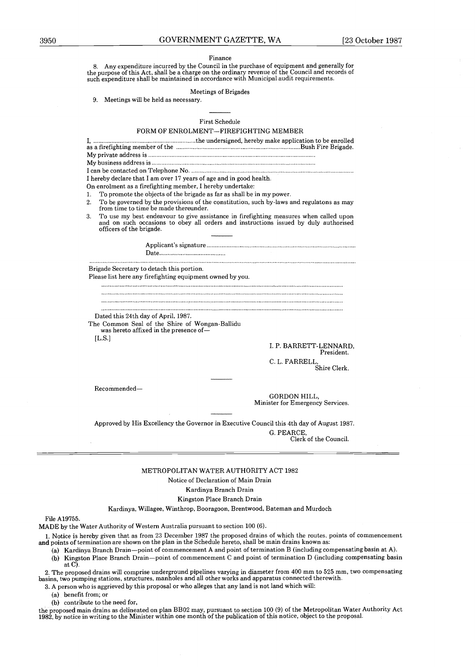#### Finance

8 . Any expenditure incurred by the Council in the purchase of equipment and generally for the purpose of this Act, shall be a charge on the ordinary revenue of the Council and records of such expenditure shall be maintained in accordance with Municipal audit requirements.

#### Meetings of Brigades

9. Meetings will be held as necessary.

First Schedule FORM OF ENROLMENT-FIREFIGHTING MEMBER Finance<br>
In the purpose of this Act, shall be a charge on the ordinary revenue of the Council and records of<br>
such expenditure shall be maintained in accordance with Municipal audit requirements.<br>
Meetings of Brigades<br>
9. as a firefight in the purchase of equipment and generally for the purpose of this Act, shall be a charge on the ordinary revenue of the Council and records of such expenditure shall be maintained in accordance with Municip My private address is My business address is I can be contacted on Telephone No I hereby declare that I am over 17 years of age and in good health. Meetings of Bi<br>
Meetings of Bi<br>
Meetings of Bi<br>
Meetings of Bi<br>
First Schee<br>
M OF ENROLMENT—FIR<br>
And OF ENROLMENT—FIR<br>
And OF ENROLMENT—FIR<br>
And OF TV Search Scheen<br>
Telephone No.<br>
And over 17 years of age and if<br>
ifightin On enrolment as a firefighting member, I hereby undertake: 1. To promote the objects of the brigade as far as shall be in my power. 2 . To be governed by the provisions of the constitution, such by-laws and regulatons as may from time to time be made thereunder. 3 . To use my best endeavour to give assistance in firefighting measures when called upon and on such occasions to obey all orders and instructions issued by duly authorised officers of the brigade . . . . . . . . . . . . . . . . . . . . . . . . .. . . . . . . . . . Applicant's signature Date . . . . . . . . . . . . . . . .. . . . . . . . . . . . . . . . . . . . . . . . . . . . . . . . . . . . . . . . . . . . . .. . . . . . . . . . . . . . . . . . . . . . . . . . . . . . . . . . . . . . . . . . .. . . . . . . . . . . . . . . . . . . . . . Example of the brigade as farmed the brigade as farmed the conduction of the conduction of the conduction of the conduction of the conduction of the conduction of the conduction of the conduction of the conduction of the c age and in good health.<br>
intereby undertake:<br>
as far as shall be in my power-<br>
the constitution, such by-law<br>
r.<br>
conders and instructions issues<br>
and instructions issues<br>
and instructions issues<br>
and instructions is and i Brigade Secretary to detach this portion. Please list here any firefighting equipment owned by you. . . . . . . . . . . .. . . . . . . . . . . . . . . . . . . . . . . . . .. . . . . . . . . . . . . . . . . . . . . . .. . . . . . . . . . . . . . . . . . . .. . . . . . . . . . . . . . . . . . . . . . .. . . . . . . . . . . . . . . . . . . . . . .. . . . . . . . . . . . . . . . . . . . . . . . . . . . . . .. . . . . . . . . . . . . . . . . . . . . . . . . .. . . . . . . . . . . . . . . . . . . . . . .. . . . . . . . . . . . . . . . . . . .. . . . . . . . . . . . . . . . . . . . . . .. . . . . . . . . . . . . . . . . . . . . . .. . . . . . . . . . . . . . . . . . . . . . . . . . . . . . . . . .. . . . . . . . . . . . . . . . . . . . . . .. . . . . . . . . . . . . . . . . . . . . . .. . . . . . . . . . . . . . . . . . . . . . .. . . . . . . . . . . . . . . . . . . . . . . . . . . . . . . . . . . . . . . . . . .. . . . . . . . . . . . . . . . . . . . . . . . . . . . . . . . . .. . . . . . . . . . . . . . . . . . . . . . .. . . . . . . . . . . . . . . . . . . . . . .. . . . . . . . . . . . . . . . . . . . . . .. . . . . . . . . . . . . . . . . . . . . . .. . . . . . . . . . . . . . . . . . . .. . . . . . . . . . . . . . . . . . . . Dated this 24th day of April, 1987. The Common Seal of the Shire of Wongan-Ballidu was hereto affixed in the presence of-  $[$ L.S. $]$ 

I. P. BARRETT-LENNARD, President. C. L. FARRELL

Shire Clerk .

Recommended-

GORDON HILL, Minister for Emergency Services.

Approved by His Excellency the Governor in Executive Council this 4th day of August 1987 .

G. PEARCE, Clerk of the Council.

#### METROPOLITAN WATER AUTHORITY ACT 1982

Notice of Declaration of Main Drain

#### Kardinya Branch Drain

Kingston Place Branch Drain

Kardinya, Willagee, Winthrop, Booragoon, Brentwood, Bateman and Murdoch

File A19755 .

MADE by the Water Authority of Western Australia pursuant to section 100 (6) . <sup>1</sup> . Notice is hereby given that as from 23 December 1987 the proposed drains of which the routes . points of commencement and points of termination are shown on the plan in the Schedule hereto, shall be main drains known as :

 $(a)$  Kardinya Branch Drain-point of commencement A and point of termination B (including compensating basin at A).

(b) Kingston Place Branch Drain-point of commencement C and point of termination D (including compensating basin at  $C$ ).

2 . The proposed drains will comprise underground pipelines varying in diameter from 400 mm to 525 mm, two compensating basins, two pumping stations, structures, manholes and all other works and apparatus connected therewith .

3. A person who is aggrieved by this proposal or who alleges that any land is not land which will:

(a) benefit from; or

(b) contribute to the need for,

the proposed main drains as delineated on plan BB02 may, pursuant to section 100 (9) of the Metropolitan Water Authority Act 1982, by notice in writing to the Minister within one month of the publication of this notice, object to the proposal .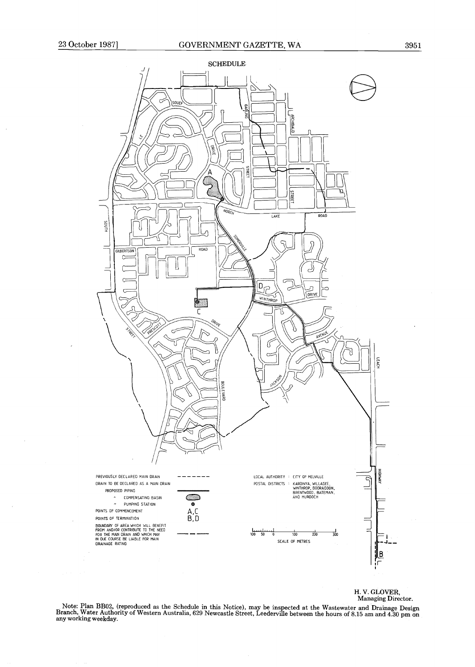

H. V. GLOVER, Managing Director .

Note: Plan BB02, (reproduced as the Schedule in this Notice), may be inspected at the Wastewater and Drainage Design Branch, Water Authority of Western Australia, 629 Newcastle Street, Leederville between the hours of 8 .15 am and 4 .30 pm on any working weekday .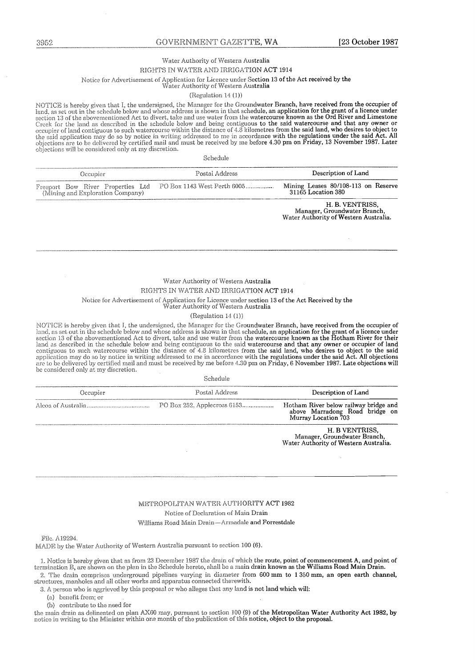#### Water Authority of Western Australia

#### RIGHTS IN WATER AND IRRIGATION ACT 1914

# Notice for Advertisement of Application for Licence under Section 13 of the Act received by the Water Authority of Western Australia

#### (Regulation 14 (1))

| objections will be considered only at my discretion.                  | Schedule                    |                                                           |  |
|-----------------------------------------------------------------------|-----------------------------|-----------------------------------------------------------|--|
| Occupier                                                              | Postal Address              | Description of Land                                       |  |
| Freeport Bow River Properties Ltd<br>(Mining and Exploration Company) | PO Box 1143 West Perth 6005 | Mining Leases 80/108-113 on Reserve<br>31165 Location 380 |  |
|                                                                       |                             | H. B. VENTRISS.<br>Manager Groundwater Branch             |  |

#### Water Authority of Western Australia RIGHTS IN WATER AND IRRIGATION ACT 1914

#### Notice for Advertisement of Application for Licence under section 13 of the Act Received by the

#### (Regulation 14 $(1)$ )

| 3952                                                                  | GOVERNMENT GAZETTE, WA                                                                                                                                                                                                                                                                                                                                                                                                                                                                                                                                                                                                                                                                                                                                                                                  | [23 October 1987                                                                                                      |
|-----------------------------------------------------------------------|---------------------------------------------------------------------------------------------------------------------------------------------------------------------------------------------------------------------------------------------------------------------------------------------------------------------------------------------------------------------------------------------------------------------------------------------------------------------------------------------------------------------------------------------------------------------------------------------------------------------------------------------------------------------------------------------------------------------------------------------------------------------------------------------------------|-----------------------------------------------------------------------------------------------------------------------|
|                                                                       |                                                                                                                                                                                                                                                                                                                                                                                                                                                                                                                                                                                                                                                                                                                                                                                                         |                                                                                                                       |
|                                                                       | Water Authority of Western Australia<br>RIGHTS IN WATER AND IRRIGATION ACT 1914                                                                                                                                                                                                                                                                                                                                                                                                                                                                                                                                                                                                                                                                                                                         |                                                                                                                       |
|                                                                       | Notice for Advertisement of Application for Licence under Section 13 of the Act received by the                                                                                                                                                                                                                                                                                                                                                                                                                                                                                                                                                                                                                                                                                                         |                                                                                                                       |
|                                                                       | Water Authority of Western Australia<br>(Regulation $14(1)$ )                                                                                                                                                                                                                                                                                                                                                                                                                                                                                                                                                                                                                                                                                                                                           |                                                                                                                       |
|                                                                       | NOTICE is hereby given that I, the undersigned, the Manager for the Groundwater Branch, have received from the occupier of<br>land, as set out in the schedule below and whose address is shown in that schedule, an application for the grant of a licence under<br>section 13 of the abovementioned Act to divert, take and use water from the watercourse known as the Ord River and Limestone<br>Creek for the land as described in the schedule below and being contiguous to the said watercourse and that any owner or                                                                                                                                                                                                                                                                           |                                                                                                                       |
|                                                                       | occupier of land contiguous to such watercourse within the distance of 4.8 kilometres from the said land, who desires to object to<br>the said application may do so by notice in writing addressed to me in accordance with the regulations under the said Act. All<br>objections are to be delivered by certified mail and must be received by me before 4.30 pm on Friday, 13 November 1987. Later                                                                                                                                                                                                                                                                                                                                                                                                   |                                                                                                                       |
| objections will be considered only at my discretion.                  |                                                                                                                                                                                                                                                                                                                                                                                                                                                                                                                                                                                                                                                                                                                                                                                                         |                                                                                                                       |
|                                                                       | Schedule                                                                                                                                                                                                                                                                                                                                                                                                                                                                                                                                                                                                                                                                                                                                                                                                |                                                                                                                       |
| Occupier                                                              | Postal Address                                                                                                                                                                                                                                                                                                                                                                                                                                                                                                                                                                                                                                                                                                                                                                                          | Description of Land                                                                                                   |
| Freeport Bow River Properties Ltd<br>(Mining and Exploration Company) | PO Box 1143 West Perth 6005                                                                                                                                                                                                                                                                                                                                                                                                                                                                                                                                                                                                                                                                                                                                                                             | Mining Leases 80/108-113 on Reserve<br>31165 Location 380                                                             |
|                                                                       |                                                                                                                                                                                                                                                                                                                                                                                                                                                                                                                                                                                                                                                                                                                                                                                                         | H. B. VENTRISS.<br>Manager, Groundwater Branch,<br>Water Authority of Western Australia.                              |
|                                                                       |                                                                                                                                                                                                                                                                                                                                                                                                                                                                                                                                                                                                                                                                                                                                                                                                         |                                                                                                                       |
|                                                                       |                                                                                                                                                                                                                                                                                                                                                                                                                                                                                                                                                                                                                                                                                                                                                                                                         |                                                                                                                       |
|                                                                       | Water Authority of Western Australia<br>RIGHTS IN WATER AND IRRIGATION ACT 1914                                                                                                                                                                                                                                                                                                                                                                                                                                                                                                                                                                                                                                                                                                                         |                                                                                                                       |
|                                                                       | Notice for Advertisement of Application for Licence under section 13 of the Act Received by the                                                                                                                                                                                                                                                                                                                                                                                                                                                                                                                                                                                                                                                                                                         |                                                                                                                       |
|                                                                       | Water Authority of Western Australia                                                                                                                                                                                                                                                                                                                                                                                                                                                                                                                                                                                                                                                                                                                                                                    |                                                                                                                       |
|                                                                       | (Regularion 14 (1))<br>NOTICE is hereby given that I, the undersigned, the Manager for the Groundwater Branch, have received from the occupier of                                                                                                                                                                                                                                                                                                                                                                                                                                                                                                                                                                                                                                                       |                                                                                                                       |
|                                                                       | land, as set out in the schedule below and whose address is shown in that schedule, an application for the grant of a licence under<br>section 13 of the abovementioned Act to divert, take and use water from the watercourse known as the Hotham River for their<br>land as described in the schedule below and being contiguous to the said watercourse and that any owner or occupier of land<br>contiguous to such watercourse within the distance of 4.8 kilometres from the said land, who desires to object to the said<br>application may do so by notice in writing addressed to me in accordance with the regulations under the said Act. All objections<br>are to be delivered by certified mail and must be received by me before 4.30 pm on Friday, 6 November 1987. Late objections will |                                                                                                                       |
| be considered only at my discretion.                                  | Schedule                                                                                                                                                                                                                                                                                                                                                                                                                                                                                                                                                                                                                                                                                                                                                                                                |                                                                                                                       |
|                                                                       |                                                                                                                                                                                                                                                                                                                                                                                                                                                                                                                                                                                                                                                                                                                                                                                                         |                                                                                                                       |
| Occupier                                                              | Postal Address                                                                                                                                                                                                                                                                                                                                                                                                                                                                                                                                                                                                                                                                                                                                                                                          | Description of Land<br>Hotham River below railway bridge and<br>above Marradong Road bridge on<br>Murray Location 703 |

METROPOLITAN WATER AUTHORITY ACT 1982 Notice of Declaration of Wain Drain Williams Road Main Drain-Armadale and Forrestdale

File. A19294.

MADE by the Water Authority of Western Australia pursuant to section 100 (6).

1987 the drain of which the route, point of commencement A, and point of termination B, are shown on the plan in the Schedule hereto, shall be a main drain known as the Williams Road Main Drain. 2. The drain comprises underground pipelines varying in diameter from 600 mm to 1 350 mm, an open earth channel, structures, manholes and all other works and apparatus connected therewith.

sal or who aneges that any land is not land which will.

(a) benefit from; or

(b) contribute to the need for

the main drain as delineated on plan AX60 may, pursuant to section 100 (9) of the Metropolitan Water Authority Act 1982, by notice in writing to the Minister within one month of the publication of this notice, object to the proposal.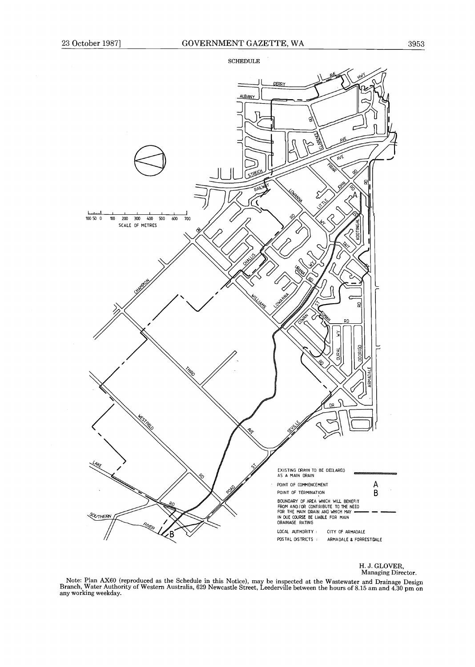

H. J. GLOVER, Managing Director.

Note: Plan AX60 (reproduced as the Schedule in this Notice), may be inspected at the Wastewater and Drainage Design<br>Branch, Water Authority of Western Australia, 629 Newcastle Street, Leederville between the hours of 8.15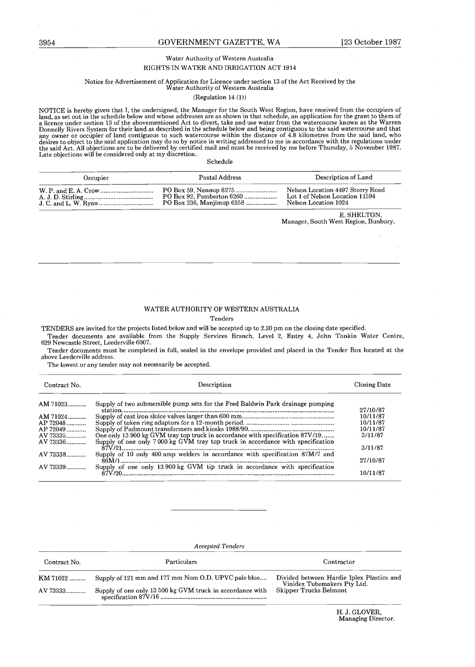#### GOVERNMENT GAZETTE, WA [23 October 1987]

#### Water Authority of Western Australia RIGHTS IN WATER AND IRRIGATION ACT 1914

# Notice for Advertisement of Application for Licence under section 13 of the Act Received by the Water Authority of Western Australia

#### (Regulation 14 (1))

NOTICE is nervoy given that 1, the undersigned, the manager for the South West Region, have received from the occupiers of<br>land, as set out in the schedule below and whose addresses are as shown in that schedule, an applic Donnelly Rivers System for their land as described in the schedule below and being contiguous to the said watercourse and that any owner or occupier of land contiguous to such watercourse within the distance of 4.8 kilomet any owner or occupier of land contiguous to such watercoirse within the uistance of 4.6 knowlettes from the said land, who<br>desires to object to the said application may do so by notice in writing addressed to me in accorda Solution and the solution of Market Address Proposition of Market Address Correspondent and Market Address Decision of Lie<br>Solution of Market Address Decision of Lie and Address Decision of Lie and Address Decision 13 of t and, as set out in the schedule below and whose accresses are as shown in that schedule, an application for the grant to Donnely Rivers System for their land a described in the schedule below and being contiguous to the sa S0.54 GOVERNMENT GAZETTE, WA [23 October 15<br>
Water Authority of Western Assession<br>
Notice for Advertisement of Agric ALVIBRIGATION CACT 3134<br>
Notice for Advertisement of Agric ALVIBRIGATION VC ACT 314<br>
NOTICE is because t

| Donnelly Rivers System for their land as described in the schedule below and being contiguous to the said watercourse and that<br>any owner or occupier of land contiguous to such watercourse within the distance of 4.8 kilometres from the said land, who<br>desires to object to the said application may do so by notice in writing addressed to me in accordance with the regulations under<br>the said Act. All objections are to be delivered by certified mail and must be received by me before Thursday, 5 November 1987.<br>Late objections will be considered only at my discretion. |                |                                                                                            |  |  |  |  |
|---------------------------------------------------------------------------------------------------------------------------------------------------------------------------------------------------------------------------------------------------------------------------------------------------------------------------------------------------------------------------------------------------------------------------------------------------------------------------------------------------------------------------------------------------------------------------------------------------|----------------|--------------------------------------------------------------------------------------------|--|--|--|--|
|                                                                                                                                                                                                                                                                                                                                                                                                                                                                                                                                                                                                   | Schedule       |                                                                                            |  |  |  |  |
| Occupier                                                                                                                                                                                                                                                                                                                                                                                                                                                                                                                                                                                          | Postal Address | Description of Land                                                                        |  |  |  |  |
|                                                                                                                                                                                                                                                                                                                                                                                                                                                                                                                                                                                                   |                | Nelson Location 4497 Storry Road<br>Lot 1 of Nelson Location 11594<br>Nelson Location 1024 |  |  |  |  |
|                                                                                                                                                                                                                                                                                                                                                                                                                                                                                                                                                                                                   |                | E. SHELTON.<br>Manager, South West Region, Bunbury.                                        |  |  |  |  |

#### WATER AUTHORITY OF WESTERN AUSTRALIA

#### Tenders

|                                                                                              | Tenders                                                                                                                                                                                                                                                                                                                                                                                                                                                             |                                                                                            |
|----------------------------------------------------------------------------------------------|---------------------------------------------------------------------------------------------------------------------------------------------------------------------------------------------------------------------------------------------------------------------------------------------------------------------------------------------------------------------------------------------------------------------------------------------------------------------|--------------------------------------------------------------------------------------------|
| above Leederville address.                                                                   | TENDERS are invited for the projects listed below and will be accepted up to 2.30 pm on the closing date specified.<br>Tender documents are available from the Supply Services Branch, Level 2, Entry 4, John Tonkin Water Centre<br>629 Newcastle Street. Leederville 6007.<br>Tender documents must be completed in full, sealed in the envelope provided and placed in the Tender Box located at th<br>The lowest or any tender may not necessarily be accepted. |                                                                                            |
| Contract No.                                                                                 | Description                                                                                                                                                                                                                                                                                                                                                                                                                                                         | Closing Date                                                                               |
| AM 71023<br>AM 71024<br>AP 72048<br>AP 72049<br>AV 73335<br>AV 73336<br>AV 73338<br>AV 73339 | Supply of two submersible pump sets for the Fred Baldwin Park drainage pumping<br>One only 13 900 kg GVM tray top truck in accordance with specification 87V/19<br>Supply of one only 7000 kg GVM tray top truck in accordance with specification<br>Supply of one only 13 900 kg GVM tip truck in accordance with specification                                                                                                                                    | 27/10/87<br>10/11/87<br>10/11/87<br>10/11/87<br>3/11/87<br>3/11/87<br>27/10/87<br>10/11/87 |
|                                                                                              |                                                                                                                                                                                                                                                                                                                                                                                                                                                                     |                                                                                            |

Accepted Tenders

|              | <b>Accepted Tenders</b>                                   |                                                                          |
|--------------|-----------------------------------------------------------|--------------------------------------------------------------------------|
| Contract No. | Particulars                                               | Contractor                                                               |
| KM 71022     | Supply of 121 mm and 177 mm Nom O.D. UPVC pale blue       | Divided between Hardie Iplex Plastics and<br>Vinidex Tubemakers Pty Ltd. |
| AV 73333     | Supply of one only 13 500 kg GVM truck in accordance with | Skipper Trucks Belmont                                                   |
|              |                                                           | H. J. GLOVER,<br>Managing Director.                                      |
|              |                                                           |                                                                          |
|              |                                                           |                                                                          |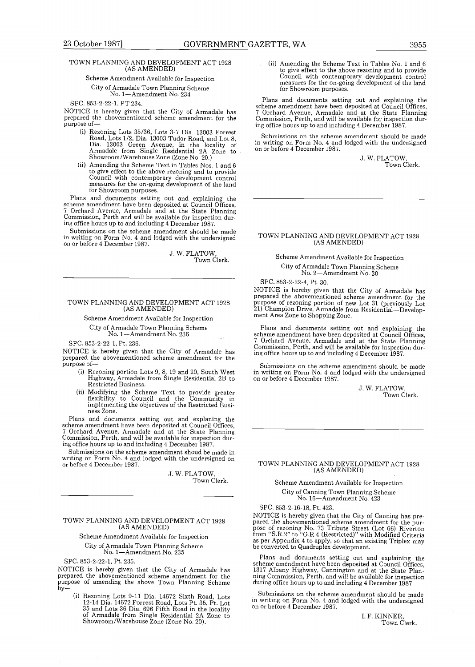#### GOVERNMENT GAZETTE, WA

#### TOWN PLANNING AND DEVELOPMENT ACT 1928 (AS AMENDED)

#### Scheme Amendment Available for Inspection

City of Armadale Town Planning Scheme No. 1-Amendment No. 234

NOTICE is hereby given that the City of Armadale has prepared the abovementioned scheme amendment for the purpose of-

- (i) Rezoning Lots 35/36, Lots 3-7 Dia . 13003 Forrest Road, Lots 1/2, Dia . 13003 Tudor Road ; and Lot 8, Dia. 13003 Green Avenue, in the locality of Armadale from Single Residential 2A Zone to Armadale from Single Residential 2A Zone to Showroom/Warehouse Zone (Zone No. 20.)
- (ii) Amending the Scheme Text in Tables Nos. 1 and  $6$ to give effect to the above rezoning and to provide Council with contemporary development control measures for the on-going development of the land for Showroom purposes .

Plans and documents setting out and explaining the scheme amendment have been deposited at Council Offices, 7 Orchard Avenue, Armadale and at the State Planning Commission, Perth and will be available for inspection during office hours up to and including 4 December 1987 .

Submissions on the scheme amendment should be made in writing on Form No. 4 and lodged with the undersigned on or before 4 December 1987 .

> J. W. FLATOW, Town Clerk.

#### TOWN PLANNING AND DEVELOPMENT ACT 1928 (AS AMENDED)

#### Scheme Amendment Available for Inspection City of Armadale Town Planning Scheme

No. 1-Amendment No. 236

#### SPC. 853-2-22-1, Pt. 236.

NOTICE is hereby given that the City of Armadale has prepared the abovementioned scheme amendment for the purpose of-

- (i) Rezoning portion Lots 9, 8, 19 and 20, South West Highway, Armadale from Single Residential 2B to Restricted Business .
- (ii) Modifying the Scheme Text to provide greater flexibility to Council and the Community in implementing the objectives of the Restricted Business Zone .

Plans and documents setting out and explaning the scheme amendment have been deposited at Council Offices, 7 Orchard Avenue, Armadale and at the State Planning Commission, Perth, and will be available for inspection during office hours up to and including 4 December 1987 .

Submissions on the scheme amendment shoud be made in writing on Form No. 4 and lodged with the undersigned on or before 4 December 1987 .

> J. W. FLATOW, Town Clerk.

#### TOWN PLANNING AND DEVELOPMENT ACT 1928 (AS AMENDED)

#### Scheme Amendment Available for Inspection City of Armadale Town Planning Scheme No. 1-Amendment No. 235

SPC. 853-2-22-1, Pt. 235.<br>NOTICE is hereby given that the City of Armadale has NOTICE is hereby given that the City of Armadale has prepared the abovementioned scheme amendment for the purpose of amending the above Town Planning Scheme by-

(i) Rezoning Lots 9-11 Dia . 14672 Sixth Road, Lots 12-14 Dia. 14672 Forrest Road, Lots Pt . 35, Pt . Lot 35 and Lots 36 Dia . 696 Fifth Road in the locality of Armadale from Single Residential 2A Zone to Showroom /Warehouse Zone (Zone No . 20) .

(ii) Amending the Scheme Text in Tables No . 1 and 6 to give effect to the above rezoning and to provide Council with contemporary development control measures for the on-going development of the land for Showroom purposes.

Plans and documents setting out and explaining the scheme amendment have been deposited at Council Offices, 7 Orchard Avenue, Armadale and at the State Planning Commission, Perth, and will be available for inspection during office hours up to and including 4 December 1987 .

Submissions on the scheme amendment should be made in writing on Form No . 4 and lodged with the undersigned on or before 4 December 1987.

J. W. FLATOW,<br>Town Clerk.

#### TOWN PLANNING AND DEVELOPMENT ACT 1928 (AS AMENDED)

#### Scheme Amendment Available for Inspection City of Armadale Town Planning Scheme

No. 2-Amendment No. 30

SPC. 853-2-22-4, Pt. 30 .

NOTICE is hereby given that the City of Armadale has prepared the abovementioned scheme amendment for the purpose of rezoning portion of new Lot 31 (previously Lot 21) Champion Drive, Armadale from Residential-Development Area Zone to Shopping Zone .

Plans and documents setting out and explaining the scheme amendment have been deposited at Council Offices, 7 Orchard Avenue, Armadale and at the State Planning Commission, Perth, and will be available for inspection during office hours up to and including 4 December 1987 .

Submissions on the scheme amendment should be made in writing on Form No . 4 and lodged with the undersigned on or before 4 December 1987 .

> J. W. FLATOW. Town Clerk.

#### TOWN PLANNING AND DEVELOPMENT ACT 1928 (AS AMENDED)

Scheme Amendment Available for Inspection City of Canning Town Planning Scheme No. 16-Amendment No . 423

SPC. 853-2-16-18, Pt. 423 .

NOTICE is hereby given that the City of Canning has prepared the abovementioned scheme amendment for the purpose of rezoning No. 73 Tribute Street (Lot 66) Riverton<br>from "S.R.2" to "G.R.4 (Restricted)" with Modified Criteria<br>as per Appendix 4 to apply, so that an existing Triplex may<br>be converted to Quadruplex development.

Plans and documents setting out and explaining the scheme amendment have been deposited at Council Offices, 1317 Albany Highway, Cannington and at the State Plan-ning Commission, Perth, and will be available for inspection during office hours up to and including 4 December 1987.

Submissions on the scheme amendment should be made in writing on Form No . 4 and lodged with the undersigned on or before 4 December 1987.

> I. F. KINNER, Town Clerk .

SPC. 853-2-22-1, PT 234 .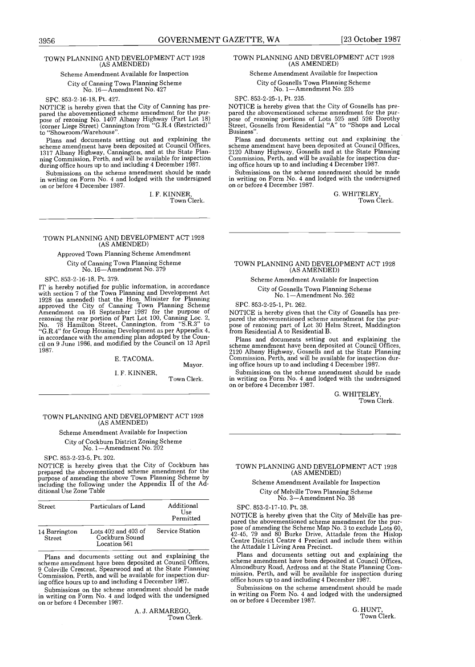#### TOWN PLANNING AND DEVELOPMENT ACT 1928 (AS AMENDED)

# Scheme Amendment Available for Inspection

City of Canning Town Planning Scheme No. 16-Amendment No . 427

SPC. 853-2-16-18, Pt. 427.<br>NOTICE is hereby given that the City of Canning has pre-NOTICE is hereby given that the City of Canning has pre-pared the abovementioned scheme amendment for the purpose of rezoning No . 1407 Albany Highway (Part Lot 18) (corner Liege Street) Cannington from "G .R.4 (Restricted)" to "Showroom/Warehouse".

Plans and documents setting out and explaining the scheme amendment have been deposited at Council Offices, 1317 Albany Highway, Cannington, and at the State Plan-ning Commission, Perth, and will be available for inspection during office hours up to and including 4 December 1987.

Submissions on the scheme amendment should be made in writing on Form No . 4 and lodged with the undersigned on or before 4 December 1987.

1. F. KINNER, Town Clerk .

#### TOWN PLANNING AND DEVELOPMENT ACT 1928 (AS AMENDED)

#### Approved Town Planning Scheme Amendment

City of Canning Town Planning Scheme No. 16-Amendment No. 379

SPC. 853-2-16-18, Pt. 379.<br>IT is hereby notified for public information, in accordance IT is hereby notified for public information, in accordance with section 7 of the Town Planning and Development Act 1928 (as amended) that the Hon . Minister for Planning approved the City of Canning Town Planning Scheme Amendment on 16 September 1987 for the purpose of<br>rezoning the rear portion of Part Lot 100, Canning Loc. 2,<br>No. 78 Hamilton Street, Cannington, from "S.R.3" to<br>"G.R.4" for Group Housing Development as per Appendix 4,<br>in a 1987 .

#### E. TACOMA,

#### <sup>I</sup> . F . KINNER,

Town Clerk .

#### TOWN PLANNING AND DEVELOPMENT ACT 1928 (AS AMENDED)

#### Scheme Amendment Available for Inspection

City of Cockburn District Zoning Scheme No. 1-Amendment No . 202

#### SPC. 853-2-23-5, Pt. 202 .

NOTICE is hereby given that the City of Cockburn has prepared the abovementioned scheme amendment for the purpose of amending the above Town Planning Scheme by including the following under the Appendix II of the Additional Use Zone Table

| <b>Street</b>           | Particulars of Land                                       | Additional<br>Use<br>Permitted |
|-------------------------|-----------------------------------------------------------|--------------------------------|
| 14 Barrington<br>Street | Lots $402$ and $403$ of<br>Cockburn Sound<br>Location 561 | Service Station                |

Plans and documents setting out and explaining the scheme amendment have been deposited at Council Offices, Coleville Crescent, Spearwood and at the State Planning Commission, Perth, and will be available for inspection during office hours up to and including 4 December 1987 .

Submissions on the scheme amendment should be made in writing on Form No . 4 and lodged with the undersigned on or before 4 December 1987 .

> A. J. ARMAREGO, Town Clerk .

# GOVERNMENT GAZETTE, WA [23 October 1987<br>
HENT ACT 1928 TOWN PLANNING AND DEVELOPMENT ACT 1928<br>
Inspection Scheme Amendment Available for Inspection TOWN PLANNING AND DEVELOPMENT ACT 1928 (AS AMENDED)

Scheme Amendment Available for Inspection City of Gosnells Town Planning Scheme

# No. 1-Amendment No. 235

SPC. 853-2-25-1, Pt. 235.

NOTICE is hereby given that the City of Gosnells has prepared the abovementioned scheme amendment for the pur-pose of rezoning portions of Lots 525 and 526 Dorothy Street, Gosnells from Residential "A" to "Shops and Local Business" .

Plans and documents setting out and explaining the scheme amendment have been deposited at Council Offices, 2120 Albany Highway, Gosnells and at the State Planning Commission, Perth, and will be available for inspection during office hours up to and including 4 December 1987 .

Submissions on the scheme amendment should be made in writing on Form No . 4 and lodged with the undersigned on or before 4 December 1987 .

> G. WHITELEY, Town Clerk.

TOWN PLANNING AND DEVELOPMENT ACT 1928 (AS AMENDED)

Scheme Amendment Available for Inspection

#### City of Gosnells Town Planning Scheme No. 1-Amendment No. 262

SPC. 853-2-25-1, Pt. 262.

NOTICE is hereby given that the City of Gosnells has pre-pared the abovementioned scheme amendment for the purpose of rezoning part of Lot 30 Helm Street, Maddington from Residential A to Residential B .

Plans and documents setting out and explaining the scheme amendment have been deposited at Council Offices, 2120 Albany Highway, Gosnells and at the State Planning Commission, Perth, and will be available for inspection during office hours up to and including 4 December 1987 .

Submissions on the scheme amendment should be made in writing on Form No . 4 and lodged with the undersigned on or before 4 December 1987 .

> G. WHITELEY, Town Clerk .

#### TOWN PLANNING AND DEVELOPMENT ACT 1928 (AS AMENDED)

Scheme Amendment Available for Inspection City of Melville Town Planning Scheme No. 3-Amendment No. 38

SPC. 853-2-17-10. Pt. 38.

NOTICE is hereby given that the City of Melville has prepared the abovementioned scheme amendment for the pur-pose of amending the Scheme Map No . 3 to exclude Lots 60, 42-45, 79 and 80 Burke Drive, Attadale from the Hislop Centre District Centre 4 Precinct and include them within the Attadale 1 Living Area Precinct.

Plans and documents setting out and explaining the scheme amendment have been deposited at Council Offices, Almondbury Road, Ardross and at the State Planning Commission, Perth, and will be available for inspection during office hours up to and including 4 December 1987 .

Submissions on the scheme amendment should be made in writing on Form No. 4 and lodged with the undersigned on or before 4 December 1987.

> G. HUNT, Town Clerk.

# Mayor.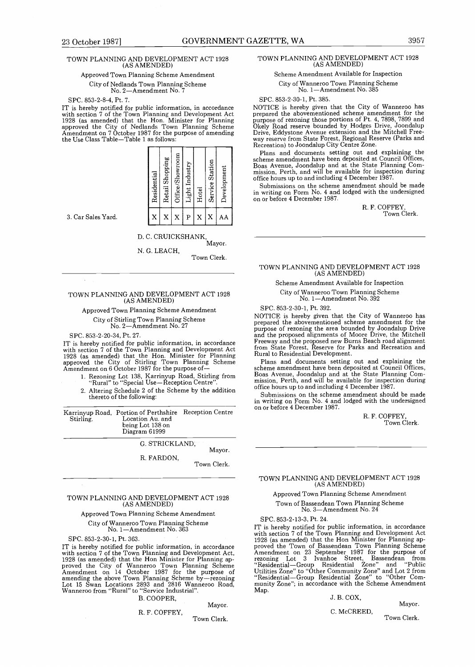# TOWN PLANNING AND DEVELOPMENT ACT 1928 (AS AMENDED)

#### Approved Town Planning Scheme Amendment

City of Nedlands Town Planning Scheme No. 2-Amendment No. 7

#### SPC. 853-2-8-4, Pt. 7.

11 is nereby notified for public information, in accordance<br>with section 7 of the Town Planning and Development Act<br>1928 (as amended) that the Hon. Minister for Planning<br>approved the City of Nedlands Town Planning Scheme<br>A the Use Class Table-Table 1 as follows:

| Residential | Retail Shopping | Office/Showroom | Light Industry | Hotel | Service Station | Development |
|-------------|-----------------|-----------------|----------------|-------|-----------------|-------------|
| X           | X               | X               | P              | X     | X               | AΑ          |
|             |                 |                 |                |       |                 |             |

3 . Car Sales Yard .

# D. C . CRUICKSHANK, Mayor.

N. G. LEACH, Town Clerk .

#### TOWN PLANNING AND DEVELOPMENT ACT 1928 (AS AMENDED)

Approved Town Planning Scheme Amendment City of Stirling Town Planning Scheme

## No. 2—Amendment No. 27

 $SPC. 853-2-20-34, Pt. 27.$ IT is hereby notified for public information, in accordance with section 7 of the Town Planning and Development Act 1928 (as amended) that the Hon . Minister for Planning approved the City of Stirling Town Planning Scheme Amendment on 6 October 1987 for the purpose of-

- <sup>1</sup> . Rezoning Lot 138, Karrinyup Road, Stirling from Rural" to "Special Use-Reception Centre"
- 2 . Altering Schedule 2 of the Scheme by the addition thereto of the following :

| Stirling. | Karrinyup Road, Portion of Perthshire<br>Location Au. and<br>being Lot 138 on<br>Diagram 61999 | Reception Centre |
|-----------|------------------------------------------------------------------------------------------------|------------------|
|           | G. STRICKLAND.                                                                                 |                  |
|           | R. FARDON.                                                                                     | Mayor.           |
|           |                                                                                                | Town Clerk.      |

#### TOWN PLANNING AND DEVELOPMENT ACT 1928 (AS AMENDED)

#### Approved Town Planning Scheme Amendment

City of Wanneroo Town Planning Scheme

No. 1-Amendment No. 363

SPC. 853-2-30-1, Pt. 363.<br>IT is hereby notified for public information, in accordance IT is hereby notified for public information, in accordance with section 7 of the Town Planning and Development Act, 1928 (as amended) that the Hon Minister for Flaming ap-<br>proved the City of Wanneroo Town Plaming Scheme<br>Amendment on 14 October 1987 for the purpose of<br>amending the above Town Planning Scheme by—rezoning<br>Lot 15 Swan Locati

B. COOPER,

#### R. F. COFFEY,

Town Clerk.

Mayor.

#### TOWN PLANNING AND DEVELOPMENT ACT 1928 (AS AMENDED)

Scheme Amendment Available for Inspection

City of Wanneroo Town Planning Scheme No. 1-Amendment No. 385

SPC. 853-2-30-1, Pt. 385.<br>NOTICE is hereby given that the City of Wanneroo has NOTICE is hereby given that the City of Wanneroo has prepared the abovementioned scheme amendment for the purpose of rezoning those portions of Pt . 4, 7898, 7899 and Okely Road reserve bounded by Hodges Drive, Joondalup Drive, Eddystone Avenue extension and the Mitchell Free-way reserve from State Forest, Regional Reserve (Parks and Recreation) to Joondalup City Centre Zone .

Plans and documents setting out and explaining the scheme amendment have been deposited at Council Offices, Boas Avenue, Joondalup and at the State Planning Com-mission, Perth, and will be available for inspection during office hours up to and including 4 December 1987 .

Submissions on the scheme amendment should be made in writing on Form No . 4 and lodged with the undersigned on or before 4 December 1987 .

> R. F. COFFEY, Town Clerk.

#### TOWN PLANNING AND DEVELOPMENT ACT 1928 (AS AMENDED)

Scheme Amendment Available for Inspection

City of Wanneroo Town Planning Scheme No. 1-Amendment No. 392

SPC. 853-2-30-1, Pt. 392.<br>NOTICE is hereby given that the City of Wanneroo has NOTICE is hereby given that the City of Wanneroo has prepared the abovementioned scheme amendment for the purpose of rezoning the area bounded by Joondalup Drive and the proposed alignments of Moore Drive, the Mitchell Freeway and the proposed new Burns Beach road alignment from State Forest, Reserve for Parks and Recreation and Rural to Residential Development .

Plans and documents setting out and explaining the scheme amendment have been deposited at Council Offices, Boas Avenue, Joondalup and at the State Planning Com-mission, Perth, and will be available for inspection during office hours up to and including 4 December 1987 .

Submissions on the scheme amendment should be made in writing on Form No. 4 and lodged with the undersigned on or before 4 December 1987 .

> R. F. COFFEY, Town Clerk.

#### TOWN PLANNING AND DEVELOPMENT ACT 1928 (AS AMENDED)

Approved Town Planning Scheme Amendment

Town of Bassendean Town Planning Scheme No. 3-Amendment No . 24

SPC. 853-2-13-3, Pt. 24 .

IT is hereby notified for public information, in accordance with section 7 of the Town Pianing and Development Acts<br>1928 (as amended) that the Hon Minister for Planning ap-<br>proved the Town of Bassendean Town Planning Scheme<br>Amendment on 23 September 1987 for the purpose of<br>rezoning munity Zone"; in accordance with the Scheme Amendment Map.

#### J. B. COX,

Mayor.

C. McCREED,

Town Clerk .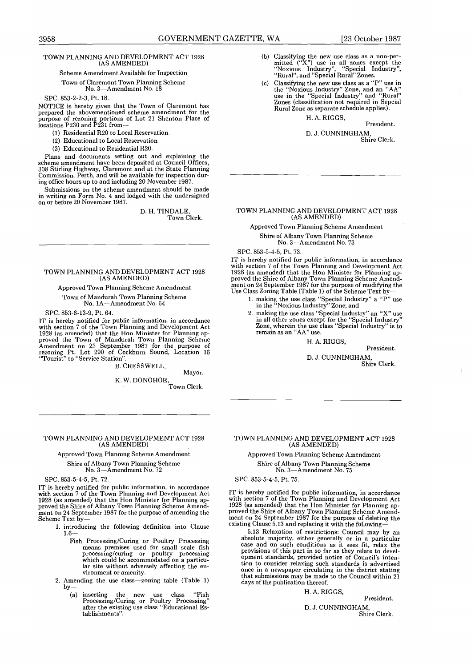# TOWN PLANNING AND DEVELOPMENT ACT 1928 (AS AMENDED) 3958<br>TOWN PLANNING

Scheme Amendment Available for Inspection

#### Town of Claremont Town Planning Scheme No. 3—Amendment No. 18

SPC. 853-2-2-3, Pt. 18.

NOTICE is hereby given that the Town of Claremont has prepared the abovementioned scheme amendment for the purpose of rezoning portions of Lot 21 Shenton Place of locations P230 and P231 from-

- (1) Residential R20 to Local Reservation .
- (2) Educational to Local Reservation .
- (3) Educational to Residential R20 .

Plans and documents setting out and explaining the scheme amendment have been deposited at Council Offices, 308 Stirling Highway, Claremont and at the State Planning Commission, Perth, and will be available for inspection during office hours up to and including 20 November 1987 .

Submissions on the scheme amendment should be made in writing on Form No . 4 and lodged with the undersigned on or before 20 November 1987.

> D. H. TINDALE, Town Clerk.

#### TOWN PLANNING AND DEVELOPMENT ACT 1928 (AS AMENDED)

#### Approved Town Planning Scheme Amendment Town of Mandurah Town Planning Scheme No. 1A-Amendment No. 64

SPC. 853-6-13-9, Pt. 64.

IT is hereby notified for public information, in accordance with section 7 of the Town Planning and Development Act 1928 (as amended) that the Hon Minister for Planning approved the Town of Mandurah Town Planning Scheme<br>Amendment on 23 September 1987 for the purpose of<br>rezoning Pt. Lot 290 of Cockburn Sound, Location 16<br>"Tourist" to "Se

B. CRESSWELL,

Mayor.

K. W . DONOHOE, Town Clerk .

#### TOWN PLANNING AND DEVELOPMENT ACT 1928 (AS AMENDED)

Approved Town Planning Scheme Amendment Shire of Albany Town Planning Scheme No. 3-Amendment No . 72

SPC. 853-5-4-5, Pt. 72.

IT is hereby notified for public information, in accordance with section 7 of the Town Planning and Development Act with section 7 of the Town Planning and Development Act<br>1928 (as amended) that the Hon Minister for Planning ap-<br>proved the Shire of Albany Town Planning Scheme Amend-<br>ment on 24 September 1987 for the purpose of amending

- 1 . introducing the following definition into Clause <sup>1</sup> .6-
	- Fish Processing/Curing or Poultry Processing means premises used for small scale fish processing/curing or poultry processing which could be accommodated on a particular site without adversely affecting the environment or amenity.
- 2. Amending the use class-zoning table (Table 1) by —  $\frac{1}{2}$ 
	- (a) inserting the new use class "Fish Processing/Curing or Poultry Processing" after the existing use class "Educational Establishments".
- (b) Classifying the new use class as a non-per-mitted ("X") use in all zones except the "Noxious Industry", "Special Industry", "Rural", and "Special Rural" Zones .
- (c) Classifying the new use class as a "P" use in the "Noxious Industry" Zone, and an "AA" use in the "Special Industry" and "Rural" Zones (classification not required in Sepcial Rural Zone as separate schedule applies) .

H. A. RIGGS, President.

D. J. CUNNINGHAM, Shire Clerk.

# TOWN PLANNING AND DEVELOPMENT ACT 1928 (AS AMENDED)

Approved Town Planning Scheme Amendment Shire of Albany Town Planning Scheme

No. 3-Amendment No. 73

SPC. 853-5-4-5, Pt. 73.

IT is hereby notified for public information, in accordance with section 7 of the Town Planning and Development Act 1928 (as amended) that the Hon Minister for Planning ap-proved the Shire of Albany Town Planning Scheme Amend-ment on 24 September 1987 for the purpose of modifying the Use Class Zoning Table (Table 1) of the Scheme Text by-

- 1 . making the use class "Special Industry" a "P" use in the "Noxious Industry" Zone ; and
- 2 . making the use class "Special Industry" an "X" use in all other zones except for the "Special Industry" Zone, wherein the use class "Special Industry" is to remain as an "AA" use.

#### H. A. RIGGS,

President.

D. J. CUNNINGHAM, Shire Clerk .

#### TOWN PLANNING AND DEVELOPMENT ACT 1928 (AS AMENDED)

Approved Town Planning Scheme Amendment Shire of Albany Town Planning Scheme No. 3-Amendment No . 75

SPC. 853-5-4-5, Pt. 75.

IT is hereby notified for public information, in accordance with section 7 of the Town Planning and Development Act 1928 (as amended) that the Hon Minister for Planning approved the Shire of Albany Town Planning Scheme Amend-ment on 24 September 1987 for the purpose of deleting the existing Clause 5.13 and replacing it with the following-<br>5.13 Relaxation of restrictions: Council may by an

5.13 Relaxation of restrictions: Council may by an absolute majority, either generally or in a particular case and on such conditions as it sees fit, relax the provisions of this part in so far as they relate to developmen once in a newspaper circulating in the district stating that submissions may be made to the Council within 21 days of the publication thereof.

H. A. RIGGS,

President.

D. J. CUNNINGHAM, Shire Clerk .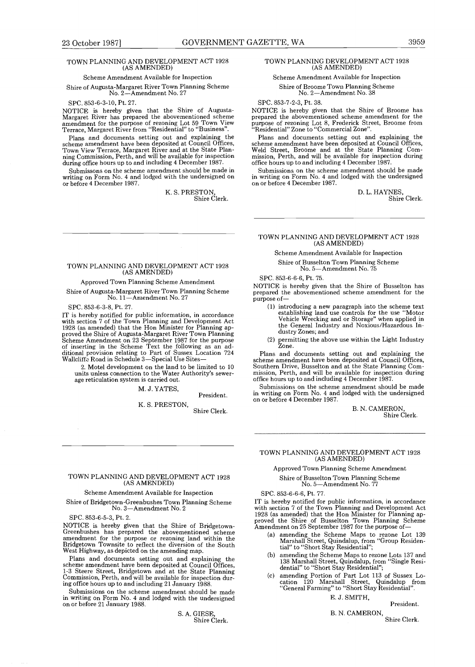# TOWN PLANNING AND DEVELOPMENT ACT 1928 (AS AMENDED)

#### Scheme Amendment Available for Inspection

Shire of Augusta-Margaret River Town Planning Scheme No. 2-Amendment No. 27

SPC. 853-6-3-10, Pt. 27 .

NOTICE is hereby given that the Shire of Augusta-Margaret River has prepared the abovementioned scheme amendment for the purpose of rezoning Lot 59 Town View Terrace, Margaret River from "Residential" to "Business" .

Plans and documents setting out and explaining the scheme amendment have been deposited at Council Offices, Town View Terrace, Margaret River and at the State Planning Commission, Perth, and will be available for inspection during office hours up to and including 4 December 1987 .

Submissons on the scheme amendment should be made in writing on Form No . 4 and lodged with the undersigned on or before 4 December 1987 .

> K. S. PRESTON Shire Clerk.

# TOWN PLANNING AND DEVELOPMENT ACT 1928 (AS AMENDED)

#### Approved Town Planning Scheme Amendment

Shire of Augusta-Margaret River Town Planning Scheme No. 11-Amendment No. 27

SPC. 853-6-3-8, Pt. 27

IT is hereby notified for public information, in accordance with section 7 of the Town Planning and Development Act 1928 (as amended) that the Hon Minister for Planning approved the Shire of Augusta-Margaret River Town Planning<br>Scheme Amendment on 23 September 1987 for the purpose<br>of inserting in the Scheme Text the following as an ad-<br>ditional provision relating to Part of Sussex Location

2 . Motel development on the land to be limited to 10 units unless connection to the Water Authority's sewerage reticulation system is carried out.

M. J. YATES,

#### President.

Shire Clerk . K. S. PRESTON,

TOWN PLANNING AND DEVELOPMENT ACT 1928 (AS AMENDED)

#### Scheme Amendment Available for Inspection

Shire of Bridgetown-Greenbushes Town Planning Scheme No. 3-Amendment No. 2

SPC. 853-6-5-3, Pt. 2.

NOTICE is hereby given that the Shire of Bridgetown-Greenbushes has prepared the abovementioned scheme amendment for the purpose or rezoning land within the Bridgetown Townsite to reflect the diversion of the South West Highway, as depicted on the amending map.

Plans and documents setting out and explaining the scheme amendment have been deposited at Council Offices, 1-3 Steere Street, Bridgetown and at the State Planning Commission, Perth, and will be available for inspection during office hours up to and including 21 January 1988

Submissions on the scheme amendment should be made in writing on Form No . 4 and lodged with the undersigned on or before 21 January 1988 .

> S. A. GIESE Shire Clerk .

# TOWN PLANNING DEVELOPMENT ACT 1928 (AS AMENDED)

#### Scheme Amendment Available for Inspection Shire of Broome Town Planning Scheme No. 2-Amendment No. 38

SPC. 853-7-2-3, Pt. 38

NOTICE is hereby given that the Shire of Broome has prepared the abovementioned scheme amendment for the purpose of rezoning Lot 8, Frederick Street, Broome from "Residential" Zone to "Commercial Zone" .

Plans and documents setting out and explaining the scheme amendment have been deposited at Council Offices, Weld Street, Broome and at the State Planning Commission, Perth, and will be available for inspection during office hours up to and including 4 December 1987 .

Submissions on the scheme amendment should be made in writing on Form No. 4 and lodged with the undersigned on or before 4 December 1987.

> D. L. HAYNES, Shire Clerk.

#### TOWN PLANNING AND DEVELOPMENT ACT 1928 (AS AMENDED)

Scheme Amendment Available for Inspection

Shire of Busselton Town Planning Scheme

No. 5-Amendment No. 75

SPC. 853-6-6-6, Pt. 75.

NOTICE is hereby given that the Shire of Busselton has prepared the abovementioned scheme amendment for the purpose of-

- (1) introducing a new paragraph into the scheme text establishing land use controls for the use "Motor Vehicle Wrecking and or Storage" when applied in the General Industry and Noxious/Hazardous Industry Zones; and
- (2) permitting the above use within the Light Industry Zone.

Plans and documents setting out and explaining the scheme amendment have been deposited at Council Offices, Southern Drive, Busselton and at the State Planning Com-mission, Perth, and will be available for inspection during office hours up to and including 4 December 1987 .

Submissions on the scheme amendment should be made in writing on Form No . 4 and lodged with the undersigned on or before 4 December 1987.

> B. N. CAMERON Shire Clerk .

# TOWN PLANNING AND DEVELOPMENT ACT 1928 (AS AMENDED)

Approved Town Planning Scheme Amendment Shire of Busselton Town Planning Scheme No. 5-Amendment No. 77

SPC. 853-6-6-6, Pt. 77.

IT is hereby notified for public information, in accordance with section 7 of the Town Planning and Development Act with section 7 of the Town Planning and Development Act<br>1928 (as amended) that the Hon Minister for Planning ap-<br>proved the Shire of Busselton Town Planning Scheme<br>Amendment on 25 September 1987 for the purpose of-

- (a) amending the Scheme Maps to rezone Lot 139 Marshall Street, Quindalup, from "Group Residential" to "Short Stay Residential";
- (b) amending the Scheme Maps to rezone Lots 137 and 138 Marshall Street, Quindalup, from "Single Resi-dential" to "Short Stay Residential" ;
- (c) amending Portion of Part Lot 113 of Sussex Lo-cation 120 Marshall Street, Quindalup from "General Farming" to "Short Stay Residential".

E. J. SMITH,

#### President.

B. N. CAMERON,

Shire Clerk .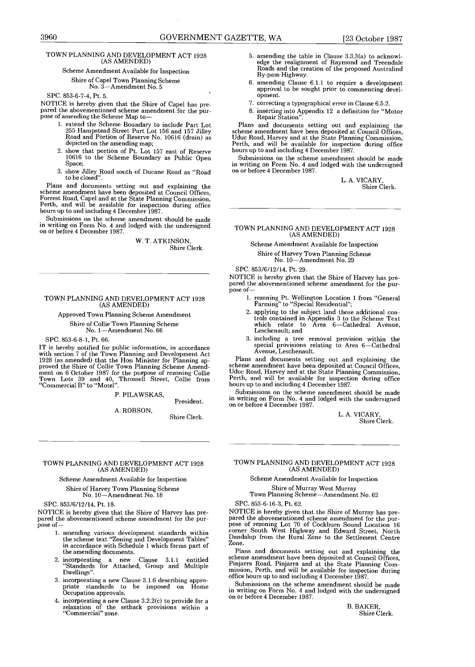# 3960 GOVERNMENT GAZETTE, WA<br>
TOWN PLANNING AND DEVELOPMENT ACT 1928 5. amendine<br>
(AS AMENDED) 5. amendment (As AMENDED)<br>
Scheme Amendment Available for Inspection<br>
Shire of Capel Town Planning Scheme<br>
No. 3—Amendment No. 5 3960<br>TOWN PLANNI TOWN PLANNING AND DEVELOPMENT ACT 1928 (AS AMENDED)

#### Scheme Amendment Available for Inspection

#### Shire of Capel Town Planning Scheme No. 3-Amendment No. 5

SPC. 853-6-7-4, Pt. 5.

NOTICE is hereby given that the Shire of Capel has prepared the abovementioned scheme amendment for the purpose of amending the Scheme Map to-

- 1 . extend the Scheme Boundary to include Part Lot 255 Hampstead Street Part Lot 156 and 157 Jilley Road and Portion of Reserve No . 10616 (drain) as depicted on the amending map;
- 2. show that portion of Pt. Lot 157 east of Reserve 10616 to the Scheme Boundary as Public Open Space:
- 3 . show Jilley Road south of Ducane Road as "Road

to be closed". L. A. VICARY,<br>Plans and documents setting out and explaining the Shire C scheme amendment have been deposited at Council Offices, Forrest Road, Cape] and at the State Planning Commission, Perth, and will be available for inspection during office hours up to and including 4 December 1987 .

Submissions on the scheme amendment should be made in writing on Form No . 4 and lodged with the undersigned on or before 4 December 1987 .

> W. T. ATKINSON, Shire Clerk .

#### TOWN PLANNING AND DEVELOPMENT ACT 1928 (AS AMENDED)

Approved Town Planning Scheme Amendment Shire of Collie Town Planning Scheme No. 1-Amendment No. 66

#### SPC. 853-6-8-1, Pt. 66.

IT is hereby notified for public information, in accordance with section 7 of the Town Planning and Development Act 1928 (as amended) that the Hon Minister for Planning approved the Shire of Collie Town Planning Scheme Amendment on 6 October 1987 for the purpose of rezoning Collie<br>Town Lots 39 and 40, Throssell Street, Collie from<br>"Commercial B" to "Motel".

#### P. PILAWSKAS,

President. A. ROBSON,

Shire Clerk.

#### TOWN PLANNING AND DEVELOPMENT ACT 1928 (AS AMENDED)

Scheme Amendment Available for Inspection

Shire of Harvey Town Planning Scheme No. 10-Amendment No . 18

SPC. 853/6/12/14, Pt. 18.

NOTICE is hereby given that the Shire of Harvey has prepared the abovementioned scheme amendment for the purpose of-

- 1 . amending various development standards within the scheme text "Zoning and Development Tables" in accordance with Schedule 1 which forms part of the amending documents.
- <sup>2</sup> . incorporating <sup>a</sup> new Clause 3 .1 .1 entitled "Standards for Attached, Group and Multiple Dwellings"
- 3 . incorporating a new Clause 3 .1 .6 describing appro-priate standards to be imposed on Home Occupation approvals.
- 4. incorporating a new Clause  $3.2.2(c)$  to provide for a relaxation of the setback provisions within a "Commercial" zone .
- <sup>5</sup> . amending the table in Clause 3 .3 .3(a) to acknowledge the realignment of Raymond and Treendale Roads and the creation of the proposed Australind By-pass Highway.
- 6 . amending Clause 6.1 .1 to require a development approval to be sought prior to commencing development.
- 7. correcting a typographical error in Clause 6.5.2.
- 8. inserting into Appendix 12 a definition for "Motor Repair Station" .

Plans and documents setting out and explaining the scheme amendment have been deposited at Council Offices, Uduc Road, Harvey and at the State Planning Commission, Perth, and will be available for inspection during office hours up to and including 4 December 1987.

Submissions on the scheme amendment should be made in writing on Form No. 4 and lodged with the undersigned<br>on or before 4 December 1987.

Shire Clerk.

# TOWN PLANNING AND DEVELOPMENT ACT 1928 (AS AMENDED)

Scheme Amendment Available for Inspection Shire of Harvey Town Planning Scheme

No. 10-Amendment No. 29

SPC. 853/6/12/14, Pt. 29.

NOTICE is hereby given that the Shire of Harvey has prepared the abovementioned scheme amendment for the purpose of-

- <sup>1</sup> . rezoning Pt. Wellington Location 1 from "General Farming" to "Special Residential" ;
- 2 . applying to the subject land those additional controls contained in Appendix 3 to the Scheme Text which relate to Area 6-Cathedral Avenue, Leschenault; and
- 3 . including a tree removal provision within the special provisions relating to Area 6-Cathedral Avenue, Leschenault.

Plans and documents setting out and explaining the scheme amendment have been deposited at Council Offices, Uduc Road, Harvey and at the State Planning Commission, Perth, and will be available for inspection during office hours up to and including 4 December 1987 .

Submissions on the scheme amendment should be made in writing on Form No. 4 and lodged with the undersigned on or before 4 December 1987.

> L. A. VICARY, Shire Clerk .

#### TOWN PLANNING AND DEVELOPMENT ACT 1928 (AS AMENDED)

Scheme Amendment Available for Inspection

Shire of Murray West Murray Town Planning Scheme-Amendment No . 62

SPC. 853-6-16-3, Pt. 62.

NOTICE is hereby given that the Shire of Murray has prepared the abovementioned scheme amendment for the purpose of rezoning Lot 70 of Cockburn Sound Location 16 corner South West Highway and Edward Street, North Dandalup from the Rural Zone to the Settlement Centre Zone.

Plans and documents setting out and explaining the scheme amendment have been deposited at Council Offices, Pinjarra Road, Pinjarra and at the State Planning Com-mission, Perth, and will be available for inspection during office hours up to and including 4 December 1987 .

Submissions on the scheme amendment should be made in writing on Form No . 4 and lodged with the undersigned on or before 4 December 1987 .

> B. BAKER, Shire Clerk .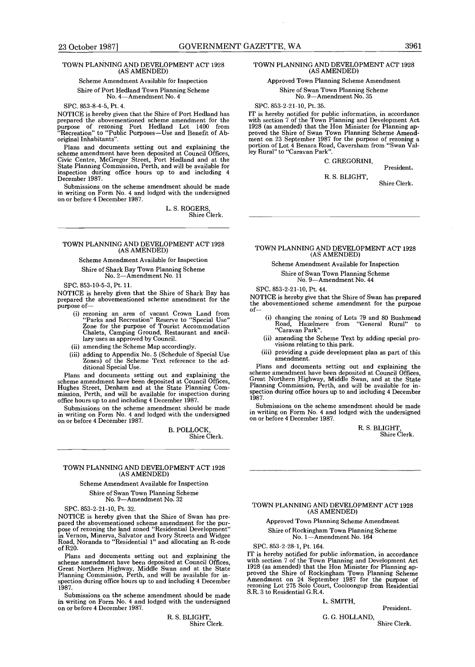# TOWN PLANNING AND DEVELOPMENT ACT 1928 (AS AMENDED)

#### Scheme Amendment Available for Inspection

Shire of Port Hedland Town Planning Scheme No. 4-Amendment No. 4

SPC. 853-8-4-5, Pt. 4.<br>NOTICE is hereby given that the Shire of Port Hedland has NOTICE is hereby given that the Shire of Port Hedland has<br>prepared the abovementioned scheme amendment for the<br>purpose of rezoning Port Hedland Lot 1400 from<br>"Recreation" to "Public Purposes—Use and Benefit of Aboriginal Inhabitants".

Plans and documents setting out and explaining the scheme amendment have been deposited at Council Offices, Civic Centre, McGregor Street, Port Hedland and at the State Planning Commission, Perth, and will be available for inspection during office hours up to and including 4 December 1987.

Submissions on the scheme amendment should be made in writing on Form No. 4 and lodged with the undersigned on or before 4 December 1987 .

L. S. ROGERS, Shire Clerk.

# TOWN PLANNING AND DEVELOPMENT ACT 1928 (AS AMENDED)

#### Scheme Amendment Available for Inspection Shire of Shark Bay Town Planning Scheme

No. 2-Amendment No. 11

SPC. 853-10-5-3, Pt. 11.

NOTICE is hereby given that the Shire of Shark Bay has prepared the abovementioned scheme amendment for the purpose of-

- (i) rezoning an area of vacant Crown Land from "Parks and Recreation" Reserve to "Special Use" Zone for the purpose of Tourist Accommodation Chalets, Camping Ground, Restaurant and ancil-lary uses as approved by Council .
- (ii) amending the Scheme Map accordingly.
- (iii) adding to Appendix No . 5 (Schedule of Special Use Zones) of the Scheme Text reference to the ad-ditional Special Use.

Plans and documents setting out and explaining the scheme amendment have been deposited at Council Offices, Hughes Street, Denham and at the State Planning Com-mission, Perth, and will be available for inspection during office hours up to and including 4 December 1987 .

Submissions on the scheme amendment should be made<br>in writing on Form No. 4 and lodged with the undersigned<br>on or before 4 December 1987.

B. POLLOCK, Shire Clerk .

#### TOWN PLANNING AND DEVELOPMENT ACT 1928 (AS AMENDED)

#### Scheme Amendment Available for Inspection

Shire of Swan Town Planning Scheme No. 9-Amendment No. 32

SPC. 853-2-21-10, Pt. 32 .

NOTICE is hereby given that the Shire of Swan has prepared the abovementioned scheme amendment for the pur-<br>pose of rezoning the land zoned "Residential Development" pose of rezoning the land zoned "Residential Development" in Vernon, Minerva, Salvator and Ivory Streets and Widgee Road, Noranda to "Residential 1" and allocating an R-code of  $R_{20}$ .

Plans and documents setting out and explaining the<br>scheme amendment have been deposited at Council Offices,<br>Great Northern Highway, Middle Swan and at the State<br>Planning Commission, Perth, and will be available for in-<br>spe 1987 .

Submissions on the scheme amendment should be made in writing on Form No . 4 and lodged with the undersigned on or before 4 December 1987 .

> R. S. BLIGHT Shire Clerk .

#### TOWN PLANNING AND DEVELOPMENT ACT 1928 (AS AMENDED)

Approved Town Planning Scheme Amendment Shire of Swan Town Planning Scheme No. 9-Amendment No. 35

#### SPC. 853-2-21-10, Pt. 35.

IT is hereby notified for public information, in accordance with section 7 of the Town Planning and Development Act with section 7 of the Town Planning and Development Act<br>1928 (as amended) that the Hon Minister for Planning ap-<br>proved the Shire of Swan Town Planning Scheme Amend-<br>ment on 23 September 1987 for the purpose of rezoning a portion of Lot 4 Benara Road, Caversham from "Swan Valley Rural" to "Caravan Park" .

#### C. GREGORINI,

President.

#### R. S. BLIGHT,

Shire Clerk.

# TOWN PLANNING AND DEVELOPMENT ACT 1928 (AS AMENDED)

#### Scheme Amendment Available for Inspection

Shire of Swan Town Planning Scheme No. 9-Amendment No. 44

SPC. 853-2-21-10, Pt. 44.

NOTICE is hereby give that the Shire of Swan has prepared the abovementioned scheme amendment for the purpose of-

- (i) changing the zoning of Lots 79 and 80 Bushmead Road, Hazelmere from "General Rural" to "Caravan Park" .
- (ii) amending the Scheme Text by adding special provisions relating to this park.
- (iii) providing a guide development plan as part of this amendment.

Plans and documents setting out and explaining the scheme amendment have been deposited at Council Offices, Great Northern Highway, Middle Swan, and at the State Planning Commission, Perth, and will be available for inspection during office hours up to and including 4 December 1987 .

Submissions on the scheme amendment should be made in writing on Form No. 4 and lodged with the undersigned on or before 4 December 1987.

> R. S. BLIGHT Shire Clerk.

#### TOWN PLANNING AND DEVELOPMENT ACT 1928 (AS AMENDED)

# Approved Town Planning Scheme Amendment Shire of Rockingham Town Planning Scheme No. 1-Amendment No. 164

SPC. 853-2-28-1, Pt. 164

IT is hereby notified for public information, in accordance with section 7 of the Town Planning and Development Act 1928 (as amended) that the Hon Minister for Planning approved the Shire of Rockingham Town Planning Scheme Amendment on 24 September 1987 for the purpose of rezoning Lot 275 Solo Court, Cooloongup from Residential S.R. 3 to Residential G.R.4.

#### L. SMITH,

President.

G. G. HOLLAND, Shire Clerk.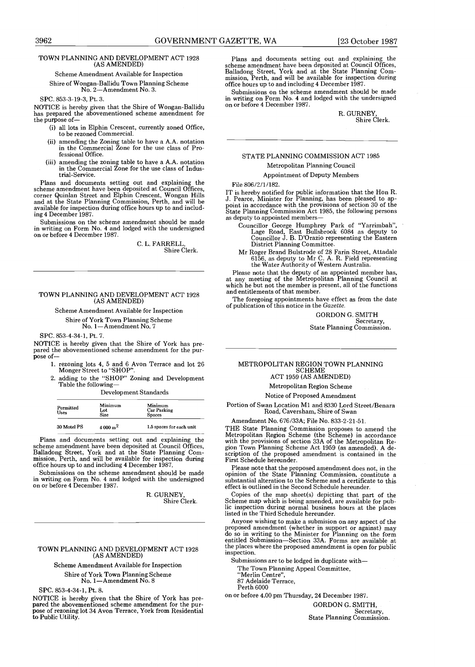#### TOWN PLANNING AND DEVELOPMENT ACT 1928 (AS AMENDED)

Scheme Amendment Available for Inspection

Shire of Wongan-Ballidu Town Planning Scheme No. 2-Amendment No. 3.

SPC. 853-3-19-3, Pt. 3.

NOTICE is hereby given that the Shire of Wongan-Ballidu<br>has prepared the abovementioned scheme amendment for R. GURNEY, the purpose of-

- (i) all lots in Elphin Crescent, currently zoned Office, to be rezoned Commercial .
- (ii) amending the Zoning table to have a A .A. notation in the Commercial Zone for the use class of Professional Office.
- (iii) amending the zoning table to have a A.A. notation in the Commercial Zone for the use class of Industrial-Service .

Plans and documents setting out and explaining the scheme amendment have been deposited at Council Offices, corner Quinlan Street and Elphin Crescent, Wongan Hills and at the State Planning Commission, Perth, and will be available for inspection during office hours up to and including 4 December 1987 .

Submissions on the scheme amendment should be made in writing on Form No . 4 and lodged with the undersigned on or before 4 December 1987.

> C. L. FARRELL, Shire Clerk.

# TOWN PLANNING AND DEVELOPMENT ACT 1928 (AS AMENDED)

Scheme Amendment Available for Inspection

Shire of York Town Planning Scheme

No. 1-Amendment No. 7

SPC. 853-4-34-1, Pt. 7.

NOTICE is hereby given that the Shire of York has pre-pared the abovementioned scheme amendment for the purpose of-

- 1 . rezoning lots 4, 5 and 6 Avon Terrace and lot 26 Monger Street to "SHOP" .
- 2 . adding to the "SHOP" Zoning and Development Table the following-

Development Standards

| Permitted<br><b>Uses</b> | Minimum<br>Lot<br>Size | Minimum<br>Car Parking<br><b>Spaces</b> |
|--------------------------|------------------------|-----------------------------------------|
| 30 Motel PS              | $4000 \,\mathrm{m}^2$  | 1.5 spaces for each unit                |

Plans and documents setting out and explaining the scheme amendment have been deposited at Council Offices, Balladong Street, York and at the State Planning Com-mission, Perth, and will be available for inspection during office hours up to and including 4 December 1987 .

Submissions on the scheme amendment should be made in writing on Form No. 4 and lodged with the undersigned on or before 4 December 1987 .

R. GURNEY, Shire Clerk.

#### TOWN PLANNING AND DEVELOPMENT ACT 1928 (AS AMENDED)

Scheme Amendment Available for Inspection Shire of York Town Planning Scheme No. 1-Amendment No . 8

SPC. 853-4-34-1, Pt. 8.

NOTICE is hereby given that the Shire of York has prepared the abovementioned scheme amendment for the purpose of rezoning lot 34 Avon Terrace, York from Residential to Public Utility.

Plans and documents setting out and explaining the scheme amendment have been deposited at Council Offices, Balladong Street, York and at the State Planning Com-mission, Perth, and will be available for inspection during office hours up to and including 4 December 1987 .

Submissions on the scheme amendment should be made in writing on Form No. 4 and lodged with the undersigned on or before 4 December 1987 .

Shire Clerk.

#### STATE PLANNING COMMISSION ACT 1985 Metropolitan Planning Council

#### Appointment of Deputy Members

File 806/2/1/162.

11 is nereby notified for Plublic information that the Fion K.<br>J. Pearce, Minister for Planning, has been pleased to ap-<br>point in accordance with the provisions of section 30 of the<br>State Planning Commission Act 1985, the as deputy to appointed members-

Councillor George Humphrey Park of "Yarrimbah", Lage Road, East Bullsbrook 6084 as deputy to Councillor J. B . D'Orazio representing the Eastern District Planning Committee.

Mr Roger Brand Bulstrode of 28 Farin Street, Attadale<br>6156, as deputy to Mr C. A. R. Field representing<br>the Water Authority of Western Australia.

Please note that the deputy of an appointed member has, at any meeting of the Metropolitan Planning Council at which he but not the member is present, all of the functions and entitlements of that member.

The foregoing appointments have effect as from the date of publication of this notice in the Gazette.

> GORDON G. SMITH Secretary, State Planning Commission .

#### METROPOLITAN REGION TOWN PLANNING SCHEME ACT 1959 (AS AMENDED)

Metropolitan Region Scheme

Notice of Proposed Amendment

Portion of Swan Location M1 and 8330 Lord Street/Benara Road, Caversham, Shire of Swan

Amendment No. 676/33A; File No. 833-2-21-51.

THE State Planning Commission proposes to amend the Metropolitan Region Scheme (the Scheme) in accordance with the provisions of section 33A of the Metropolitan Re-gion Town Planning Scheme Act 1959 (as amended) . A description of the proposed amendment is contained in the First Schedule hereunder .

Please note that the proposed amendment does not, in the opinion of the State Planning Commission, constitute a substantial alteration to the Scheme and a certificate to this effect is outlined in the Second Schedule hereunder.

Copies of the map sheet(s) depicting that part of the Scheme map which is being amended, are available for public inspection during normal business hours at the places listed in the Third Schedule hereunder.

Anyone wishing to make a submision on any aspect of the proposed amendment (whether in support or against) may do so in writing to the Minister for Planning on the form entitled Submission-Section 33A . Forms are available at the places where the proposed amendment is open for public inspection .

Submissions are to be lodged in duplicate with-

The Town Planning Appeal Committee, "Merlin Centre",

87 Adelaide Terrace, Perth 6000

on or before 4 .00 pm Thursday, 24 December 1987 .

GORDON G. SMITH, Secretary, State Planning Commission.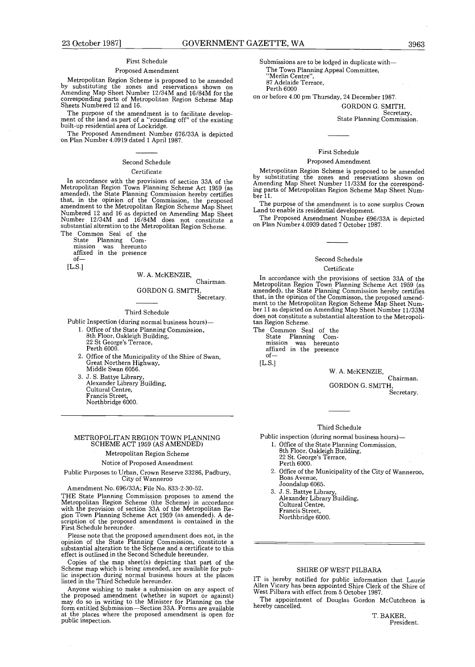#### First Schedule

#### Proposed Amendment

Metropolitan Region Scheme is proposed to be amended by substituting the zones and reservations shown on Amending Map Sheet Number 12/34M and 16/84M for the corresponding parts of Metropolitan Region Scheme Map Sheets Numbered 12 and 16 .

I he purpose of the amendment is to facilitate develop-<br>ment of the land as part of a "rounding off" of the existing<br>built-up residential area of Lockridge.

The Proposed Amendment Number 676/33A is depicted on Plan Number 4 .0919 dated 1 April 1987.

#### Second Schedule

#### **Certificate**

In accordance with the provisions of section 33A of the<br>Metropolitan Region Town Planning Scheme Act 1959 (as<br>amended), the State Planning Commission hereby certifies<br>that, in the opinion of the Commission, the proposed<br>am Numbered 12 and 16 as depicted on Amending Map Sheet Number 12/34M and 16/84M does not constitute a substantial alteration to the Metropolitan Region Scheme .

The Common Seal of the State Planning Com-mission was hereunto affixed in the presence

of-  $[L.S.]$ 

#### W. A. McKENZIE,

#### Chairman. GORDON G. SMITH, Secretary.

#### Third Schedule

Public Inspection (during normal business hours)-

1 . Office of the State Planning Commission, 8th Floor, Oakleigh Building, 22 St George's Terrace,

Perth 6000.

- 2. Office of the Municipality of the Shire of Swan, Great Northern Highway, Middle Swan 6056.
- 3. J . S . Battye Library, Alexander Library Building, Cultural Centre, Francis Street, Northbridge 6000 .

#### METROPOLITAN REGION TOWN PLANNING SCHEME ACT 1959 (AS AMENDED)

#### Metropolitan Region Scheme

#### Notice of Proposed Amendment

Public Purposes to Urban, Crown Reserve 33286, Padbury, City of Wanneroo

Amendment No. 696/33A; File No. 833-2-30-52 .

THE State Planning Commission proposes to amend the Metropolitan Region Scheme (the Scheme) in accordance with the provision of section 33A of the Metropolitan Re-<br>gion Town Planning Scheme Act 1959 (as amended). A de-<br>scription of the proposed amendment is contained in the<br>First Schedule hereunder.

riease note that the proposed amendment does not, in the<br>opinion of the State Planning Commission, constitute a<br>substantial alteration to the Scheme and a certificate to this<br>effect is outlined in the Second Schedule hereu

Copies of the map sheet(s) depicting that part of the Scheme map which is being amended, are available for public inspection during normal business hours at the places listed in the Third Schedule hereunder .

Anyone wishing to make a submission on any aspect of the proposed amendment (whether in suport or against) may do so in writing to the Minister for Planning on the form entitled Submission-Section 33A . Forms are available at the places where the proposed amendment is open for public inspection.

Submissions are to be lodged in duplicate with-The Town Planning Appeal Committee, "Merlin Centre", 87 Adelaide Terrace, Perth 6000

on or before 4.00 pm Thursday, 24 December 1987.

GORDON G. SMITH, Secretary, State Planning Commission .

#### First Schedule

#### Proposed Amendment

Metropolitan Region Scheme is proposed to be amended by substituting the zones and reservations shown on Amending Map Sheet Number 11/33M for the correspond-ing parts of Metropolitan Region Scheme Map Sheet Number 11.

The purpose of the amendment is to zone surplus Crown Land to enable its residential development.

The Proposed Amendment Number 696/33A is depicted on Plan Number 4 .0939 dated 7 October 1987 .

#### Second Schedule **Certificate**

In accordance with the provisions of section 33A of the<br>Metropolitan Region Town Planning Scheme Act 1959 (as<br>amended), the State Planning Commission hereby certifies<br>that, in the opinion of the Commisson, the proposed ame does not constitute a substantial alteration to the Metropolitan Region Scheme.

The Common Seal of the<br>State Planning Com-State Planning Com-mission was hereunto affixed in the presence of-

 $[L.S.]$ 

W. A. McKENZIE,

Chairman. GORDON G. SMITH, Secretary.

#### Third Schedule

Public inspection (during normal business hours)-

- <sup>1</sup> . Office of the State Planning Commission, 8th Floor, Oakleigh Building, 22 St. George's Terrace, Perth 6000
- 2 . Office of the Municipality of the City of Wanneroo, Boas Avenue, Joondalup 6065 .
- 3. J. S. Battye Library, Alexander Library Building, Cultural Centre, Francis Street, Northbridge 6000.

#### SHIRE OF WEST PILBARA

IT is hereby notified for public information that Laurie Allen Vicary has been appointed Shire Clerk of the Shire of West Pilbara with effect from 5 October 1987 .

The appointment of Douglas Gordon McCutcheon is hereby cancelled.

> T. BAKER, President.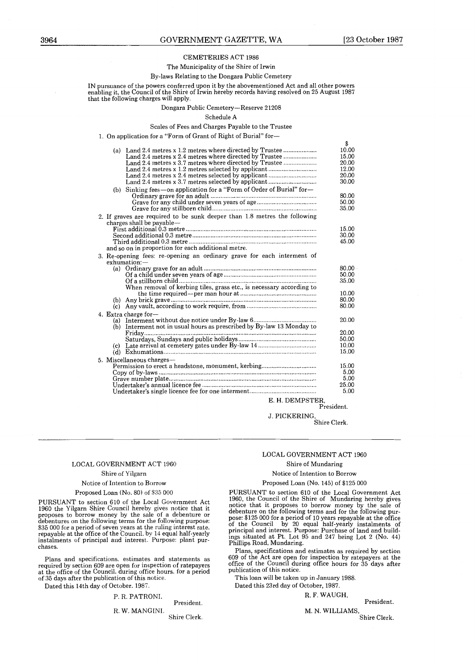#### CEMETERIES ACT 1986

#### The Municipality of the Shire of Irwin By-laws Relating to the Dongara Public Cemetery

IN pursuance of the powers conferred upon it by the abovementioned Act and all other powers enabling it, the Council of the Shire of Irwin hereby records having resolved on 25 August 1987 that the following charges will apply .

Dongara Public Cemetery-Reserve 21208

| Schedule A                                                                                                                                                                                                                                                                                                                                                                                                               |                                                                   |
|--------------------------------------------------------------------------------------------------------------------------------------------------------------------------------------------------------------------------------------------------------------------------------------------------------------------------------------------------------------------------------------------------------------------------|-------------------------------------------------------------------|
| Scales of Fees and Charges Payable to the Trustee                                                                                                                                                                                                                                                                                                                                                                        |                                                                   |
| 1. On application for a "Form of Grant of Right of Burial" for-                                                                                                                                                                                                                                                                                                                                                          |                                                                   |
| (a) Land 2.4 metres x 1.2 metres where directed by Trustee<br>Land 2.4 metres x 2.4 metres where directed by Trustee<br>Land 2.4 metres x 3.7 metres where directed by Trustee<br>Land 2.4 metres x 1.2 metres selected by applicant<br>Land 2.4 metres x 2.4 metres selected by applicant<br>Land 2.4 metres x 3.7 metres selected by applicant<br>(b) Sinking fees-on application for a "Form of Order of Burial" for- | \$<br>10.00<br>15.00<br>20.00<br>12.00<br>20.00<br>30.00<br>80.00 |
|                                                                                                                                                                                                                                                                                                                                                                                                                          | 50.00<br>35.00                                                    |
| 2. If graves are required to be sunk deeper than 1.8 metres the following<br>charges shall be payable-<br>and so on in proportion for each additional metre.                                                                                                                                                                                                                                                             | 15.00<br>30.00<br>45.00                                           |
| 3. Re-opening fees: re-opening an ordinary grave for each interment of<br>exhumation:-<br>When removal of kerbing tiles, grass etc., is necessary according to                                                                                                                                                                                                                                                           | 80.00<br>50.00<br>35.00<br>10.00                                  |
|                                                                                                                                                                                                                                                                                                                                                                                                                          | 80.00<br>80.00                                                    |
| 4. Extra charge for-<br>(b) Interment not in usual hours as prescribed by By-law 13 Monday to<br>(c)                                                                                                                                                                                                                                                                                                                     | 20.00<br>20.00<br>50.00<br>10.00<br>15.00                         |
| 5. Miscellaneous charges—<br>E. H. DEMPSTER.                                                                                                                                                                                                                                                                                                                                                                             | 15.00<br>5.00<br>5.00<br>25.00<br>5.00                            |
|                                                                                                                                                                                                                                                                                                                                                                                                                          | President.                                                        |
| J. PICKERING.                                                                                                                                                                                                                                                                                                                                                                                                            | Shire Clerk.                                                      |
|                                                                                                                                                                                                                                                                                                                                                                                                                          |                                                                   |

# E. H . DEMPSTER, President .

# LOCAL GOVERNMENT ACT 1960

#### Shire of Yilgarn

#### Notice of Intention to Borrow

Proposed Loan (No. 80) of \$35 000 PURSUANT to section 610 of the Local Government Act 1960 the Yilgarn Shire Council hereby gives notice that it proposes to borrow money by the sale of a debenture or debentures on the following terms for the following purpose:

\$35 000 for a period of seven years at the ruling interest rate, repayable at the office of the Council . by 14 equal half-yearly instalments of principal and interest. Purpose: plant purchases .

Plans and specifications. estimates and statements as required by section 609 are open for inspection of ratepayers at the office of the Council, during office hours, for a period of 35 days after the publication of this notice .

Dated this 14th day of October, 1987 .

# P. R. PATRONI.

R. W. MANGINI. Shire Clerk .

#### LOCAL GOVERNMENT ACT 1960

#### Shire of Mundaring

#### Notice of Intention to Borrow

#### Proposed Loan (No. 145) of \$125 000

PURSUANT to section 610 of the Local Government Act 1960, the Council of the Shire of Mundaring hereby gives notice that it proposes to borrow money by the sale of debenture on the following terms and for the following pur-pose: \$125 000 for a period of 10 years repayable at the office of the Council by 20 equal half-yearly instalments of principal and interest . Purpose : Purchase of land and build-ings situated at Pt. Lot 95 and 247 being Lot 2 (No. 44) Phillips Road, Mundaring.

Plans, specifications and estimates as required by section 609 of the Act are open for inspection by ratepayers at the office of the Council during office hours for 35 days after publication of this notice.

This loan will be taken up in January 1988 .

Dated this 23rd day of October, 1987 .

R. F. WAUGH,

President.

M. N. WILLIAMS,

Shire Clerk.

President.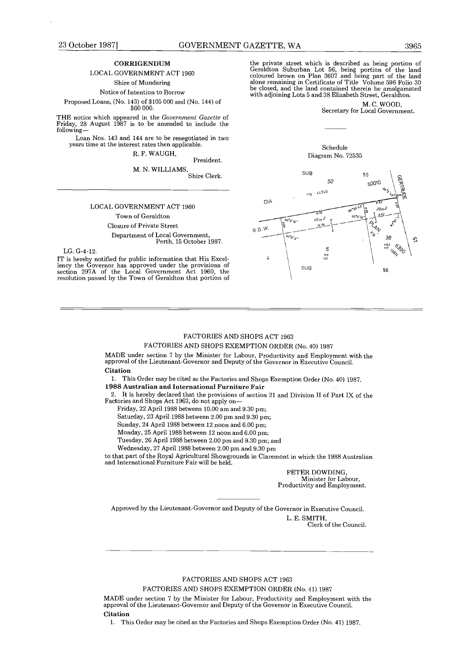#### CORRIGENDUM

#### LOCAL GOVERNMENT ACT 1960

Shire of Mundaring

Notice of Intention to Borrow

Proposed Loans, (No. 143) of \$105 000 and (No. 144) of \$60,000.

THE notice which appeared in the Government Gazette of Friday, 28 August 1987 is to be amended to include the following-

Loan Nos . 143 and 144 are to be renegotiated in two years time at the interest rates then applicable .

R. F. WAUGH,

President. M. N. WILLIAMS,

Shire Clerk .

#### LOCAL GOVERNMENT ACT 1960

Town of Geraldton

Closure of Private Street Department of Local Government, Perth, 15 October 1987.

LG. G-4-12.<br>IT is hereby notified for public information that His Excel-IT is hereby notified for public information that His Excel-lency the Governor has approved under the provisions of section 297A of the Local Government Act 1960, the resolution passed by the Town of Geraldton that portion of the private street which is described as being portion of Geraldton Suburban Lot 56, being portion of the land coloured brown on Plan 3607 and being part of the land alone remaining in Certificate of Title Volume 596 Folio 30 be closed, and the land contained therein be amalgamated with adjoining Lots 5 and 38 Elizabeth Street, Geraldton .

> M. C. WOOD, Secretary for Local Government.

#### Schedule Diagram No. 72535



#### FACTORIES AND SHOPS ACT 1963

FACTORIES AND SHOPS EXEMPTION ORDER (No. 40) 1987

MADE under section 7 by the Minister for Labour, Productivity and Employment with the approval of the Lieutenant-Governor and Deputy of the Governor in Executive Council .

#### Citation

1. This Order may be cited as the Factories and Shops Exemption Order (No. 40) 1987. 1988 Australian and International Furniture Fair

2. It is hereby declared that the provisions of section 21 and Division II of Part IX of the Factories and Shops Act 1963, do not apply on-

Friday, 22 April 1988 between 10 .00 am and 9 .30 pm ;

Saturday, 23 April 1988 between 2 .00 pm and 9 .30 pm;

Sunday, 24 April 1988 between 12 noon and 6.00 pm;

Monday, 25 April 1988 between 12 noon and 6 .00 pm;

Tuesday, 26 April 1988 between 2 .00 pm and 9 .30 pm ; and

Wednesday, 27 April 1988 between 2.00 pm and 9.30 pm

to that part of the Royal Agricultural Showgrounds in Claremont in which the 1988 Australian and International Furniture Fair will be held.

> PETER DOWDING, Minister for Labour, Productivity and Employment.

Approved by the Lieutenant-Governor and Deputy of the Governor in Executive Council . L. E. SMITH,

Clerk of the Council.

#### FACTORIES AND SHOPS ACT 1963

FACTORIES AND SHOPS EXEMPTION ORDER (No. 41) 1987

MADE under section 7 by the Minister for Labour, Productivity and Employment with the approval of the Lieutenant-Governor and Deputy of the Governor in Executive Council . Citation

1. This Order may be cited as the Factories and Shops Exemption Order (No. 41) 1987.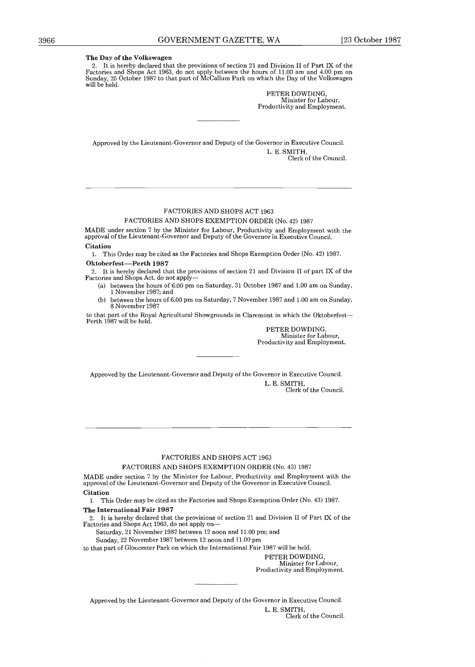2 . It is hereby declared that the provisions of section 21 and Division II of Part IX of the Factories and Shops Act 1963, do not apply between the hours of 11 .00 am and 4.00 pm on Sunday, 25 October 1987 to that part of McCallum Park on which the Day of the Volkswagen will be held.

> PETER DOWDING, Minister for Labour, Productivity and Employment.

Approved by the Lieutenant-Governor and Deputy of the Governor in Executive Council . L. E. SMITH, Clerk of the Council.

#### FACTORIES AND SHOPS ACT 1963

FACTORIES AND SHOPS EXEMPTION ORDER (No. 42) 1987

MADE under section 7 by the Minister for Labour, Productivity and Employment with the approval of the Lieutenant-Governor and Deputy of the Governor in Executive Council . Citation

1. This Order may be cited as the Factories and Shops Exemption Order (No. 42) 1987. Oktoberfest-Perth 1987

2. It is hereby declared that the provisions of section 21 and Division II of part IX of the Factories and Shops Act, do not apply-

- (a) between the hours of 6 .00 pm on Saturday, 31 October 1987 and 1 .00 am on Sunday, 1 November 1987; and
- between the hours of 6.00 pm on Saturday, 7 November 1987 and 1.00 am on Sunday, 8 November 1987

to that part of the Royal Agricultural Showgrounds in Claremont in which the Oktoberfest-Perth 1987 will be held.

PETER DOWDING, Minister for Labour, Productivity and Employment.

Approved by the Lieutenant-Governor and Deputy of the Governor in Executive Council . L. E. SMITH, Clerk of the Council.

#### FACTORIES AND SHOPS ACT 1963

#### FACTORIES AND SHOPS EXEMPTION ORDER (No. 43) 1987

MADE under section 7 by the Minister for Labour, Productivity and Employment with the approval of the Lieutenant-Governor and Deputy of the Governor in Executive Council . Citation

1. This Order may be cited as the Factories and Shops Exemption Order (No. 43) 1987. The International Fair 1987

2 . It is hereby declared that the provisions of section 21 and Division II of Part IX of the

Factories and Shops Act 1963, do not apply on-

Saturday, 21 November 1987 between 12 noon and 11.00 pm; and

Sunday, 22 November 1987 between 12 noon and 11 .00 pm

to that part of Gloucester Park on which the International Fair 1987 will be held .

PETER DOWDING,<br>Minister for Labour, Minister for Labour, Productivity and Employment .

Approved by the Lieutenant-Governor and Deputy of the Governor in Executive Council .

L. E. SMITH, Clerk of the Council.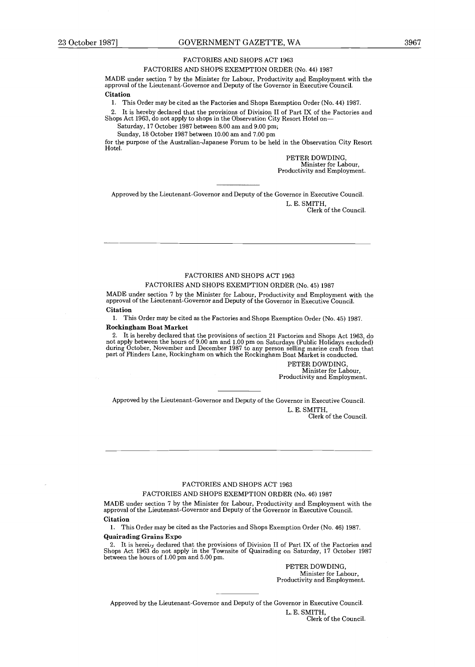#### FACTORIES AND SHOPS ACT 1963

#### FACTORIES AND SHOPS EXEMPTION ORDER (No. 44) 1987

MADE under section 7 by the Minister for Labour, Productivity and Employment with the approval of the Lieutenant-Governor and Deputy of the Governor in Executive Council . **Citation** 

1 . This Order may be cited as the Factories and Shops Exemption Order (No . 44) 1987 .

2. It is hereby declared that the provisions of Division II of Part IX of the Factories and Shops Act 1963, do not apply to shops in the Observation City Resort Hotel on-

Saturday, 17 October 1987 between 8.00 am and 9.00 pm;

Sunday, 18 October 1987 between 10 .00 am and 7 .00 pm

for the purpose of the Australian-Japanese Forum to be held in the Observation City Resort Hotel.

> PETER DOWDING, Minister for Labour, Productivity and Employment.

Approved by the Lieutenant-Governor and Deputy of the Governor in Executive Council . L. E. SMITH,

Clerk of the Council.

#### FACTORIES AND SHOPS ACT 1963

#### FACTORIES AND SHOPS EXEMPTION ORDER (No. 45) 1987

MADE under section 7 by the Minister for Labour, Productivity and Employment with the approval of the Lieutenant-Governor and Deputy of the Governor in Executive Council . Citation

1. This Order may be cited as the Factories and Shops Exemption Order (No. 45) 1987.

#### Rockingham Boat Market

2 . It is hereby declared that the provisions of section 21 Factories and Shops Act 1963, do not apply between the hours of 9.00 am and 1.00 pm on Saturdays (Public Holidays excluded)<br>during October, November and December 1987 to any person selling marine craft from that part of Flinders Lane, Rockingham on which the Rockingham Boat Market is conducted .

> PETER DOWDING, Minister for Labour, Productivity and Employment.

Approved by the Lieutenant-Governor and Deputy of the Governor in Executive Council . L. E. SMITH,

Clerk of the Council.

#### FACTORIES AND SHOPS ACT 1963

#### FACTORIES AND SHOPS EXEMPTION ORDER (No. 46) 1987

MADE under section 7 by the Minister for Labour, Productivity and Employment with the approval of the Lieutenant-Governor and Deputy of the Governor in Executive Council. Citation

1. This Order may be cited as the Factories and Shops Exemption Order (No. 46) 1987. Quairading Grains Expo

2. It is herewy declared that the provisions of Division II of Part IX of the Factories and Shops Act 1963 do not apply in the Townsite of Quairading on Saturday, 17 October 1987 between the hours of 1.00 pm and 5.00 pm.

PETER DOWDING, Minister for Labour, Productivity and Employment.

Approved by the Lieutenant-Governor and Deputy of the Governor in Executive Council .

L. E. SMITH, Clerk of the Council.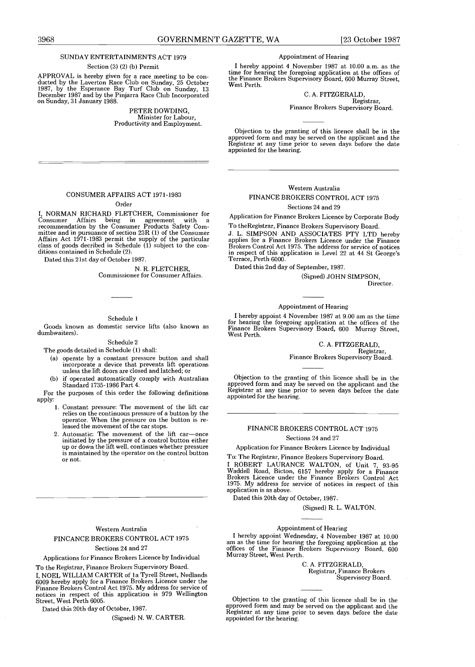#### SUNDAY ENTERTAINMENTS ACT 1979

#### Section (3) (2) (b) Permit

APPROVAL is hereby given for a race meeting to be conducted by the Laverton Race Club on Sunday, 25 October 1987, by the Esperance Bay Turf Club on Sunday, 13 December 1987 and by the Pinjarra Race Club Incorporated on Sunday, 31 January 1988 .

> PETER DOWDING, Minister for Labour, Productivity and Employment .

#### Appointment of Hearing

I hereby appoint 4 November 1987 at 10 .00 a.m. as the time for hearing the foregoing application at the offices of the Finance Brokers Supervisory Board, 600 Murray Street, West Perth.

#### C. A. FITZGERALD, Registrar,

Finance Brokers Supervisory Board .

Objection to the granting of this licence shall be in the approved form and may be served on the applicant and the Registrar at any time prior to seven days before the date appointed for the hearing.

#### CONSUMER AFFAIRS ACT 1971-1983

#### Order

I, NORMAN RICHARD FLETCHER, Commissioner for Consumer Affairs being in agreement with <sup>a</sup> recommendation by the Consumer Products Safety Com-mittee and in pursuance of section 23R (1) of the Consumer Affairs Act 1971-1983 permit the supply of the particular class of goods decribed in Schedule (1) subject to the conditions contained in Schedule (2) .

Dated this 21st day of October 1987 .

#### N. R. FLETCHER, Commissioner for Consumer Affairs .

#### Schedule 1

Goods known as domestic service lifts (also known as dumbwaiters) .

#### Schedule 2

The goods detailed in Schedule (1) shall :

- (a) operate by a constant pressure button and shall incorporate a device that prevents lift operations unless the lift doors are closed and latched; or
- (b) if operated automatically comply with Australian Standard 1735-1986 Part 4 .

For the purposes of this order the following definitions apply:

- 1. Constant pressure: The movement of the lift car relies on the continuous pressure of a button by the operator. When the pressure on the button is released the movement of the car stops .
- 2. Automatic: The movement of the lift car-once initiated by the pressure of a control button either up or down the lift well, continues whether pressure is maintained by the operator on the control button or not.

#### Western Australia FINCANCE BROKERS CONTROL ACT 1975 Sections 24 and 27

Applications for Finance Brokers Licence by Individual

To the Registrar, Finance Brokers Supervisory Board . I, NOEL WILLIAM CARTER of la Tyrell Street, Nedlands 6009 hereby apply for a Finance Brokers Licence under the Finance Brokers Control Act 1975 . My address for service of notices in respect of this application is 979 Wellington Street, West Perth 6005 .

Dated this 20th day of October, 1987 .

(Signed) N. W. CARTER.

# Western Australia

#### FINANCE BROKERS CONTROL ACT 1975

#### Sections 24 and 29

Application for Finance Brokers Licence by Corporate Body

To theRegistrar, Finance Brokers Supervisory Board . J. L. SIMPSON AND ASSOCIATES PTY LTD hereby applies for a Finance Brokers Licence under the Finance Brokers Control Act 1975 . The address for service of notices in respect of this application is Level 22 at 44 St George's Terrace, Perth 6000.

Dated this 2nd day of September, 1987 .

(Signed) JOHN SIMPSON, Director.

#### Appointment of Hearing

I hereby appoint 4 November 1987 at 9 .00 am as the time for hearing the foregoing application at the offices of the Finance Brokers Supervisory Board, 600 Murray Street, West Perth.

> C. A . FITZGERALD, Registrar, Finance Brokers Supervisory Board .

Objection to the granting of this licence shall be in the approved form and may be served on the applicant and the Registrar at any time prior to seven days before the date appointed for the hearing.

#### FINANCE BROKERS CONTROL ACT 1975

#### Sections 24 and 27

Application for Finance Brokers Licence by Individual

To: The Registrar, Finance Brokers Supervisory Board . I ROBERT LAURANCE WALTON, of Unit 7, 93-95 Waddell Road, Bicton, 6157 hereby apply for a Finance Brokers Licence under the Finance Brokers Control Act 1975. My address for service of notices in respect of this application is as above .

Dated this 20th day of October, 1987 .

(Signed) R. L. WALTON.

#### Appointment of Hearing

I hereby appoint Wednesday, 4 November 1987 at 10 .00 am as the time for hearing the foregoing application at the offices of the Finance Brokers Supervisory Board, 600 Murray Street, West Perth .

> C. A. FITZGERALD, Registrar, Finance Brokers Supervisory Board.

Objection to the granting of this licence shall be in the approved form and may be served on the applicant and the Registrar at any time prior to seven days before the date appointed for the hearing.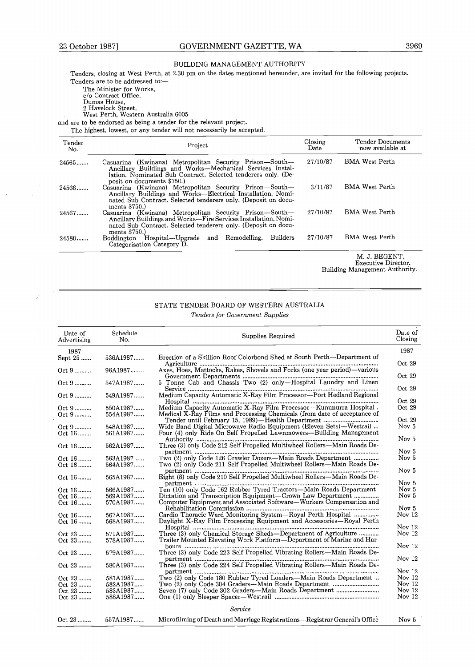#### BUILDING MANAGEMENT AUTHORITY

Tenders, closing at West Perth, at 2.30 pm on the dates mentioned hereunder, are invited for the following projects. Tenders are to be addressed to :-

The Minister for Works, c/o Contract Office, Dumas House, 2 Havelock Street, West Perth, Western Australia 6005

and are to be endorsed as being a tender for the relevant project.

The highest, lowest, or any tender will not necessarily be accepted.

| Tender<br>No. | Project                                                                                                                                                                                                             | Closing<br>Date | Tender Documents<br>now available at |
|---------------|---------------------------------------------------------------------------------------------------------------------------------------------------------------------------------------------------------------------|-----------------|--------------------------------------|
| 24565         | Casuarina (Kwinana) Metropolitan Security Prison—South—<br>Ancillary Buildings and Works-Mechanical Services Instal-<br>lation. Nominated Sub Contract. Selected tenderers only. (De-<br>posit on documents \$750.) | 27/10/87        | <b>BMA West Perth</b>                |
| $24566$       | Casuarina (Kwinana) Metropolitan Security Prison—South—<br>Ancillary Buildings and Works-Electrical Installation. Nomi-<br>nated Sub Contract. Selected tenderers only. (Deposit on docu-<br>ments $$750.$ )        | 3/11/87         | <b>BMA</b> West Perth                |
| 24567         | Casuarina (Kwinana) Metropolitan Security Prison—South—<br>Ancillary Buildings and Works-Fire Services Installation. Nomi-<br>nated Sub Contract. Selected tenderers only. (Deposit on docu-<br>ments $$750.$ )     | 27/10/87        | <b>BMA</b> West Perth                |
| 24580         | Boddington Hospital—Upgrade and Remodelling.<br><b>Builders</b><br>Categorisation Category D.                                                                                                                       | 27/10/87        | <b>BMA</b> West Perth                |
|               |                                                                                                                                                                                                                     |                 | M. J. BEGENT.                        |

M. J. BEGENT,<br>Executive Director.<br>Building Management Authority.

# STATE TENDER BOARD OF WESTERN AUSTRALIA

|                        |                      | STATE TENDER BOARD OF WESTERN AUSTRALIA<br>Tenders for Government Supplies                                                                     |                                      |
|------------------------|----------------------|------------------------------------------------------------------------------------------------------------------------------------------------|--------------------------------------|
| Date of<br>Advertising | Schedule<br>No.      | Supplies Required                                                                                                                              | Date of<br>Closing                   |
| 1987<br>Sept 25        | 536A1987             | Erection of a Skillion Roof Colorbond Shed at South Perth-Department of                                                                        | 1987                                 |
| Oct 9                  | 96A1987              | Axes, Hoes, Mattocks, Rakes, Shovels and Forks (one year period)-various                                                                       | Oct.29                               |
| $Oct.9$                | 547A1987             | 5 Tonne Cab and Chassis Two (2) only-Hospital Laundry and Linen                                                                                | Oct.29                               |
| Oct 9                  | 549A1987             | Medium Capacity Automatic X-Ray Film Processor-Port Hedland Regional                                                                           | Oct 29                               |
|                        |                      |                                                                                                                                                | Oct 29                               |
| Oct 9<br>Oct 9         | 550A1987<br>554A1987 | Medium Capacity Automatic X-Ray Film Processor-Kununurra Hospital.<br>Medical X-Ray Films and Processing Chemicals (from date of acceptance of | Oct. 29                              |
|                        |                      | Tender until February 15, 1989)—Health Department                                                                                              | Oct 29<br>Nov <sub>5</sub>           |
| Oct 9<br>Oct 16        | 548A1987<br>561A1987 | Wide Band Digital Microwave Radio Equipment (Eleven Sets)—Westrail<br>Four (4) only Ride On Self Propelled Lawnmowers—Building Management      |                                      |
| Oct 16                 | 562A1987             | Three (3) only Code 212 Self Propelled Multiwheel Rollers-Main Roads De-                                                                       | Nov <sub>5</sub>                     |
|                        |                      |                                                                                                                                                | Nov <sub>5</sub><br>Nov <sub>5</sub> |
| Oct. 16<br>Oct 16      | 563A1987<br>564A1987 | Two (2) only Code 126 Crawler Dozers—Main Roads Department<br>Two (2) only Code 211 Self Propelled Multiwheel Rollers-Main Roads De-           |                                      |
| Oct 16                 | 565A1987             | Eight (8) only Code 210 Self Propelled Multiwheel Rollers-Main Roads De-                                                                       | Nov <sub>5</sub>                     |
|                        | 566A1987             | Ten (10) only Code 162 Rubber Tyred Tractors—Main Roads Department                                                                             | Nov <sub>5</sub><br>Nov <sub>5</sub> |
| Oct. 16<br>Oct 16      | 569A1987             | Dictation and Transcription Equipment-Crown Law Department                                                                                     | Nov <sub>5</sub>                     |
| Oct 16                 | 570A1987             | Computer Equipment and Associated Software-Workers Compensation and                                                                            | Nov <sub>5</sub>                     |
| Oct 16                 | 567A1987             | Cardio Thoracic Ward Monitoring System—Royal Perth Hospital                                                                                    | Nov $12$                             |
| Oct 16                 | 568A1987             | Daylight X-Ray Film Processing Equipment and Accessories—Royal Perth                                                                           | Nov $12$                             |
| Oct. 23                | 571A1987             | Three (3) only Chemical Storage Sheds—Department of Agriculture                                                                                | Nov 12                               |
| Oct 23                 | 578A1987             | Trailer Mounted Elevating Work Platform—Department of Marine and Har-                                                                          | Nov $12$                             |
| Oct 23                 | 579A1987             | Three (3) only Code 223 Self Propelled Vibrating Rollers-Main Roads De-                                                                        | Nov $12$                             |
| Oct 23                 | 580A1987             | Three (3) only Code 224 Self Propelled Vibrating Rollers-Main Roads De-                                                                        | Nov $12$                             |
| Oct 23                 | 581A1987             | Two (2) only Code 180 Rubber Tyred Loaders—Main Roads Department.                                                                              | Nov 12                               |
| Oct 23                 | 582A1987             |                                                                                                                                                | Nov 12                               |
| Oct 23                 | 583A1987             | Seven (7) only Code 302 Graders—Main Roads Department                                                                                          | Nov 12                               |
| Oct 23                 | 588A1987             |                                                                                                                                                | Nov $12$                             |
|                        |                      | Service                                                                                                                                        |                                      |
| Oct 23                 | 557A1987             | Microfilming of Death and Marriage Registrations-Registrar General's Office                                                                    | Nov <sub>5</sub>                     |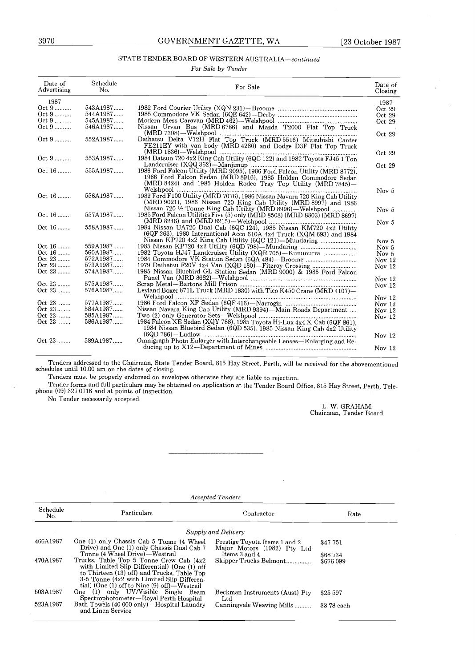### STATE TENDER BOARD OF WESTERN AUSTRALIA-continued

| 3970           |                      | GOVERNMENT GAZETTE, WA<br>[23 October 1987]                                                                                             |                    |
|----------------|----------------------|-----------------------------------------------------------------------------------------------------------------------------------------|--------------------|
|                |                      |                                                                                                                                         |                    |
|                |                      | STATE TENDER BOARD OF WESTERN AUSTRALIA-continued                                                                                       |                    |
|                |                      | For Sale by Tender                                                                                                                      |                    |
|                |                      |                                                                                                                                         |                    |
| Date of        | Schedule             | For Sale                                                                                                                                | Date of            |
| Advertising    | No.                  |                                                                                                                                         | Closing            |
| 1987           |                      |                                                                                                                                         | 1987               |
| Oct 9          | 543A1987             |                                                                                                                                         | Oct 29             |
| Oct 9          | 544A1987             |                                                                                                                                         | Oct $29$           |
| Oct 9<br>Oct 9 | 545A1987<br>546A1987 |                                                                                                                                         | Oct 29             |
|                |                      | Nissan Urvan Bus (MRD 6786) and Mazda T2000 Flat Top Truck                                                                              | Oct $29$           |
| Oct.9          | 552A1987             | Daihatsu Delta V12H Flat Top Truck (MRD 5516) Mitsubishi Canter                                                                         |                    |
|                |                      | FE211EY with van body (MRD 4280) and Dodge D3F Flat Top Truck                                                                           |                    |
|                |                      |                                                                                                                                         | Oct 29             |
| Oct 9          | 553A1987             | 1984 Datsun 720 4x2 King Cab Utility (6QC 122) and 1982 Toyota FJ45 1 Ton                                                               |                    |
| Oct 16         | 555A1987             | 1986 Ford Falcon Utility (MRD 9095), 1986 Ford Falcon Utility (MRD 8772),                                                               | Oct 29             |
|                |                      | 1986 Ford Falcon Sedan (MRD 8916), 1985 Holden Commodore Sedan                                                                          |                    |
|                |                      | (MRD 8424) and 1985 Holden Rodeo Tray Top Utility (MRD 7845)-                                                                           |                    |
|                |                      |                                                                                                                                         | Nov <sub>5</sub>   |
| Oct 16         | 556A1987             | 1982 Ford F100 Utility (MRD 7076), 1986 Nissan Navara 720 King Cab Utility                                                              |                    |
|                |                      | (MRD 9021), 1986 Nissan 720 King Cab Utility (MRD 8997) and 1986                                                                        |                    |
| Oct 16         | 557A1987             | Nissan 720 1/2 Tonne King Cab Utility (MRD 8996)—Welshpool<br>1985 Ford Falcon Utilities Five (5) only (MRD 8508) (MRD 8803) (MRD 8697) | Nov <sub>5</sub>   |
|                |                      |                                                                                                                                         | Nov <sub>5</sub>   |
| Oct. 16        | 558A1987             | 1984 Nissan UA720 Dual Cab (6QC 124), 1985 Nissan KM720 4x2 Utility                                                                     |                    |
|                |                      | (6QF 263), 1980 International Acco 610A 4x4 Truck (XQM 693) and 1984                                                                    |                    |
|                |                      | Nissan KP720 4x2 King Cab Utility (6QC 121)-Mundaring                                                                                   | Nov 5              |
| Oct 16         | 559A1987             |                                                                                                                                         | Nov 5              |
| Oct 16         | 560A1987             | 1982 Toyota HJ47 Landcruiser Utility (XQR 705)-Kununurra                                                                                | Nov 5              |
| Oct 23         | 572A1987             | 1984 Commodore VK Station Sedan (6QA 484)-Broome                                                                                        | Nov 12             |
| Oct 23         | 573A1987             | 1979 Daihatsu F20V 4x4 Van (XQD 180)-Fitzroy Crossing                                                                                   | Nov 12             |
| Oct 23         | 574A1987             | 1985 Nissan Bluebird GL Station Sedan (MRD 9000) & 1985 Ford Falcon                                                                     |                    |
| Oct 23         | 575A1987             |                                                                                                                                         | Nov $12$<br>Nov 12 |
| Oct 23         | 576A1987             | Leyland Boxer 871L Truck (MRD 1830) with Tico K450 Crane (MRD 4107)-                                                                    |                    |
|                |                      |                                                                                                                                         | Nov $12$           |
| Oct $23$       | 577A1987             |                                                                                                                                         | Nov $12$           |
| Oct 23         | 584A1987             | Nissan Navara King Cab Utility (MRD 9394)—Main Roads Department                                                                         | Nov $12$           |
| Oct 23         | 585A1987             |                                                                                                                                         | Nov $12$           |
| Oct 23         | 586A1987             | 1984 Falcon XE Sedan (XQY 788), 1985 Toyota Hi-Lux 4x4 X-Cab (6QF 861).                                                                 |                    |
|                |                      | 1984 Nissan Bluebird Sedan (6QD 535), 1985 Nissan King Cab 4x2 Utility                                                                  |                    |
| Oct 23         | 589A1987             | Omnigraph Photo Enlarger with Interchangeable Lenses-Enlarging and Re-                                                                  | Nov 12             |
|                |                      |                                                                                                                                         | Nov $12$           |
|                |                      |                                                                                                                                         |                    |

No Tender necessarily accepted.

L. W. GRAHAM, Chairman, Tender Board .

| <b>Accepted Tenders</b> |                                                                                                                                                                                                                                                                             |                                                              |                       |  |
|-------------------------|-----------------------------------------------------------------------------------------------------------------------------------------------------------------------------------------------------------------------------------------------------------------------------|--------------------------------------------------------------|-----------------------|--|
| Schedule<br>No.         | Particulars                                                                                                                                                                                                                                                                 | Contractor                                                   | Rate                  |  |
|                         |                                                                                                                                                                                                                                                                             | Supply and Delivery                                          |                       |  |
| 466A1987                | One (1) only Chassis Cab 5 Tonne (4 Wheel<br>Drive) and One (1) only Chassis Dual Cab 7                                                                                                                                                                                     | Prestige Toyota Items 1 and 2<br>Major Motors (1982) Pty Ltd | \$47 751              |  |
| 470A1987                | Tonne (4 Wheel Drive)—Westrail<br>Trucks, Table Top 5 Tonne Crew Cab (4x2)<br>with Limited Slip Differential) (One (1) off<br>to Thirteen (13) off) and Trucks, Table Top<br>3-5 Tonne (4x2 with Limited Slip Differen-<br>tial) (One $(1)$ off to Nine $(9)$ off)—Westrail | Items 3 and 4<br>Skipper Trucks Belmont                      | \$68 734<br>\$676 099 |  |
| 503A1987                | One (1) only UV/Visible Single Beam<br>Spectrophotometer-Royal Perth Hospital                                                                                                                                                                                               | Beckman Instruments (Aust) Pty<br>Ltd                        | \$25 597              |  |
| 523A1987                | Bath Towels (40 000 only)—Hospital Laundry<br>and Linen Service                                                                                                                                                                                                             | Canningvale Weaving Mills                                    | \$3 78 each           |  |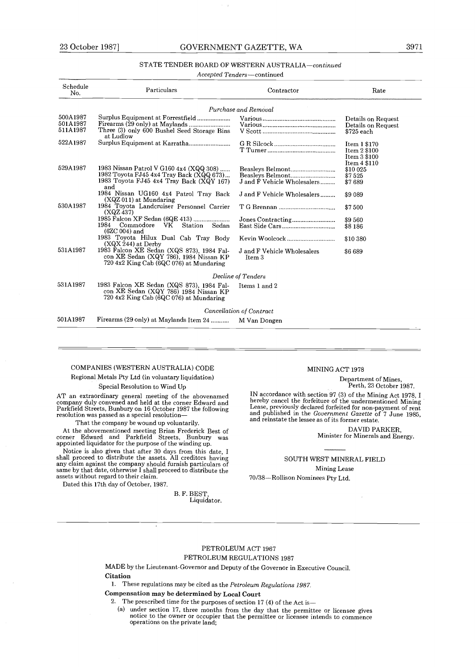#### GOVERNMENT GAZETTE, WA

#### STATE TENDER BOARD OF WESTERN AUSTRALIA-continued

|                                  |                                                                                                                                        | STATE TENDER BOARD OF WESTERN AUSTRALIA-continued |                                                              |
|----------------------------------|----------------------------------------------------------------------------------------------------------------------------------------|---------------------------------------------------|--------------------------------------------------------------|
|                                  |                                                                                                                                        | Accepted Tenders—continued                        |                                                              |
| Schedule<br>No.                  | Particulars                                                                                                                            | Contractor                                        | Rate                                                         |
|                                  |                                                                                                                                        | Purchase and Removal                              |                                                              |
| 500A1987<br>501A1987<br>511A1987 | Surplus Equipment at Forrestfield<br>Three (3) only 600 Bushel Seed Storage Bins<br>at Ludlow                                          |                                                   | Details on Request<br>Details on Request<br>\$725 each       |
| 522A1987                         | Surplus Equipment at Karratha                                                                                                          |                                                   | Item 1 \$170<br>Item 2 \$100<br>Item 3 \$100<br>Item 4 \$110 |
| 529A1987                         | 1983 Nissan Patrol V G160 4x4 (XQQ 308)<br>1982 Toyota FJ45 4x4 Tray Back (XQQ 673)<br>1983 Toyota FJ45 4x4 Tray Back (XQY 167)<br>and | Beasleys Belmont<br>J and F Vehicle Wholesalers   | \$10 025<br>\$7525<br>\$7689                                 |
| 530A1987                         | 1984 Nissan UG160 4x4 Patrol Tray Back<br>$(XQZ 011)$ at Mundaring<br>1984 Toyota Landcruiser Personnel Carrier                        | J and F Vehicle Wholesalers                       | \$9 089<br>\$7500                                            |
|                                  | (XQZ 437)<br>1985 Falcon XF Sedan (6QE 413)<br>1984<br>Commodore<br>VK<br>Station<br>Sedan<br>$(6ZC 004)$ and                          |                                                   | \$9560<br>\$8 186                                            |
|                                  | 1983 Toyota Hilux Dual Cab Tray Body<br>$(XQX 244)$ at Derby                                                                           |                                                   | \$10 380                                                     |
| 531A1987                         | 1983 Falcon XE Sedan (XQS 873), 1984 Fal-<br>con XE Sedan (XQY 786), 1984 Nissan KP<br>720 4x2 King Cab (6QC 076) at Mundaring         | J and F Vehicle Wholesalers<br>Item 3             | \$6689                                                       |
|                                  |                                                                                                                                        | Decline of Tenders                                |                                                              |
| 531A1987                         | 1983 Falcon XE Sedan (XQS 873), 1984 Fal-<br>con XE Sedan (XQY 786) 1984 Nissan KP<br>720 4x2 King Cab (6QC 076) at Mundaring          | Items 1 and 2                                     |                                                              |
|                                  |                                                                                                                                        | Cancellation of Contract                          |                                                              |
| 501A1987                         | Firearms (29 only) at Maylands Item 24  M Van Dongen                                                                                   |                                                   |                                                              |

#### COMPANIES (WESTERN AUSTRALIA) CODE

Regional Metals Pty Ltd (in voluntary liquidation)

Special Resolution to Wind Up

AT an extraordinary general meeting of the abovenamed company duly convened and held at the corner Edward and Parkfield Streets, Bunbury on 16 October 1987 the following resolution was passed as a special resolution-

That the company be wound up voluntarily.

At the abovementioned meeting Brian Frederick Best of corner Edward and Parkfield Streets, Bunbury was appointed liquidator for the purpose of the winding up .

Notice is also given that after 30 days from this date, 1<br>shall proceed to distribute the assets. All creditors having<br>any claim against the company should furnish particulars of<br>same by that date, otherwise I shall procee assets without regard to their claim.

Dated this 17th day of October, 1987 .

B. F. BEST, Liquidator.

#### MINING ACT 1978

Department of Mines, Perth, 23 October 1987 .

In accounance with section  $\sigma_I$  (3) or the winning Act 1978, 1<br>hereby cancel the forfeiture of the undermentioned Mining<br>Lease, previously declared forfeited for non-payment of rent<br>and published in the *Government Gazet* and reinstate the lessee as of its former estate .

> DAVID PARKER, Minister for Minerals and Energy.

SOUTH WEST MINERAL FIELD Mining Lease 70/38-Rollison Nominees Pty Ltd.

#### PETROLEUM ACT 1967

#### PETROLEUM REGULATIONS 1987

MADE by the Lieutenant-Governor and Deputy of the Governor in Executive Council . **Citation** 

1. These regulations may be cited as the Petroleum Regulations 1987.

Compensation may be determined by Local Court

2. The prescribed time for the purposes of section 17 (4) of the Act is—

(a) under section 17, three months from the day that the permittee or licensee gives notice to the owner or occupier that the permittee or licensee intends to commence operations on the private land;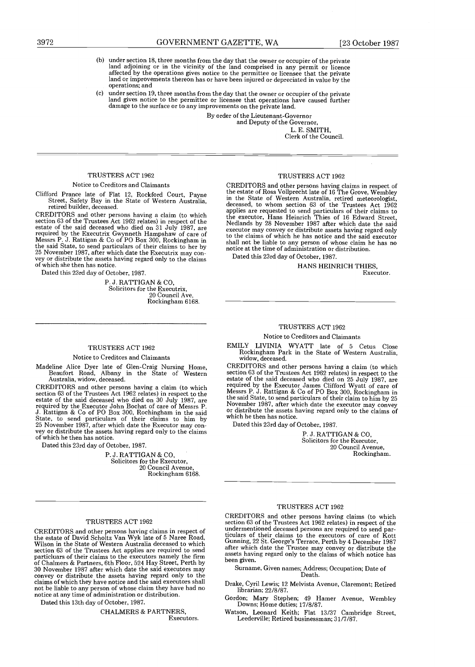- (b) under section 18, three months from the day that the owner or occupier of the private land adjoining or in the vicinity of the land comprised in any permit or licence affected by the operations gives notice to the permittee or licensee that the private land or improvements thereon has or have been injured or depreciated in value by the operations; and
- under section 19, three months from the day that the owner or occupier of the private land gives notice to the permittee or licensee that operations have caused further damage to the surface or to any improvements on the private land. (c)

By order of the Lieutenant-Governor and Deputy of the Governor, L. E. SMITH,

Clerk of the Council.

#### TRUSTEES ACT 1962

#### Notice to Creditors and Claimants

Clifford Prance late of Flat 12, Rockford Court, Payne Street, Safety Bay in the State of Western Australia, retired builder, deceased.

CREDITORS and other persons having a claim (to which section 63 of the Trustees Act 1962 relates) in respect of the estate of the said deceased who died on 31 July 1987, are required by the Executrix Gwynneth Hampshaw of care of Messrs P. J. Rattigan & Co of PO Box 300, Rockingham in the said State, to send particulars of their claims to her by 25 November 1987, after which date the Executrix may convey or distribute the assets having regard only to the claims of which she then has notice.

Dated this 23rd day of October, 1987 .

P. J. RATTIGAN & CO, Solicitors for the Executrix, 20 Council Ave, Rockingham 6168 .

#### TRUSTEES ACT 1962

#### Notice to Creditors and Claimants

Madeline Alice Dyer late of Glen-Craig Nursing Home, Beaufort Road, Albany in the State of Western Australia, widow, deceased.

CREDITORS and other persons having a claim (to which section 63 of the Trustees Act 1962 relates) in respect to the estate of the said deceased who died on 30 July 1987, are required by the Executor John Bochat of care of Messrs P.<br>J. Rattigan & Co of PO Box 300, Rochingham in the said State, to send particulars of their claims to him by 25 November 1987, after which date the Executor may convey or distribute the assets having regard only to the claims of which he then has notice.

Dated this 23rd day of October, 1987.

P. J . RATTIGAN & CO, Solicitors for the Executor, 20 Council Avenue, Rockingham 6168.

#### TRUSTEES ACT 1962

CREDITORS and other persons having claims in respect of the estate of David Scholtz Van Wyk late of 5 Naree Road, Wilson in the State of Western Australia deceased to which section 63 of the Trustees Act applies are required to send particluars of their claims to the executors namely the firm of Chalmers & Partners, 6th Floor, 524 Hay Street, Perth by 30 November 1987 after which date the said executors may convey or distribute the assets having regard only to the claims of which they have notice and the said executors shall not be liable to any person of whose claim they have had no notice at any time of administration or distribution .

Dated this 13th day of October, 1987 .

CHALMERS & PARTNERS, Executors.

#### TRUSTEES ACT 1962

CREDITORS and other persons having claims in respect of the estate of Ross Vollprecht late of 16 The Grove, Wembley in the State of Western Australia, retired meteorologist, deceased, to whom section 63 of the Trustees Act 1962 applies are requested to send particulars of their claims to the executor, Hans Heinrich Thies of 16 Edward Street, Nedlands by 28 November 1987 after which date the said executor may convey or distribute assets having regard only to the claims of which he has notice and the said executor shall not be liable to any person of whose claim he has no notice at the time of administration or distribution .

Dated this 23rd day of October, 1987 .

HANS HEINRICH THIES, Executor.

#### TRUSTEES ACT 1962

#### Notice to Creditors and Claimants

EMILY LIVINIA WYATT late of 5 Cetus Close Rockingham Park in the State of Western Australia, widow, deceased.

CREDITORS and other persons having a claim (to which section 63 of the Trustees Act 1962 relates) in respect to the estate of the said deceased who died on 25 July 1987, are required by the Executor James Clifford Wyatt of care of Messrs P. J. Rattigan & Co of PO Box 300, Rockingham in the said State, to send particulars of their claim to him by 25 November 1987, after which date the executor may convey or distribute the assets having regard only to the claims of which he then has notice.

Dated this 23rd day of October, 1987 .

P.J. RATTIGAN & CO. Solicitors for the Executor, 20 Council Avenue, Rockingham.

#### TRUSTEES ACT 1962

CREDITORS and other persons having claims (to which section 63 of the Trustees Act 1962 relates) in respect of the undermentioned deceased persons are required to send particulars of their claims to the executors of care of Kott Gunning, 22 St . George's Terrace, Perth by 4 December 1987 after which date the Trustee may convey or distribute the assets having regard only to the claims of which notice has been given.

Surname, Given names; Address; Occupation; Date of<br>Death.

Drake, Cyril Lewis; 12 Melvista Avenue, Claremont; Retired librarian; 22/8/87.

Gordon; Mary Stephen; 49 Hamer Avenue, Wembley Downs; Home duties; 17/8/87.

Watson, Leonard Keith; Flat 13/37 Cambridge Street, Leederville; Retired businessman; 31/7/87.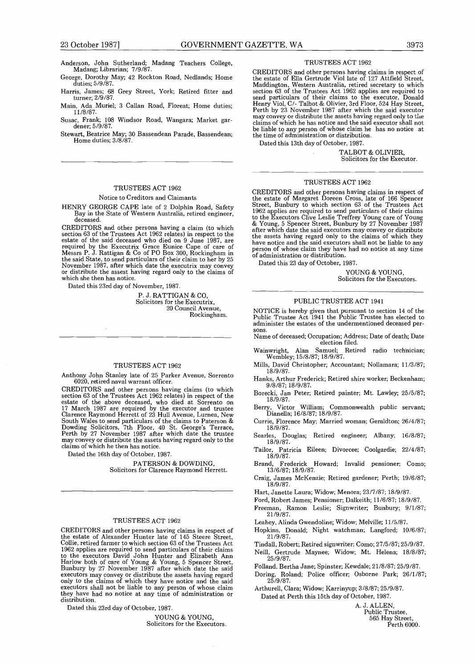- Anderson, John Sutherland; Madang Teachers College, Madang; Librarian; 7/9/87.
- George, Dorothy May; 42 Rockton Road, Nedlands; Home duties; 5/9/87.
- Harris, James; 68 Grey Street, York; Retired fitter and turner; 2/9/87.
- Main, Ada Muriel; 3 Callan Road, Floreat; Home duties;<br>11/8/87.
- Susac, Frank; 108 Windsor Road, Wangara; Market gardener; 5/9/87.
- Stewart, Beatrice May; 30 Bassendean Parade, Bassendean ; Home duties;  $3/8/87$ .

#### TRUSTEES ACT 1962

#### Notice to Creditors and Claimants

HENRY GEORGE CAPE late of 2 Dolphin Road, Safety Bay in the State of Western Australia, retired engineer, deceased.

CREDITORS and other persons having a claim (to which section 63 of the Trustees Act 1962 relates) in respect to the estate of the said deceased who died on 9 June 1987, are required by the Executrix Grace Eunice Cape of care of Messrs P . J . Rattigan & Co of PO Box 300, Rockingham in the said State, to send particulars of their claim to her by 25 November 1987, after which date the executrix may convey or distribute the assest having regard only to the claims of which she then has notice.

Dated this 23rd day of November, 1987.

P. J. RATTIGAN & CO, Solicitors for the Executrix, 20 Council Avenue, Rockingham.

#### TRUSTEES ACT 1962

Anthony John Stanley late of 25 Parker Avenue, Sorrento 6020, retired naval warrant officer .

CREDITORS and other persons having claims (to which section 63 of the Trustees Act 1962 relates) in respect of the<br>estate of the above deceased, who died at Sorrento on<br>17 March 1987 are required by the executor and trustee<br>Clarence Raymond Herrett of 23 Hull Avenue, Lurnea Perth by 27 November 1987 after which date the trustee may convey or distribute the assets having regard only to the claims of which he then has notice .

Dated the 16th day of October, 1987.

PATERSON & DOWDING, Solicitors for Clarence Raymond Herrett.

#### TRUSTEES ACT 1962

CREDITORS and other persons having claims in respect of the estate of Alexander Hunter late of 145 Steere Street, Collie, retired farmer to which section 63 of the Trustees Act 1962 applies are required to send particulars of their claims to the executors David John Hunter and Elizabeth Ann Harlow both of care of Young & Young, 5 Spencer Street, Bunbury by 27 November 1987 after which date the said executors may convey or distribute the assets having regard only to the claims of which they have notice and the said executors shall not be liable to any person of whose claim they have had no notice at any time of administration or distribution.

Dated this 23rd day of October, 1987 .

YOUNG & YOUNG, Solicitors for the Executors .

#### TRUSTEES ACT 1962

CREDITORS and other persons having claims in respect of the estate of Ella Gertrude Viol late of 127 Attfield Street, Maddington, western Australia, retired secretary to which<br>section 63 of the Trustees Act 1962 applies are required to<br>send particulars of their claims to the executor, Donald<br>Henry Viol, C/- Talbot & Olivier, 3rd Floor, 52 be liable to any person of whose claim he has no notice at the time of administration or distribution .

Dated this 13th day of October, 1987 .

TALBOT & OLIVIER, Solicitors for the Executor.

#### TRUSTEES ACT 1962

CREDITORS and other persons having claims in respect of the estate of Margaret Doreen Cross, late of 166 Spencer Street, Bunbury to which section 63 of the Trustees Act 1962 applies are required to send particulars of their claims<br>to the Executors Clive Leslie Treffrey Young care of Young<br>& Young, 5 Spencer Street, Bunhury by 27 November 1987<br>after which date the said executors may convey have notice and the said executors shall not be liable to any person of whose claim they have had no notice at any time of administration or distribution .

Dated this 23 day of October, 1987 .

YOUNG & YOUNG, Solicitors for the Executors.

#### PUBLIC TRUSTEE ACT 1941

NOTICE is hereby given that pursuant to section 14 of the Public Trustee Act 1941 the Public Trustee has elected to<br>administer the estates of the undermentioned deceased persons.

- Name of deceased; Occupation; Address; Date of death; Date election filed.
- Wainwright, Alan Samuel; Retired radio technician;<br>Wembley; 15/8/87; 18/9/87.
- Mills, David Christopher; Accountant; Nollamara; 11/3/87; 18/9/87 .
- Hanks, Arthur Frederick; Retired shire worker; Beckenham; 9/8/87; 18/9/87.
- Borecki, Jan Peter; Retired painter; Mt. Lawley; 25/5/87; 18/9/87.
- Berry, Victor William; Commonwealth public servant; .<br>Dianella; 16/8/87; 18/9/87.
- Currie, Florence May; Married woman; Geraldton; 26/4/87; .18/9/87<br>Searles, Do
- Douglas; Retired engineer; Albany; 16/8/87; 18/9/87 .
- Tailor, Patricia Eileen; Divorcee; Coolgardie; 22/4/87;<br>18/9/87.
- Brand, Frederick Howard; Invalid pensioner; Como;<br>13/6/87;18/9/87.
- Craig, James McKenzie; Retired gardener; Perth; 19/6/87; 18/9/87 .
- Hart, Janette Laura; Widow; Menora; 23/7/87; 18/9/87.
- Ford, Robert James; Pensioner; Dalkeith; 11/6/87; 18/9/87.
- Freeman, Ramon Leslie; Signwriter; Bunbury; 9/1/87; 21/9/87.
- Leahey, Alinda Gwendoline; Widow; Melville; 11/5/87.
- Hopkins, Donald; Night watchman; Langford; 10/6/87; 21/9/87 .
- Tindall, Robert; Retired signwriter; Como; 27/5/87; 25/9/87. Neill, Gertrude Maynee; Widow; Mt. Helena; 18/8/87;
- $25/9/87$ .
- Folland, Bertha Jane; Spinster; Kewdale; 21/8/87; 25/9/87.
- Doring, Roland; Police officer; Osborne Park; 26/1/87;<br>25/9/87.
- Arthurell, Clara; Widow; Karrinyup; 3/8/87; 25/9/87 . Dated at Perth this 15th day of October, 1987 .

A. J. ALLEN,

Public Trustee, 565 Hay Street, Perth 6000 .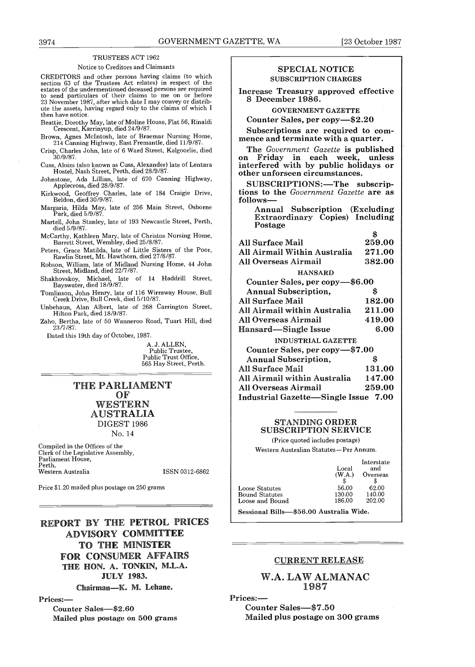#### TRUSTEES ACT 1962

#### Notice to Creditors and Claimants

CREDITORS and other persons having claims (to which section 63 of the Trustees Act relates) in respect of the estates of the undermentioned deceased persons are required to send particulars of their claims to me on or before 23 November 1987, after which date I may convey or distribute the assets, having regard only to the claims of which I then have notice .  $\begin{tabular}{|c|c|c|c|c|} \hline & \multicolumn{1}{c}{\textbf{39.665} \hline & \multicolumn{1}{c}{\textbf{39.665} \hline & \multicolumn{1}{c}{\textbf{39.665} \hline & \multicolumn{1}{c}{\textbf{39.665} \hline & \multicolumn{1}{c}{\textbf{39.665} \hline & \multicolumn{1}{c}{\textbf{39.665} \hline & \multicolumn{1}{c}{\textbf{39.665} \hline & \multicolumn{1}{c}{\textbf{39.665} \hline & \multicolumn{1$ 

Beattie, Dorothy May, late of Moline House, Flat 56, Rinaldi Crescent, Karrinyup, died 24/9/87 .

- Brown, Agnes McIntosh, late of Braemar Nursing Home, 214 Canning Highway, East Fremantle, died 11/9/87 .
- Crisp, Charles John, late of 6 Ward Street, Kalgoorlie, died 30/9/87.
- Cuss, Aloizs (also known as Cuss, Alexander) late of Lentara Hostel, Nash Street, Perth, died 28/9/87.
- Johnstone, Ada Lillian, late of 670 Canning Highway, Applecross, died 28/9/87 .
- Kirkwood, Geoffrey Charles, late of 184 Craigie Drive, Beldon, died 30/9/87 .
- Margaria, Hilda May, late of 256 Main Street, Osborne Park, died 5/9/87 .
- Martell, John Stanley, late of 193 Newcastle Street, Perth, died 5/9/87 .
- McCarthy, Kathleen Mary, late of Christos Nursing Home, Barrett Street, Wembley, died 25/8/87 .
- Peters, Grace Matilda, late of Little Sisters of the Poor, Rawlin Street, Mt. Hawthorn, died 27/8/87 .
- Robson, William, late of Midland Nursing Home, 44 John Street, Midland, died 22/7/87 .
- Shakhovskoy, Michael, late of 14 Haddrill Street, Bayswater, died 18/9/87 .
- Tomlinson, John Henry, late of 116 Wirraway House, Bull Creek Drive, Bull Creek, died 5/10/87 .
- Unbehaun, Alan Albert, late of 268 Carrington Street, Hilton Park, died 18/9/87 .
- Zaho, Bertha, late of 50 Wanneroo Road, Tuart Hill, died 23/7/87 .

Dated this 19th day of October, 1987 .

A. J. ALLEN, Public Trustee, Public Trust Office, 565 Hay Street, Perth.

THE PARLIAMENT OF WESTERN AUSTRALIA DIGEST 1986 No. 14

Compiled in the Offices of the Clerk of the Legislative Assembly, Parliament House, Perth, Western Australia

ISSN 0312-6862

Price \$1 .20 mailed plus postage on 250 grams

# REPORT BY THE PETROL PRICES ADVISORY COMMITTEE TO THE MINISTER FOR CONSUMER AFFAIRS THE HON. A. TONKIN, M.L.A. JULY 1983.

Chairman-K. M. Lehane.

#### Prices:-

Counter Sales-\$2.60 Mailed plus postage on 500 grams

#### SPECIAL NOTICE SUBSCRIPTION CHARGES

Increase Treasury approved effective 8 December 1986.

GOVERNMENT GAZETTE

Counter Sales, per copy-\$2.20

Subscriptions are required to commence and terminate with a quarter.

The Government Gazette is published on Friday in each week, unless interfered with by public holidays or other unforseen circumstances .

SUBSCRIPTIONS:-The subscriptions to the Government Gazette are as follows-

Annual Subscription (Excluding Extraordinary Copies) Including Postage

| <b>All Surface Mail</b>              | 259.00 |
|--------------------------------------|--------|
| All Airmail Within Australia         | 271.00 |
| All Overseas Airmail                 | 382.00 |
| <b>HANSARD</b>                       |        |
| Counter Sales, per copy-\$6.00       |        |
| <b>Annual Subscription,</b>          | S      |
| <b>All Surface Mail</b>              | 182.00 |
| All Airmail within Australia         | 211.00 |
| All Overseas Airmail                 | 419.00 |
| Hansard—Single Issue                 | 6.00   |
| <b>INDUSTRIAL GAZETTE</b>            |        |
| Counter Sales, per copy-\$7.00       |        |
| <b>Annual Subscription,</b>          | \$     |
| All Surface Mail                     | 131.00 |
| All Airmail within Australia         | 147.00 |
| All Overseas Airmail                 | 259.00 |
| Industrial Gazette—Single Issue 7.00 |        |
|                                      |        |

#### STANDING ORDER SUBSCRIPTION SERVICE

(Price quoted includes postage)

Western Australian Statutes-Per Annum.

|                                       | Local<br>(W.A.)           | Interstate<br>and<br>Overseas |
|---------------------------------------|---------------------------|-------------------------------|
| Loose Statutes                        | 56.00                     | 62.00                         |
| Bound Statutes                        | 130.00                    | 140.00                        |
| Loose and Bound                       | 186.00                    | 202.00                        |
| $\mathcal{O}_{\text{nonlocal}}$ Dilla | $@EQ$ $00$ Avernalia Wide |                               |

Sessional Bills-\$56.00 Australia Wide.

#### CURRENT RELEASE

W.A. LAW ALMANAC 1987

Prices:-

Counter Sales-\$7.50 Mailed plus postage on 300 grams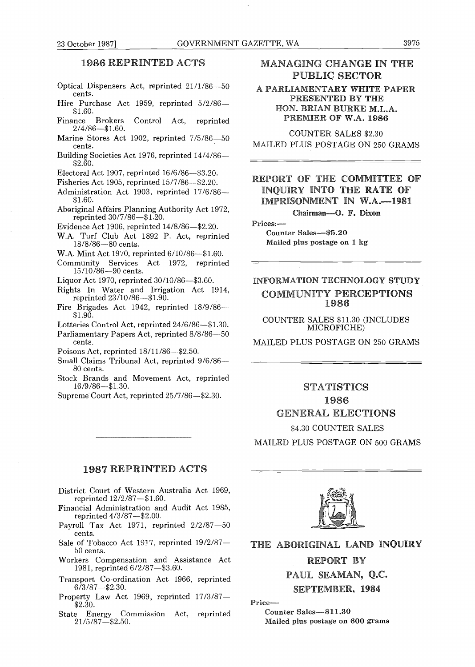#### 3975

#### 1986 REPRINTED ACTS

- Optical Dispensers Act, reprinted 21/1/86-50 cents .
- Hire Purchase Act 1959, reprinted 5/2/86-\$1.60 .
- Finance Brokers Control Act, reprinted  $2/4/86 - $1.60$ .
- Marine Stores Act 1902, reprinted 7/5/86-50 cents .
- Building Societies Act 1976, reprinted 14/4/86- \$2.60.

Electoral Act 1907, reprinted  $16/6/86$ —\$3.20.

- Fisheries Act 1905, reprinted  $15/7/86$ -\$2.20.
- Administration Act 1903, reprinted 17/6/86- \$1.60.
- Aboriginal Affairs Planning Authority Act 1972, reprinted 30/7/86-\$1.20.
- Evidence Act 1906, reprinted 14/8/86-\$2.20.
- W.A. Turf Club Act 1892 P. Act, reprinted 18/8/86-80 cents.
- W.A. Mint Act 1970, reprinted 6/10/86-\$1.60.
- Community Services Act 1972, reprinted 15/10/86-90 cents .
- Liquor Act 1970, reprinted  $30/10/86 $3.60$ .
- Rights In Water and Irrigation Act 1914, reprinted 23/10/86-\$1.90 .
- Fire Brigades Act 1942, reprinted 18/9/86- $$1.90.$
- Lotteries Control Act, reprinted 24/6/86-\$1.30.
- Parliamentary Papers Act, reprinted 8/8/86-50 cents.
- Poisons Act, reprinted  $18/11/86 $2.50$ .
- Small Claims Tribunal Act, reprinted  $9/6/86-$ 80 cents.
- Stock Brands and Movement Act, reprinted  $16/9/86 - $1.30.$
- Supreme Court Act, reprinted  $25/7/86 $2.30$ .

#### 1987 REPRINTED ACTS

- District Court of Western Australia Act 1969, reprinted  $12/2/87 - $1.60$ .
- Financial Administration and Audit Act 1985, reprinted  $4/3/87 - $2.00$ .
- Payroll Tax Act 1971, reprinted  $2/2/87-50$ cents.
- Sale of Tobacco Act 1917, reprinted 19/2/87-50 cents.
- Workers Compensation and Assistance Act 1981, reprinted 6/2/87-\$3.60.
- Transport Co-ordination Act 1966, reprinted  $6/3/87 - $2.30$ .
- Property Law Act 1969, reprinted  $17/3/87 $2.30.$
- State Energy Commission Act, reprinted  $21/5/87 - 23.50$ .

#### MANAGING CHANGE IN THE PUBLIC SECTOR

#### A PARLIAMENTARY WHITE PAPER PRESENTED BY THE HON. BRIAN BURKE M.L.A. PREMIER OF W.A. <sup>1986</sup>

COUNTER SALES \$2.30 MAILED PLUS POSTAGE ON 250 GRAMS

#### REPORT OF THE COMMITTEE OF INQUIRY INTO THE RATE OF IMPRISONMENT IN W.A.-1981 Chairman-O. F. Dixon

Counter Sales-\$5.20 Mailed plus postage on 1 kg

Prices :-

#### INFORMATION TECHNOLOGY STUDY COMMUNITY PERCEPTIONS 1986

COUNTER SALES \$11 .30 (INCLUDES MICROFICHE)

MAILED PLUS POSTAGE ON 250 GRAMS

# **STATISTICS** 1986 GENERAL ELECTIONS

\$4 .30 COUNTER SALES MAILED PLUS POSTAGE ON 500 GRAMS



# THE ABORIGINAL LAND INQUIRY

#### REPORT BY

#### PAUL SEAMAN, Q.C.

#### SEPTEMBER, 1984

Price-

Counter Sales-\$11.30 Mailed plus postage on 600 grams